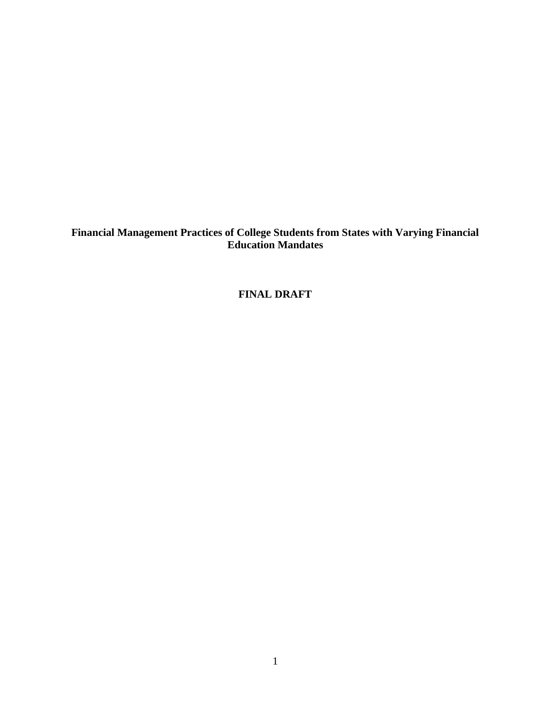**Financial Management Practices of College Students from States with Varying Financial Education Mandates**

**FINAL DRAFT**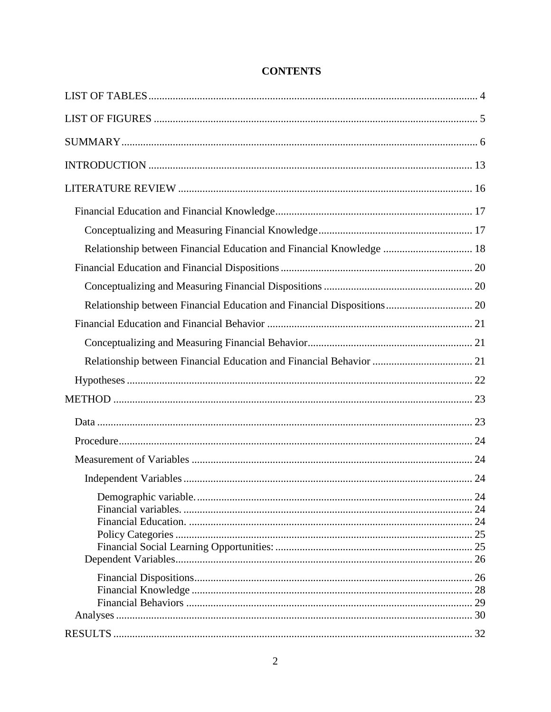| Relationship between Financial Education and Financial Knowledge  18   |  |
|------------------------------------------------------------------------|--|
|                                                                        |  |
|                                                                        |  |
| Relationship between Financial Education and Financial Dispositions 20 |  |
|                                                                        |  |
|                                                                        |  |
|                                                                        |  |
|                                                                        |  |
|                                                                        |  |
|                                                                        |  |
|                                                                        |  |
|                                                                        |  |
|                                                                        |  |
|                                                                        |  |
|                                                                        |  |
|                                                                        |  |
|                                                                        |  |
|                                                                        |  |

# **CONTENTS**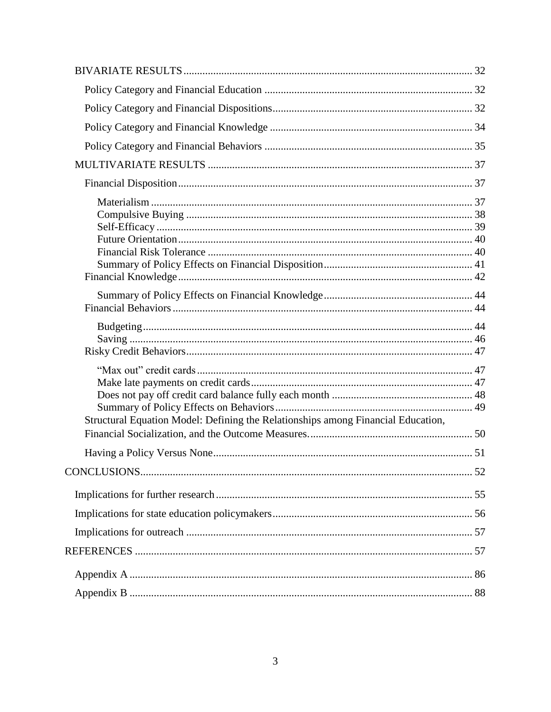| Structural Equation Model: Defining the Relationships among Financial Education, |  |
|----------------------------------------------------------------------------------|--|
|                                                                                  |  |
|                                                                                  |  |
|                                                                                  |  |
|                                                                                  |  |
|                                                                                  |  |
|                                                                                  |  |
|                                                                                  |  |
|                                                                                  |  |
|                                                                                  |  |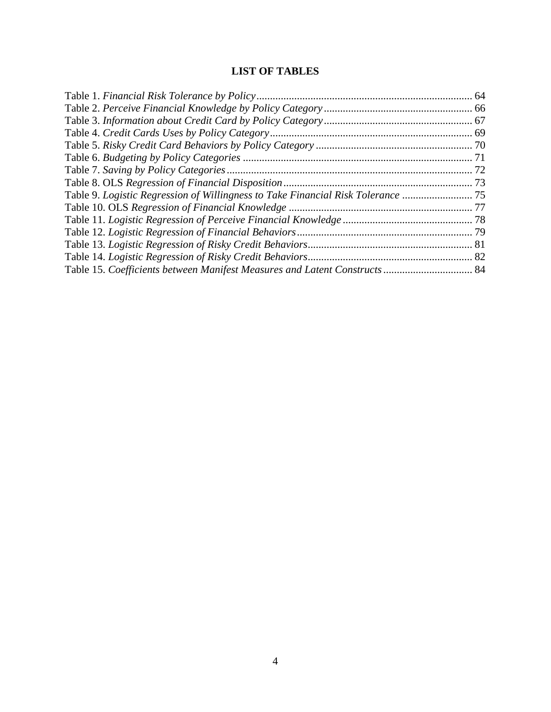# **LIST OF TABLES**

<span id="page-3-0"></span>

| Table 9. Logistic Regression of Willingness to Take Financial Risk Tolerance  75 |  |
|----------------------------------------------------------------------------------|--|
|                                                                                  |  |
|                                                                                  |  |
|                                                                                  |  |
|                                                                                  |  |
|                                                                                  |  |
| Table 15. Coefficients between Manifest Measures and Latent Constructs  84       |  |
|                                                                                  |  |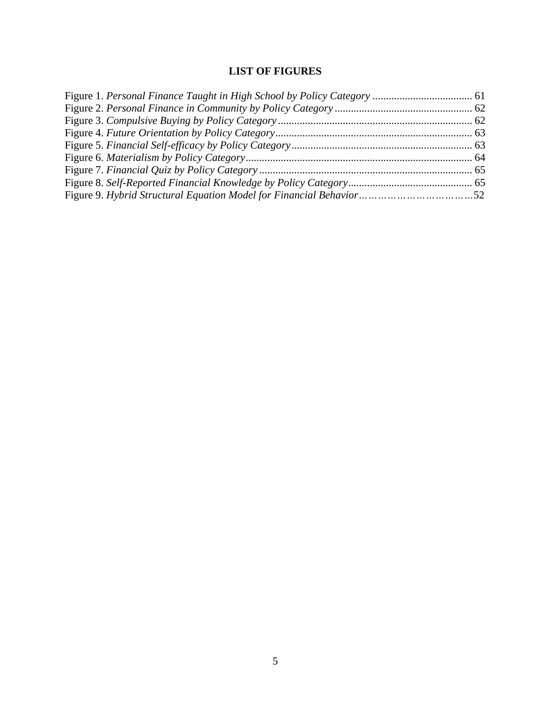# **LIST OF FIGURES**

<span id="page-4-0"></span>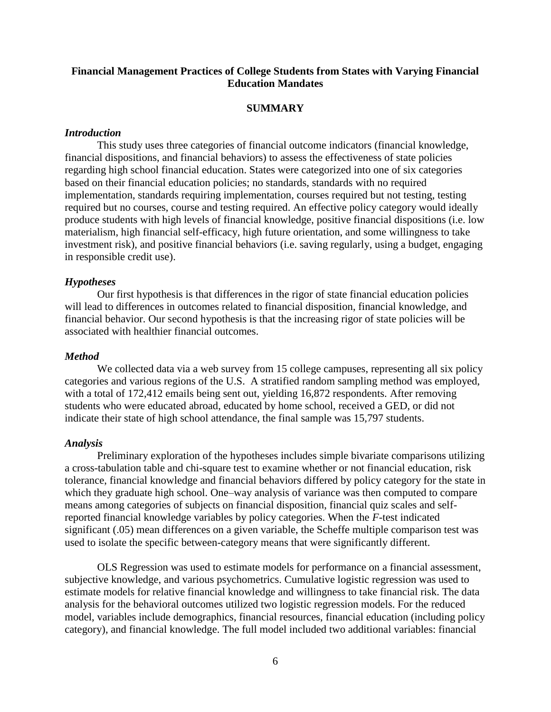## **Financial Management Practices of College Students from States with Varying Financial Education Mandates**

## **SUMMARY**

#### <span id="page-5-0"></span>*Introduction*

This study uses three categories of financial outcome indicators (financial knowledge, financial dispositions, and financial behaviors) to assess the effectiveness of state policies regarding high school financial education. States were categorized into one of six categories based on their financial education policies; no standards, standards with no required implementation, standards requiring implementation, courses required but not testing, testing required but no courses, course and testing required. An effective policy category would ideally produce students with high levels of financial knowledge, positive financial dispositions (i.e. low materialism, high financial self-efficacy, high future orientation, and some willingness to take investment risk), and positive financial behaviors (i.e. saving regularly, using a budget, engaging in responsible credit use).

#### *Hypotheses*

Our first hypothesis is that differences in the rigor of state financial education policies will lead to differences in outcomes related to financial disposition, financial knowledge, and financial behavior. Our second hypothesis is that the increasing rigor of state policies will be associated with healthier financial outcomes.

#### *Method*

We collected data via a web survey from 15 college campuses, representing all six policy categories and various regions of the U.S. A stratified random sampling method was employed, with a total of 172,412 emails being sent out, yielding 16,872 respondents. After removing students who were educated abroad, educated by home school, received a GED, or did not indicate their state of high school attendance, the final sample was 15,797 students.

#### *Analysis*

Preliminary exploration of the hypotheses includes simple bivariate comparisons utilizing a cross-tabulation table and chi-square test to examine whether or not financial education, risk tolerance, financial knowledge and financial behaviors differed by policy category for the state in which they graduate high school. One–way analysis of variance was then computed to compare means among categories of subjects on financial disposition, financial quiz scales and selfreported financial knowledge variables by policy categories. When the *F*-test indicated significant (.05) mean differences on a given variable, the Scheffe multiple comparison test was used to isolate the specific between-category means that were significantly different.

OLS Regression was used to estimate models for performance on a financial assessment, subjective knowledge, and various psychometrics. Cumulative logistic regression was used to estimate models for relative financial knowledge and willingness to take financial risk. The data analysis for the behavioral outcomes utilized two logistic regression models. For the reduced model, variables include demographics, financial resources, financial education (including policy category), and financial knowledge. The full model included two additional variables: financial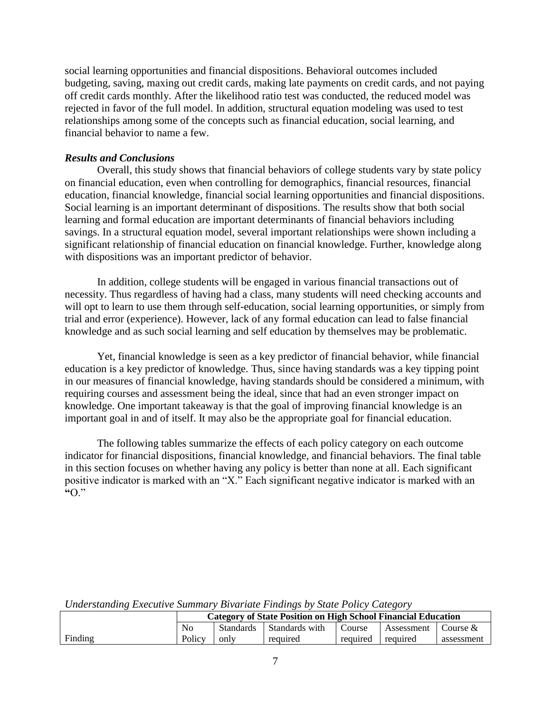social learning opportunities and financial dispositions. Behavioral outcomes included budgeting, saving, maxing out credit cards, making late payments on credit cards, and not paying off credit cards monthly. After the likelihood ratio test was conducted, the reduced model was rejected in favor of the full model. In addition, structural equation modeling was used to test relationships among some of the concepts such as financial education, social learning, and financial behavior to name a few.

## *Results and Conclusions*

Overall, this study shows that financial behaviors of college students vary by state policy on financial education, even when controlling for demographics, financial resources, financial education, financial knowledge, financial social learning opportunities and financial dispositions. Social learning is an important determinant of dispositions. The results show that both social learning and formal education are important determinants of financial behaviors including savings. In a structural equation model, several important relationships were shown including a significant relationship of financial education on financial knowledge. Further, knowledge along with dispositions was an important predictor of behavior.

In addition, college students will be engaged in various financial transactions out of necessity. Thus regardless of having had a class, many students will need checking accounts and will opt to learn to use them through self-education, social learning opportunities, or simply from trial and error (experience). However, lack of any formal education can lead to false financial knowledge and as such social learning and self education by themselves may be problematic.

Yet, financial knowledge is seen as a key predictor of financial behavior, while financial education is a key predictor of knowledge. Thus, since having standards was a key tipping point in our measures of financial knowledge, having standards should be considered a minimum, with requiring courses and assessment being the ideal, since that had an even stronger impact on knowledge. One important takeaway is that the goal of improving financial knowledge is an important goal in and of itself. It may also be the appropriate goal for financial education.

The following tables summarize the effects of each policy category on each outcome indicator for financial dispositions, financial knowledge, and financial behaviors. The final table in this section focuses on whether having any policy is better than none at all. Each significant positive indicator is marked with an "X." Each significant negative indicator is marked with an **"**O.‖

|         |                | <b>Category of State Position on High School Financial Education</b> |                |          |            |            |  |
|---------|----------------|----------------------------------------------------------------------|----------------|----------|------------|------------|--|
|         | N <sub>0</sub> | <b>Standards</b>                                                     | Standards with | Course   | Assessment | Course &   |  |
| Finding | Policy         | only                                                                 | required       | required | required   | assessment |  |

*Understanding Executive Summary Bivariate Findings by State Policy Category*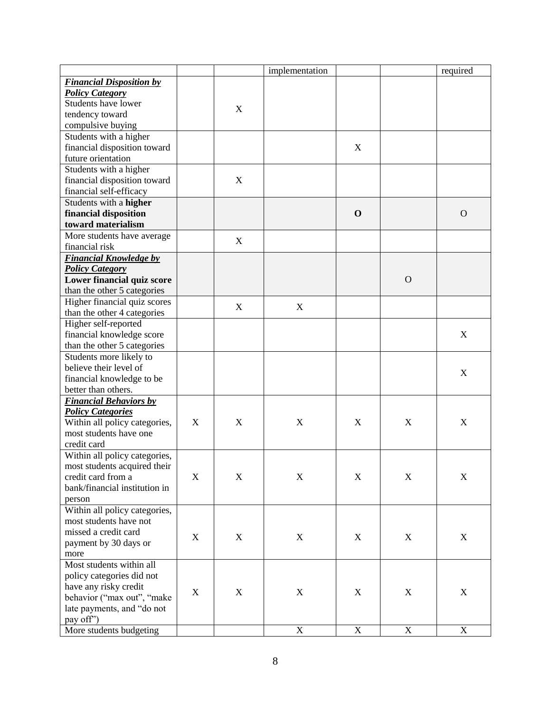|                                 |                  |             | implementation |             |             | required    |
|---------------------------------|------------------|-------------|----------------|-------------|-------------|-------------|
| <b>Financial Disposition by</b> |                  |             |                |             |             |             |
| <b>Policy Category</b>          |                  |             |                |             |             |             |
| Students have lower             |                  |             |                |             |             |             |
| tendency toward                 |                  | X           |                |             |             |             |
| compulsive buying               |                  |             |                |             |             |             |
| Students with a higher          |                  |             |                |             |             |             |
| financial disposition toward    |                  |             |                | X           |             |             |
| future orientation              |                  |             |                |             |             |             |
| Students with a higher          |                  |             |                |             |             |             |
| financial disposition toward    |                  | X           |                |             |             |             |
| financial self-efficacy         |                  |             |                |             |             |             |
| Students with a higher          |                  |             |                |             |             |             |
| financial disposition           |                  |             |                | $\mathbf 0$ |             | $\Omega$    |
| toward materialism              |                  |             |                |             |             |             |
| More students have average      |                  |             |                |             |             |             |
| financial risk                  |                  | X           |                |             |             |             |
|                                 |                  |             |                |             |             |             |
| <b>Financial Knowledge by</b>   |                  |             |                |             |             |             |
| <b>Policy Category</b>          |                  |             |                |             |             |             |
| Lower financial quiz score      |                  |             |                |             | $\mathbf O$ |             |
| than the other 5 categories     |                  |             |                |             |             |             |
| Higher financial quiz scores    |                  | $\mathbf X$ | X              |             |             |             |
| than the other 4 categories     |                  |             |                |             |             |             |
| Higher self-reported            |                  |             |                |             |             |             |
| financial knowledge score       |                  |             |                |             |             | X           |
| than the other 5 categories     |                  |             |                |             |             |             |
| Students more likely to         |                  |             |                |             |             |             |
| believe their level of          |                  |             |                |             |             | X           |
| financial knowledge to be       |                  |             |                |             |             |             |
| better than others.             |                  |             |                |             |             |             |
| <b>Financial Behaviors by</b>   |                  |             |                |             |             |             |
| <b>Policy Categories</b>        |                  |             |                |             |             |             |
| Within all policy categories,   | X                | X           | X              | X           | X           | X           |
| most students have one          |                  |             |                |             |             |             |
| credit card                     |                  |             |                |             |             |             |
| Within all policy categories,   |                  |             |                |             |             |             |
| most students acquired their    |                  |             |                |             |             |             |
| credit card from a              | $\boldsymbol{X}$ | $\mathbf X$ | $\mathbf X$    | $\mathbf X$ | $\mathbf X$ | X           |
| bank/financial institution in   |                  |             |                |             |             |             |
| person                          |                  |             |                |             |             |             |
| Within all policy categories,   |                  |             |                |             |             |             |
| most students have not          |                  |             |                |             |             |             |
| missed a credit card            |                  |             |                |             |             |             |
| payment by 30 days or           | X                | X           | $\mathbf X$    | X           | X           | X           |
| more                            |                  |             |                |             |             |             |
| Most students within all        |                  |             |                |             |             |             |
| policy categories did not       |                  |             |                |             |             |             |
| have any risky credit           |                  |             |                |             |             |             |
| behavior ("max out", "make      | X                | X           | $\mathbf X$    | X           | X           | X           |
| late payments, and "do not      |                  |             |                |             |             |             |
| pay off")                       |                  |             |                |             |             |             |
| More students budgeting         |                  |             | $\mathbf X$    | $\mathbf X$ | $\mathbf X$ | $\mathbf X$ |
|                                 |                  |             |                |             |             |             |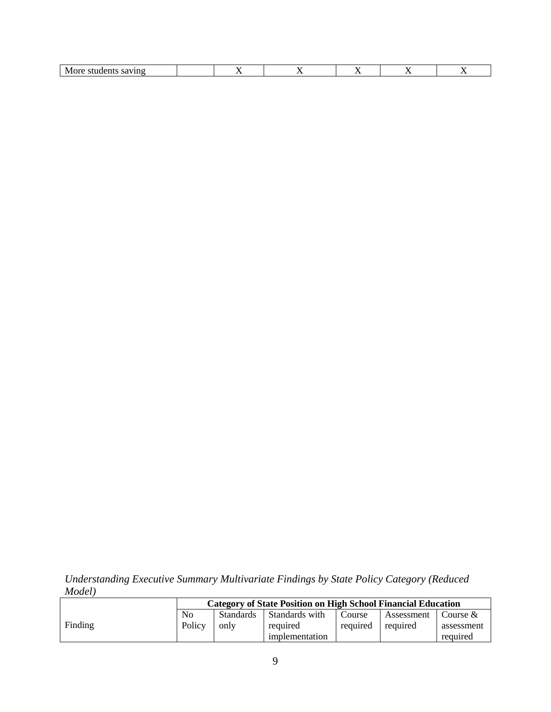| N/<br>νr<br><br>,,,<br><br>70. | - - |  |  |
|--------------------------------|-----|--|--|
|                                |     |  |  |

*Understanding Executive Summary Multivariate Findings by State Policy Category (Reduced Model)*

|         |                | Category of State Position on High School Financial Education |                |          |            |            |
|---------|----------------|---------------------------------------------------------------|----------------|----------|------------|------------|
|         | N <sub>0</sub> | <b>Standards</b>                                              | Standards with | Course   | Assessment | Course &   |
| Finding | Policy         | only                                                          | required       | required | required   | assessment |
|         |                |                                                               | implementation |          |            | required   |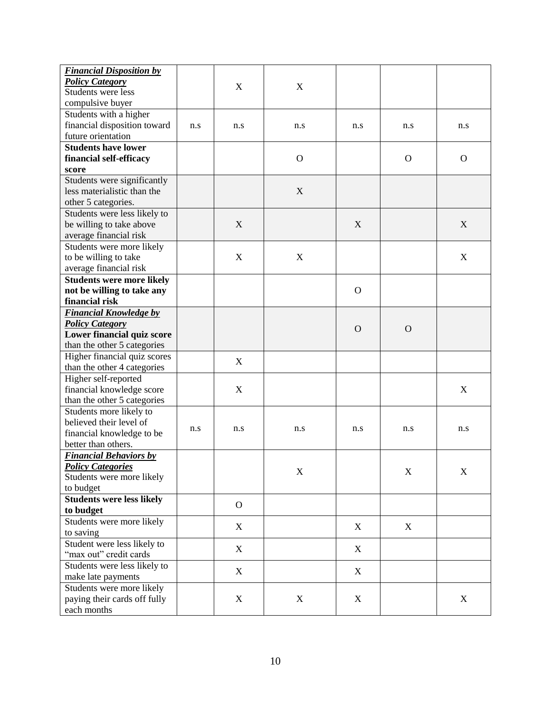| <b>Financial Disposition by</b>  |     |              |                |              |              |             |
|----------------------------------|-----|--------------|----------------|--------------|--------------|-------------|
| <b>Policy Category</b>           |     | X            | X              |              |              |             |
| Students were less               |     |              |                |              |              |             |
| compulsive buyer                 |     |              |                |              |              |             |
| Students with a higher           |     |              |                |              |              |             |
| financial disposition toward     | n.s | n.s          | n.s            | n.s          | n.s          | n.s         |
| future orientation               |     |              |                |              |              |             |
| <b>Students have lower</b>       |     |              |                |              |              |             |
| financial self-efficacy          |     |              | $\overline{O}$ |              | $\mathbf{O}$ | $\Omega$    |
| score                            |     |              |                |              |              |             |
| Students were significantly      |     |              |                |              |              |             |
| less materialistic than the      |     |              | X              |              |              |             |
| other 5 categories.              |     |              |                |              |              |             |
| Students were less likely to     |     |              |                |              |              |             |
| be willing to take above         |     | X            |                | X            |              | X           |
| average financial risk           |     |              |                |              |              |             |
| Students were more likely        |     |              |                |              |              |             |
| to be willing to take            |     | $\mathbf X$  | $\mathbf X$    |              |              | X           |
| average financial risk           |     |              |                |              |              |             |
| <b>Students were more likely</b> |     |              |                |              |              |             |
| not be willing to take any       |     |              |                | $\mathbf{O}$ |              |             |
| financial risk                   |     |              |                |              |              |             |
| <b>Financial Knowledge by</b>    |     |              |                |              |              |             |
| <b>Policy Category</b>           |     |              |                |              |              |             |
| Lower financial quiz score       |     |              |                | $\Omega$     | $\Omega$     |             |
| than the other 5 categories      |     |              |                |              |              |             |
| Higher financial quiz scores     |     |              |                |              |              |             |
| than the other 4 categories      |     | X            |                |              |              |             |
| Higher self-reported             |     |              |                |              |              |             |
| financial knowledge score        |     | X            |                |              |              | X           |
| than the other 5 categories      |     |              |                |              |              |             |
| Students more likely to          |     |              |                |              |              |             |
| believed their level of          |     |              |                |              |              |             |
| financial knowledge to be        | n.s | n.s          | n.s            | n.s          | n.s          | n.s         |
| better than others.              |     |              |                |              |              |             |
| <b>Financial Behaviors by</b>    |     |              |                |              |              |             |
| <b>Policy Categories</b>         |     |              |                |              |              |             |
| Students were more likely        |     |              | X              |              | $\mathbf X$  | $\mathbf X$ |
| to budget                        |     |              |                |              |              |             |
| <b>Students were less likely</b> |     |              |                |              |              |             |
| to budget                        |     | $\mathbf{O}$ |                |              |              |             |
| Students were more likely        |     |              |                |              |              |             |
| to saving                        |     | X            |                | X            | X            |             |
| Student were less likely to      |     |              |                |              |              |             |
| "max out" credit cards           |     | X            |                | X            |              |             |
| Students were less likely to     |     |              |                |              |              |             |
| make late payments               |     | X            |                | X            |              |             |
| Students were more likely        |     |              |                |              |              |             |
| paying their cards off fully     |     | X            | $\mathbf X$    | X            |              | X           |
| each months                      |     |              |                |              |              |             |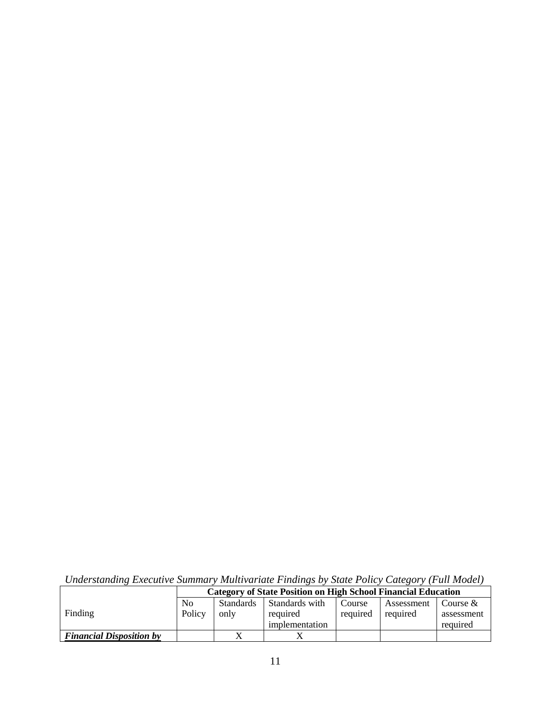|                                 |                | <b>Category of State Position on High School Financial Education</b> |                |          |            |            |
|---------------------------------|----------------|----------------------------------------------------------------------|----------------|----------|------------|------------|
|                                 | N <sub>0</sub> | <b>Standards</b>                                                     | Standards with | Course   | Assessment | Course &   |
| Finding                         | Policy         | only                                                                 | required       | required | required   | assessment |
|                                 |                |                                                                      | implementation |          |            | required   |
| <b>Financial Disposition by</b> |                |                                                                      |                |          |            |            |

*Understanding Executive Summary Multivariate Findings by State Policy Category (Full Model)*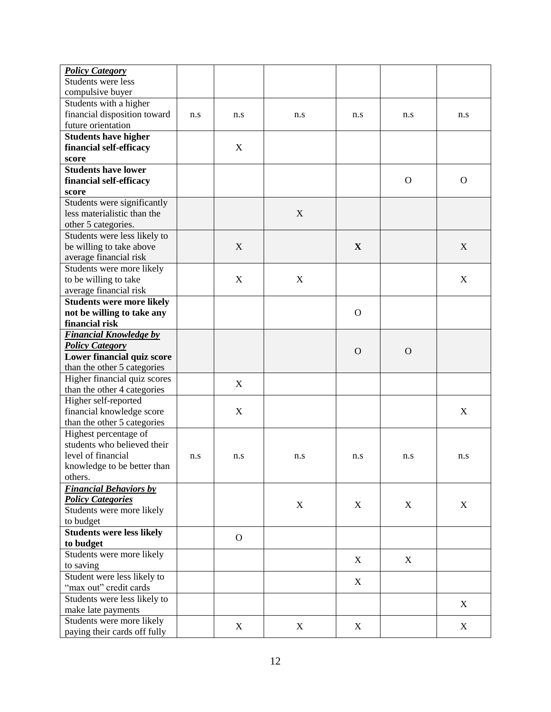| <b>Policy Category</b>           |     |                  |             |                |             |              |
|----------------------------------|-----|------------------|-------------|----------------|-------------|--------------|
| Students were less               |     |                  |             |                |             |              |
| compulsive buyer                 |     |                  |             |                |             |              |
| Students with a higher           |     |                  |             |                |             |              |
|                                  |     |                  |             |                |             |              |
| financial disposition toward     | n.s | n.s              | n.s         | n.s            | n.s         | n.s          |
| future orientation               |     |                  |             |                |             |              |
| <b>Students have higher</b>      |     |                  |             |                |             |              |
| financial self-efficacy          |     | X                |             |                |             |              |
| score                            |     |                  |             |                |             |              |
| <b>Students have lower</b>       |     |                  |             |                |             |              |
| financial self-efficacy          |     |                  |             |                | $\mathbf O$ | $\mathbf{O}$ |
| score                            |     |                  |             |                |             |              |
| Students were significantly      |     |                  |             |                |             |              |
| less materialistic than the      |     |                  | $\mathbf X$ |                |             |              |
| other 5 categories.              |     |                  |             |                |             |              |
| Students were less likely to     |     |                  |             |                |             |              |
| be willing to take above         |     | X                |             | $\mathbf X$    |             | X            |
|                                  |     |                  |             |                |             |              |
| average financial risk           |     |                  |             |                |             |              |
| Students were more likely        |     |                  |             |                |             |              |
| to be willing to take            |     | $\boldsymbol{X}$ | X           |                |             | X            |
| average financial risk           |     |                  |             |                |             |              |
| <b>Students were more likely</b> |     |                  |             |                |             |              |
| not be willing to take any       |     |                  |             | $\mathbf{O}$   |             |              |
| financial risk                   |     |                  |             |                |             |              |
| <b>Financial Knowledge by</b>    |     |                  |             |                |             |              |
| <b>Policy Category</b>           |     |                  |             |                |             |              |
| Lower financial quiz score       |     |                  |             | $\overline{O}$ | $\Omega$    |              |
| than the other 5 categories      |     |                  |             |                |             |              |
| Higher financial quiz scores     |     |                  |             |                |             |              |
| than the other 4 categories      |     | X                |             |                |             |              |
| Higher self-reported             |     |                  |             |                |             |              |
| financial knowledge score        |     | $\boldsymbol{X}$ |             |                |             | X            |
|                                  |     |                  |             |                |             |              |
| than the other 5 categories      |     |                  |             |                |             |              |
| Highest percentage of            |     |                  |             |                |             |              |
| students who believed their      |     |                  |             |                |             |              |
| level of financial               | n.s | n.s              | n.s         | n.s            | n.s         | n.s          |
| knowledge to be better than      |     |                  |             |                |             |              |
| others.                          |     |                  |             |                |             |              |
| <b>Financial Behaviors by</b>    |     |                  |             |                |             |              |
| <b>Policy Categories</b>         |     |                  |             |                |             |              |
| Students were more likely        |     |                  | $\mathbf X$ | X              | X           | X            |
| to budget                        |     |                  |             |                |             |              |
| <b>Students were less likely</b> |     |                  |             |                |             |              |
| to budget                        |     | $\mathbf{O}$     |             |                |             |              |
| Students were more likely        |     |                  |             |                |             |              |
| to saving                        |     |                  |             | X              | X           |              |
| Student were less likely to      |     |                  |             |                |             |              |
|                                  |     |                  |             | X              |             |              |
| "max out" credit cards           |     |                  |             |                |             |              |
| Students were less likely to     |     |                  |             |                |             | X            |
| make late payments               |     |                  |             |                |             |              |
| Students were more likely        |     | X                | X           | X              |             | $\mathbf X$  |
| paying their cards off fully     |     |                  |             |                |             |              |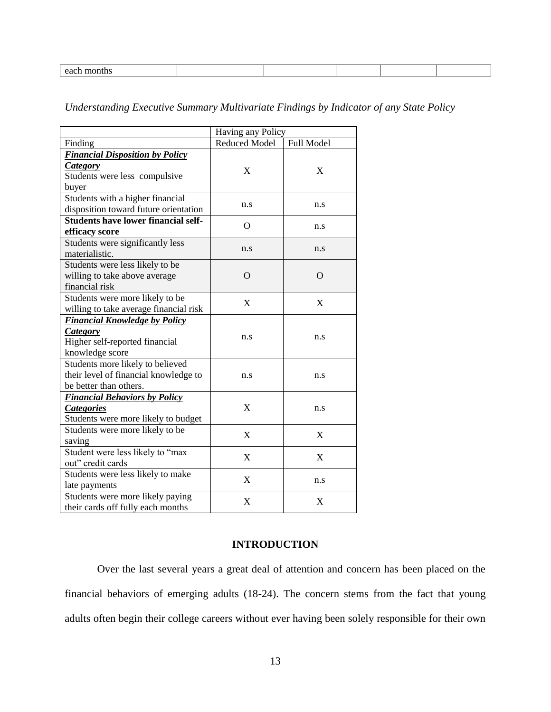|  | ы<br>--- |  |  |  |  |  |  |
|--|----------|--|--|--|--|--|--|
|--|----------|--|--|--|--|--|--|

## *Understanding Executive Summary Multivariate Findings by Indicator of any State Policy*

|                                            | Having any Policy |            |  |
|--------------------------------------------|-------------------|------------|--|
| Finding                                    | Reduced Model     | Full Model |  |
| <b>Financial Disposition by Policy</b>     |                   |            |  |
| <b>Category</b>                            | X                 | X          |  |
| Students were less compulsive              |                   |            |  |
| buyer                                      |                   |            |  |
| Students with a higher financial           | n.s               | n.s        |  |
| disposition toward future orientation      |                   |            |  |
| <b>Students have lower financial self-</b> | $\Omega$          |            |  |
| efficacy score                             |                   | n.s        |  |
| Students were significantly less           | n.s               | n.s        |  |
| materialistic.                             |                   |            |  |
| Students were less likely to be            |                   |            |  |
| willing to take above average              | $\Omega$          | $\Omega$   |  |
| financial risk                             |                   |            |  |
| Students were more likely to be            | X                 | X          |  |
| willing to take average financial risk     |                   |            |  |
| <b>Financial Knowledge by Policy</b>       |                   |            |  |
| <b>Category</b>                            |                   |            |  |
| Higher self-reported financial             | n.s               | n.s        |  |
| knowledge score                            |                   |            |  |
| Students more likely to believed           |                   |            |  |
| their level of financial knowledge to      | n.s               | n.s        |  |
| be better than others.                     |                   |            |  |
| <b>Financial Behaviors by Policy</b>       |                   |            |  |
| <b>Categories</b>                          | X                 | n.s        |  |
| Students were more likely to budget        |                   |            |  |
| Students were more likely to be            |                   | X          |  |
| saving                                     | X                 |            |  |
| Student were less likely to "max           | X                 | X          |  |
| out" credit cards                          |                   |            |  |
| Students were less likely to make          |                   |            |  |
| late payments                              | X                 | n.s        |  |
| Students were more likely paying           | X                 | X          |  |
| their cards off fully each months          |                   |            |  |

## **INTRODUCTION**

<span id="page-12-0"></span>Over the last several years a great deal of attention and concern has been placed on the financial behaviors of emerging adults (18-24). The concern stems from the fact that young adults often begin their college careers without ever having been solely responsible for their own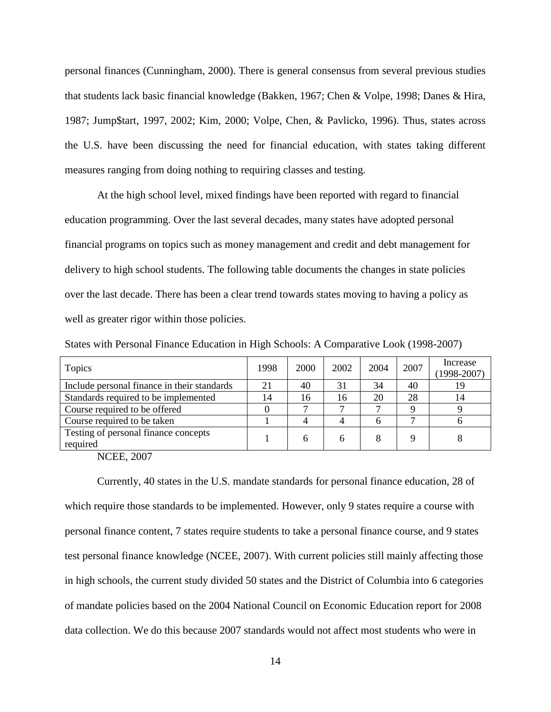personal finances (Cunningham, 2000). There is general consensus from several previous studies that students lack basic financial knowledge (Bakken, 1967; Chen & Volpe, 1998; Danes & Hira, 1987; Jump\$tart, 1997, 2002; Kim, 2000; Volpe, Chen, & Pavlicko, 1996). Thus, states across the U.S. have been discussing the need for financial education, with states taking different measures ranging from doing nothing to requiring classes and testing.

At the high school level, mixed findings have been reported with regard to financial education programming. Over the last several decades, many states have adopted personal financial programs on topics such as money management and credit and debt management for delivery to high school students. The following table documents the changes in state policies over the last decade. There has been a clear trend towards states moving to having a policy as well as greater rigor within those policies.

States with Personal Finance Education in High Schools: A Comparative Look (1998-2007)

| Topics                                           | 1998 | 2000 | 2002 | 2004 | 2007 | Increase<br>$(1998 - 2007)$ |
|--------------------------------------------------|------|------|------|------|------|-----------------------------|
| Include personal finance in their standards      | 21   | 40   | 31   | 34   | 40   | 19                          |
| Standards required to be implemented             | 14   | 16   | 16   | 20   | 28   | 14                          |
| Course required to be offered                    |      |      |      |      |      |                             |
| Course required to be taken                      |      |      |      |      |      |                             |
| Testing of personal finance concepts<br>required |      | 6    |      |      |      |                             |

NCEE, 2007

Currently, 40 states in the U.S. mandate standards for personal finance education, 28 of which require those standards to be implemented. However, only 9 states require a course with personal finance content, 7 states require students to take a personal finance course, and 9 states test personal finance knowledge (NCEE, 2007). With current policies still mainly affecting those in high schools, the current study divided 50 states and the District of Columbia into 6 categories of mandate policies based on the 2004 National Council on Economic Education report for 2008 data collection. We do this because 2007 standards would not affect most students who were in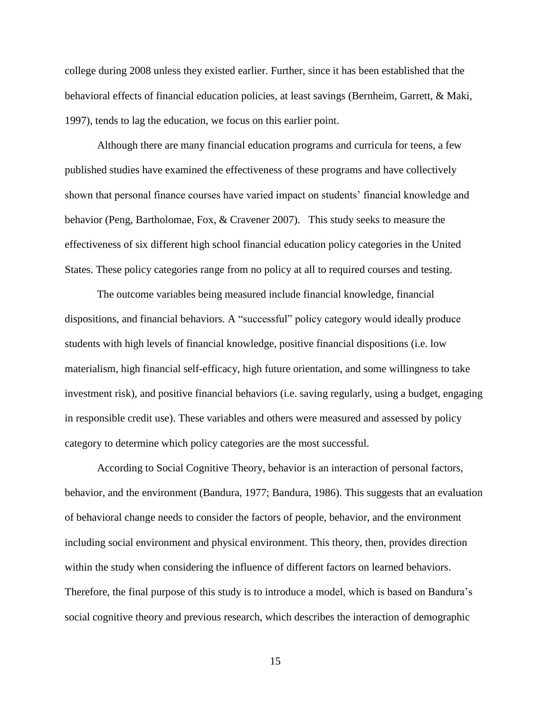college during 2008 unless they existed earlier. Further, since it has been established that the behavioral effects of financial education policies, at least savings (Bernheim, Garrett, & Maki, 1997), tends to lag the education, we focus on this earlier point.

Although there are many financial education programs and curricula for teens, a few published studies have examined the effectiveness of these programs and have collectively shown that personal finance courses have varied impact on students' financial knowledge and behavior (Peng, Bartholomae, Fox, & Cravener 2007). This study seeks to measure the effectiveness of six different high school financial education policy categories in the United States. These policy categories range from no policy at all to required courses and testing.

The outcome variables being measured include financial knowledge, financial dispositions, and financial behaviors. A "successful" policy category would ideally produce students with high levels of financial knowledge, positive financial dispositions (i.e. low materialism, high financial self-efficacy, high future orientation, and some willingness to take investment risk), and positive financial behaviors (i.e. saving regularly, using a budget, engaging in responsible credit use). These variables and others were measured and assessed by policy category to determine which policy categories are the most successful.

According to Social Cognitive Theory, behavior is an interaction of personal factors, behavior, and the environment (Bandura, 1977; Bandura, 1986). This suggests that an evaluation of behavioral change needs to consider the factors of people, behavior, and the environment including social environment and physical environment. This theory, then, provides direction within the study when considering the influence of different factors on learned behaviors. Therefore, the final purpose of this study is to introduce a model, which is based on Bandura's social cognitive theory and previous research, which describes the interaction of demographic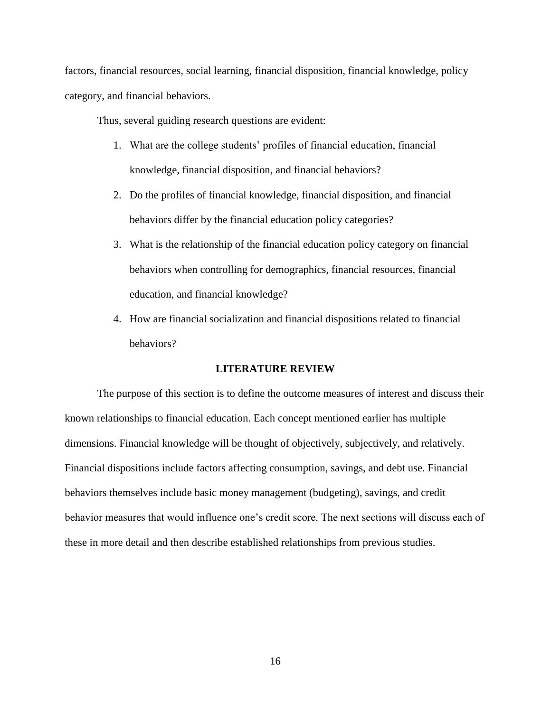factors, financial resources, social learning, financial disposition, financial knowledge, policy category, and financial behaviors.

Thus, several guiding research questions are evident:

- 1. What are the college students' profiles of financial education, financial knowledge, financial disposition, and financial behaviors?
- 2. Do the profiles of financial knowledge, financial disposition, and financial behaviors differ by the financial education policy categories?
- 3. What is the relationship of the financial education policy category on financial behaviors when controlling for demographics, financial resources, financial education, and financial knowledge?
- 4. How are financial socialization and financial dispositions related to financial behaviors?

### **LITERATURE REVIEW**

<span id="page-15-0"></span>The purpose of this section is to define the outcome measures of interest and discuss their known relationships to financial education. Each concept mentioned earlier has multiple dimensions. Financial knowledge will be thought of objectively, subjectively, and relatively. Financial dispositions include factors affecting consumption, savings, and debt use. Financial behaviors themselves include basic money management (budgeting), savings, and credit behavior measures that would influence one's credit score. The next sections will discuss each of these in more detail and then describe established relationships from previous studies.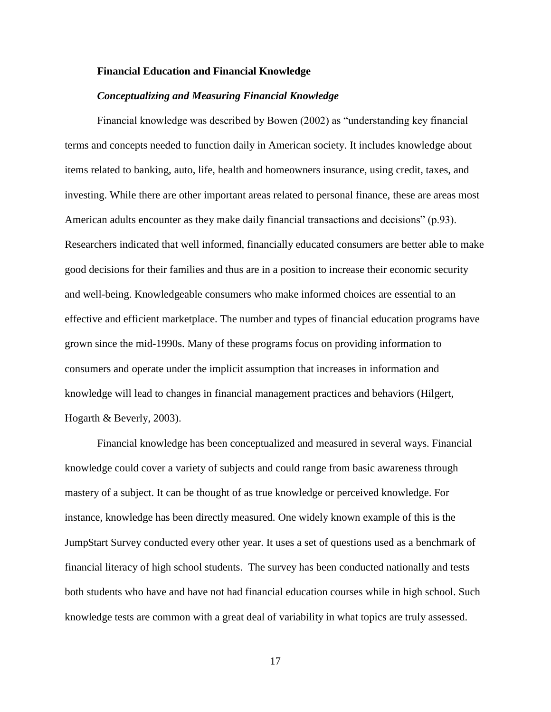#### <span id="page-16-0"></span>**Financial Education and Financial Knowledge**

#### *Conceptualizing and Measuring Financial Knowledge*

<span id="page-16-1"></span>Financial knowledge was described by Bowen (2002) as "understanding key financial terms and concepts needed to function daily in American society. It includes knowledge about items related to banking, auto, life, health and homeowners insurance, using credit, taxes, and investing. While there are other important areas related to personal finance, these are areas most American adults encounter as they make daily financial transactions and decisions" (p.93). Researchers indicated that well informed, financially educated consumers are better able to make good decisions for their families and thus are in a position to increase their economic security and well-being. Knowledgeable consumers who make informed choices are essential to an effective and efficient marketplace. The number and types of financial education programs have grown since the mid-1990s. Many of these programs focus on providing information to consumers and operate under the implicit assumption that increases in information and knowledge will lead to changes in financial management practices and behaviors (Hilgert, Hogarth & Beverly, 2003).

Financial knowledge has been conceptualized and measured in several ways. Financial knowledge could cover a variety of subjects and could range from basic awareness through mastery of a subject. It can be thought of as true knowledge or perceived knowledge. For instance, knowledge has been directly measured. One widely known example of this is the Jump\$tart Survey conducted every other year. It uses a set of questions used as a benchmark of financial literacy of high school students. The survey has been conducted nationally and tests both students who have and have not had financial education courses while in high school. Such knowledge tests are common with a great deal of variability in what topics are truly assessed.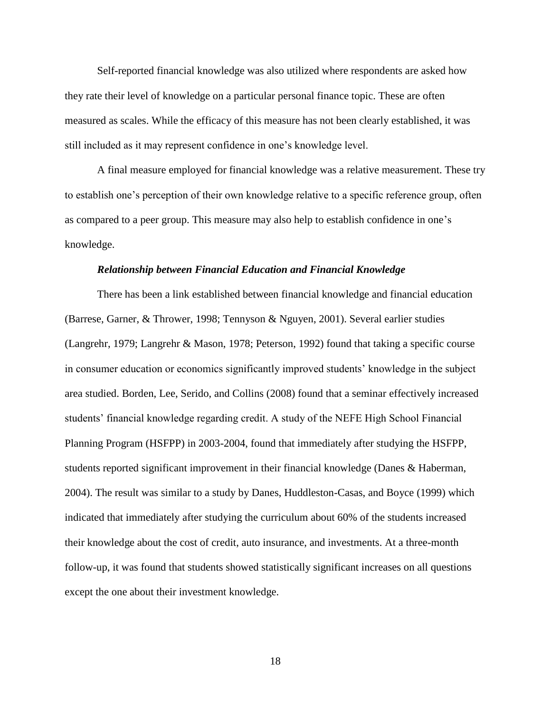Self-reported financial knowledge was also utilized where respondents are asked how they rate their level of knowledge on a particular personal finance topic. These are often measured as scales. While the efficacy of this measure has not been clearly established, it was still included as it may represent confidence in one's knowledge level.

A final measure employed for financial knowledge was a relative measurement. These try to establish one's perception of their own knowledge relative to a specific reference group, often as compared to a peer group. This measure may also help to establish confidence in one's knowledge.

#### *Relationship between Financial Education and Financial Knowledge*

<span id="page-17-0"></span>There has been a link established between financial knowledge and financial education (Barrese, Garner, & Thrower, 1998; Tennyson & Nguyen, 2001). Several earlier studies (Langrehr, 1979; Langrehr & Mason, 1978; Peterson, 1992) found that taking a specific course in consumer education or economics significantly improved students' knowledge in the subject area studied. Borden, Lee, Serido, and Collins (2008) found that a seminar effectively increased students' financial knowledge regarding credit. A study of the NEFE High School Financial Planning Program (HSFPP) in 2003-2004, found that immediately after studying the HSFPP, students reported significant improvement in their financial knowledge (Danes & Haberman, 2004). The result was similar to a study by Danes, Huddleston-Casas, and Boyce (1999) which indicated that immediately after studying the curriculum about 60% of the students increased their knowledge about the cost of credit, auto insurance, and investments. At a three-month follow-up, it was found that students showed statistically significant increases on all questions except the one about their investment knowledge.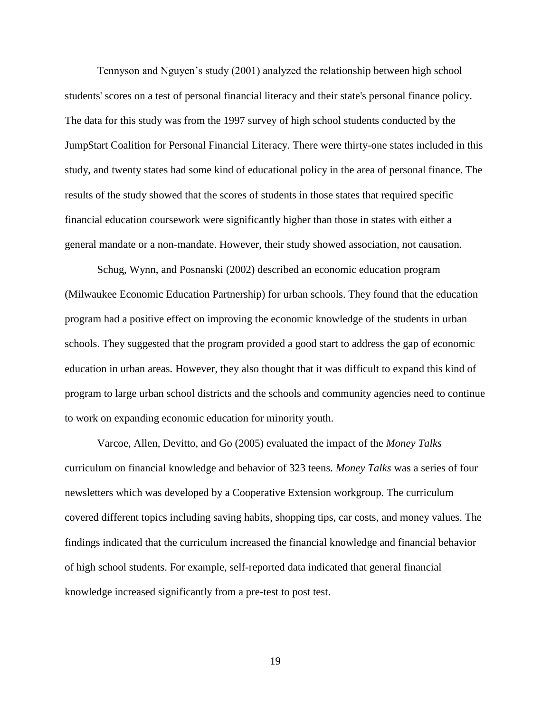Tennyson and Nguyen's study (2001) analyzed the relationship between high school students' scores on a test of personal financial literacy and their state's personal finance policy. The data for this study was from the 1997 survey of high school students conducted by the Jump\$tart Coalition for Personal Financial Literacy. There were thirty-one states included in this study, and twenty states had some kind of educational policy in the area of personal finance. The results of the study showed that the scores of students in those states that required specific financial education coursework were significantly higher than those in states with either a general mandate or a non-mandate. However, their study showed association, not causation.

Schug, Wynn, and Posnanski (2002) described an economic education program (Milwaukee Economic Education Partnership) for urban schools. They found that the education program had a positive effect on improving the economic knowledge of the students in urban schools. They suggested that the program provided a good start to address the gap of economic education in urban areas. However, they also thought that it was difficult to expand this kind of program to large urban school districts and the schools and community agencies need to continue to work on expanding economic education for minority youth.

Varcoe, Allen, Devitto, and Go (2005) evaluated the impact of the *Money Talks*  curriculum on financial knowledge and behavior of 323 teens. *Money Talks* was a series of four newsletters which was developed by a Cooperative Extension workgroup. The curriculum covered different topics including saving habits, shopping tips, car costs, and money values. The findings indicated that the curriculum increased the financial knowledge and financial behavior of high school students. For example, self-reported data indicated that general financial knowledge increased significantly from a pre-test to post test.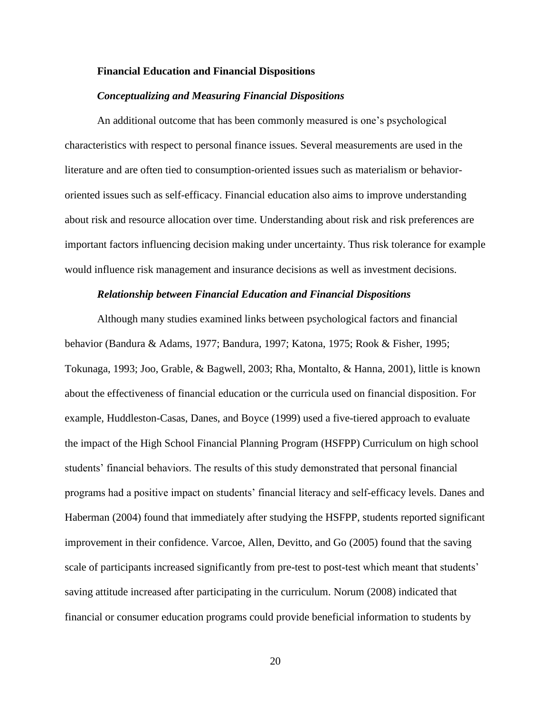#### <span id="page-19-0"></span>**Financial Education and Financial Dispositions**

#### *Conceptualizing and Measuring Financial Dispositions*

<span id="page-19-1"></span>An additional outcome that has been commonly measured is one's psychological characteristics with respect to personal finance issues. Several measurements are used in the literature and are often tied to consumption-oriented issues such as materialism or behaviororiented issues such as self-efficacy. Financial education also aims to improve understanding about risk and resource allocation over time. Understanding about risk and risk preferences are important factors influencing decision making under uncertainty. Thus risk tolerance for example would influence risk management and insurance decisions as well as investment decisions.

#### *Relationship between Financial Education and Financial Dispositions*

<span id="page-19-2"></span>Although many studies examined links between psychological factors and financial behavior (Bandura & Adams, 1977; Bandura, 1997; Katona, 1975; Rook & Fisher, 1995; Tokunaga, 1993; Joo, Grable, & Bagwell, 2003; Rha, Montalto, & Hanna, 2001), little is known about the effectiveness of financial education or the curricula used on financial disposition. For example, Huddleston-Casas, Danes, and Boyce (1999) used a five-tiered approach to evaluate the impact of the High School Financial Planning Program (HSFPP) Curriculum on high school students' financial behaviors. The results of this study demonstrated that personal financial programs had a positive impact on students' financial literacy and self-efficacy levels. Danes and Haberman (2004) found that immediately after studying the HSFPP, students reported significant improvement in their confidence. Varcoe, Allen, Devitto, and Go (2005) found that the saving scale of participants increased significantly from pre-test to post-test which meant that students' saving attitude increased after participating in the curriculum. Norum (2008) indicated that financial or consumer education programs could provide beneficial information to students by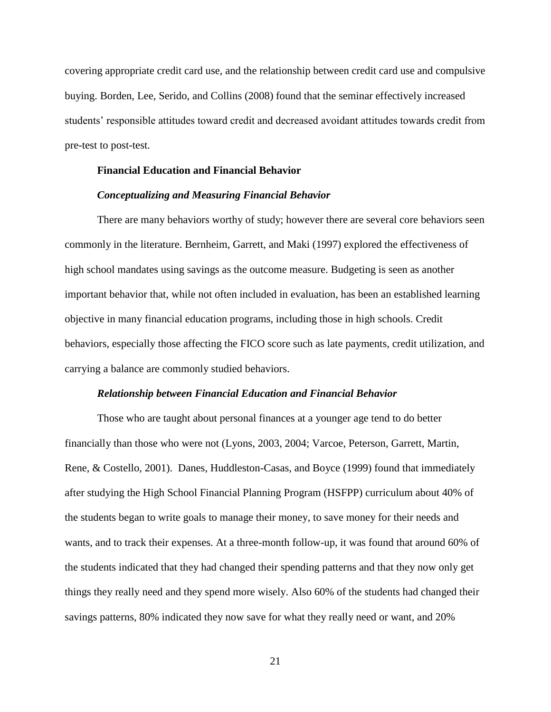covering appropriate credit card use, and the relationship between credit card use and compulsive buying. Borden, Lee, Serido, and Collins (2008) found that the seminar effectively increased students' responsible attitudes toward credit and decreased avoidant attitudes towards credit from pre-test to post-test.

### <span id="page-20-0"></span>**Financial Education and Financial Behavior**

#### *Conceptualizing and Measuring Financial Behavior*

<span id="page-20-1"></span>There are many behaviors worthy of study; however there are several core behaviors seen commonly in the literature. Bernheim, Garrett, and Maki (1997) explored the effectiveness of high school mandates using savings as the outcome measure. Budgeting is seen as another important behavior that, while not often included in evaluation, has been an established learning objective in many financial education programs, including those in high schools. Credit behaviors, especially those affecting the FICO score such as late payments, credit utilization, and carrying a balance are commonly studied behaviors.

#### *Relationship between Financial Education and Financial Behavior*

<span id="page-20-2"></span>Those who are taught about personal finances at a younger age tend to do better financially than those who were not (Lyons, 2003, 2004; Varcoe, Peterson, Garrett, Martin, Rene, & Costello, 2001). Danes, Huddleston-Casas, and Boyce (1999) found that immediately after studying the High School Financial Planning Program (HSFPP) curriculum about 40% of the students began to write goals to manage their money, to save money for their needs and wants, and to track their expenses. At a three-month follow-up, it was found that around 60% of the students indicated that they had changed their spending patterns and that they now only get things they really need and they spend more wisely. Also 60% of the students had changed their savings patterns, 80% indicated they now save for what they really need or want, and 20%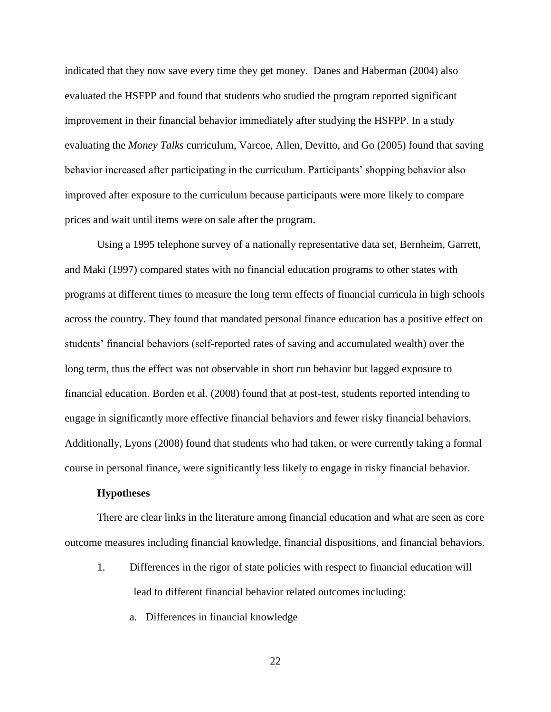indicated that they now save every time they get money. Danes and Haberman (2004) also evaluated the HSFPP and found that students who studied the program reported significant improvement in their financial behavior immediately after studying the HSFPP. In a study evaluating the *Money Talks* curriculum, Varcoe, Allen, Devitto, and Go (2005) found that saving behavior increased after participating in the curriculum. Participants' shopping behavior also improved after exposure to the curriculum because participants were more likely to compare prices and wait until items were on sale after the program.

Using a 1995 telephone survey of a nationally representative data set, Bernheim, Garrett, and Maki (1997) compared states with no financial education programs to other states with programs at different times to measure the long term effects of financial curricula in high schools across the country. They found that mandated personal finance education has a positive effect on students' financial behaviors (self-reported rates of saving and accumulated wealth) over the long term, thus the effect was not observable in short run behavior but lagged exposure to financial education. Borden et al. (2008) found that at post-test, students reported intending to engage in significantly more effective financial behaviors and fewer risky financial behaviors. Additionally, Lyons (2008) found that students who had taken, or were currently taking a formal course in personal finance, were significantly less likely to engage in risky financial behavior.

### **Hypotheses**

<span id="page-21-0"></span>There are clear links in the literature among financial education and what are seen as core outcome measures including financial knowledge, financial dispositions, and financial behaviors.

1. Differences in the rigor of state policies with respect to financial education will lead to different financial behavior related outcomes including:

a. Differences in financial knowledge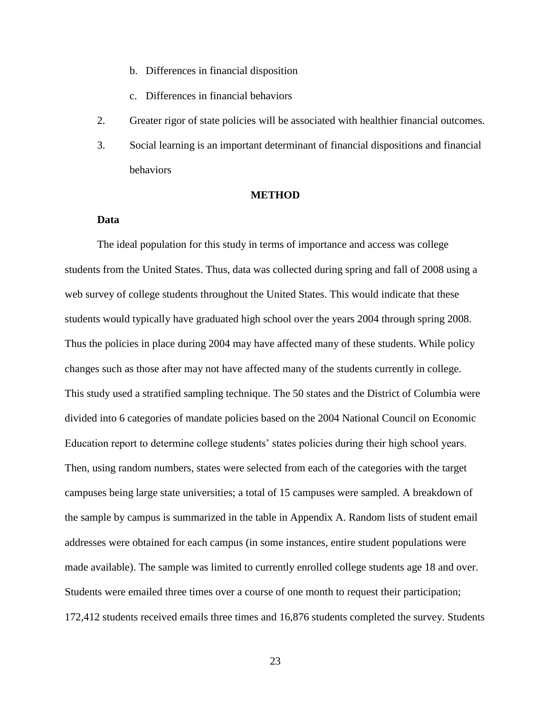- b. Differences in financial disposition
- c. Differences in financial behaviors
- 2. Greater rigor of state policies will be associated with healthier financial outcomes.
- 3. Social learning is an important determinant of financial dispositions and financial behaviors

#### **METHOD**

#### <span id="page-22-0"></span>**Data**

<span id="page-22-1"></span>The ideal population for this study in terms of importance and access was college students from the United States. Thus, data was collected during spring and fall of 2008 using a web survey of college students throughout the United States. This would indicate that these students would typically have graduated high school over the years 2004 through spring 2008. Thus the policies in place during 2004 may have affected many of these students. While policy changes such as those after may not have affected many of the students currently in college. This study used a stratified sampling technique. The 50 states and the District of Columbia were divided into 6 categories of mandate policies based on the 2004 National Council on Economic Education report to determine college students' states policies during their high school years. Then, using random numbers, states were selected from each of the categories with the target campuses being large state universities; a total of 15 campuses were sampled. A breakdown of the sample by campus is summarized in the table in Appendix A. Random lists of student email addresses were obtained for each campus (in some instances, entire student populations were made available). The sample was limited to currently enrolled college students age 18 and over. Students were emailed three times over a course of one month to request their participation; 172,412 students received emails three times and 16,876 students completed the survey. Students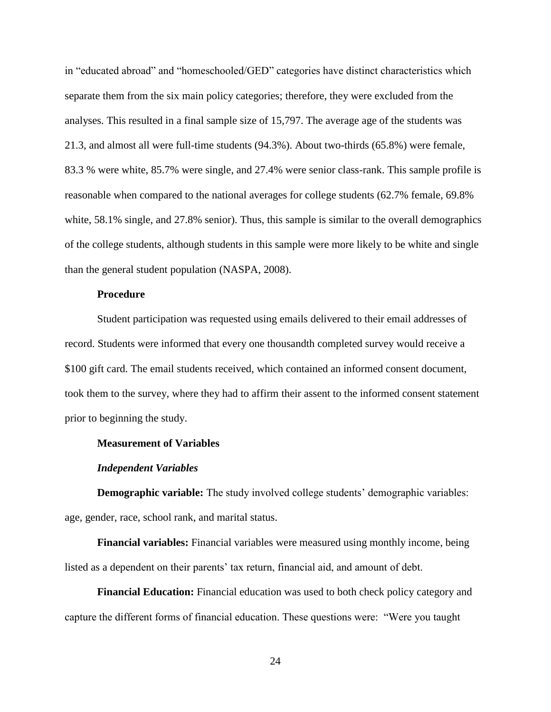in "educated abroad" and "homeschooled/GED" categories have distinct characteristics which separate them from the six main policy categories; therefore, they were excluded from the analyses. This resulted in a final sample size of 15,797. The average age of the students was 21.3, and almost all were full-time students (94.3%). About two-thirds (65.8%) were female, 83.3 % were white, 85.7% were single, and 27.4% were senior class-rank. This sample profile is reasonable when compared to the national averages for college students (62.7% female, 69.8% white, 58.1% single, and 27.8% senior). Thus, this sample is similar to the overall demographics of the college students, although students in this sample were more likely to be white and single than the general student population (NASPA, 2008).

## **Procedure**

<span id="page-23-0"></span>Student participation was requested using emails delivered to their email addresses of record. Students were informed that every one thousandth completed survey would receive a \$100 gift card. The email students received, which contained an informed consent document, took them to the survey, where they had to affirm their assent to the informed consent statement prior to beginning the study.

### <span id="page-23-1"></span>**Measurement of Variables**

#### *Independent Variables*

<span id="page-23-3"></span><span id="page-23-2"></span>**Demographic variable:** The study involved college students' demographic variables: age, gender, race, school rank, and marital status.

<span id="page-23-4"></span>**Financial variables:** Financial variables were measured using monthly income, being listed as a dependent on their parents' tax return, financial aid, and amount of debt.

<span id="page-23-5"></span>**Financial Education:** Financial education was used to both check policy category and capture the different forms of financial education. These questions were: "Were you taught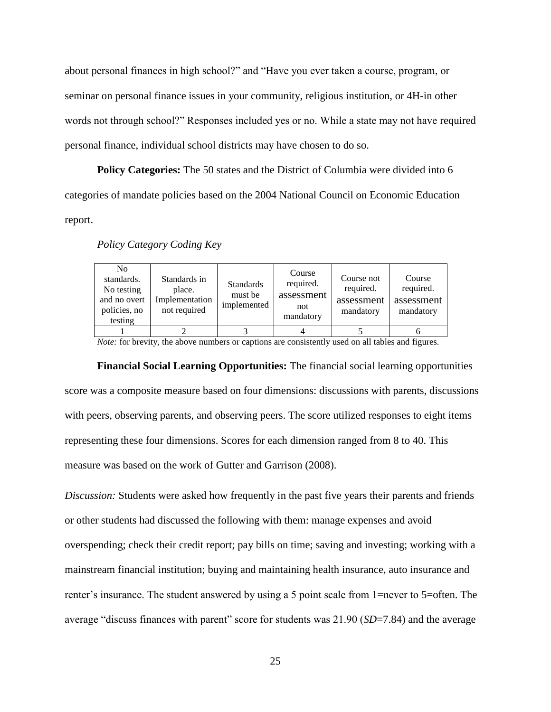about personal finances in high school?" and "Have you ever taken a course, program, or seminar on personal finance issues in your community, religious institution, or 4H-in other words not through school?" Responses included yes or no. While a state may not have required personal finance, individual school districts may have chosen to do so.

<span id="page-24-0"></span>**Policy Categories:** The 50 states and the District of Columbia were divided into 6 categories of mandate policies based on the 2004 National Council on Economic Education report.

| N <sub>0</sub><br>standards.<br>No testing<br>and no overt<br>policies, no<br>testing | Standards in<br>place.<br>Implementation<br>not required | <b>Standards</b><br>must be<br>implemented | Course<br>required.<br>assessment<br>not<br>mandatory | Course not<br>required.<br>assessment<br>mandatory | Course<br>required.<br>assessment<br>mandatory |
|---------------------------------------------------------------------------------------|----------------------------------------------------------|--------------------------------------------|-------------------------------------------------------|----------------------------------------------------|------------------------------------------------|
|                                                                                       |                                                          |                                            |                                                       |                                                    |                                                |

### *Policy Category Coding Key*

*Note:* for brevity, the above numbers or captions are consistently used on all tables and figures.

<span id="page-24-1"></span>**Financial Social Learning Opportunities:** The financial social learning opportunities score was a composite measure based on four dimensions: discussions with parents, discussions with peers, observing parents, and observing peers. The score utilized responses to eight items representing these four dimensions. Scores for each dimension ranged from 8 to 40. This measure was based on the work of Gutter and Garrison (2008).

*Discussion:* Students were asked how frequently in the past five years their parents and friends or other students had discussed the following with them: manage expenses and avoid overspending; check their credit report; pay bills on time; saving and investing; working with a mainstream financial institution; buying and maintaining health insurance, auto insurance and renter's insurance. The student answered by using a 5 point scale from 1=never to 5=often. The average "discuss finances with parent" score for students was 21.90 (*SD*=7.84) and the average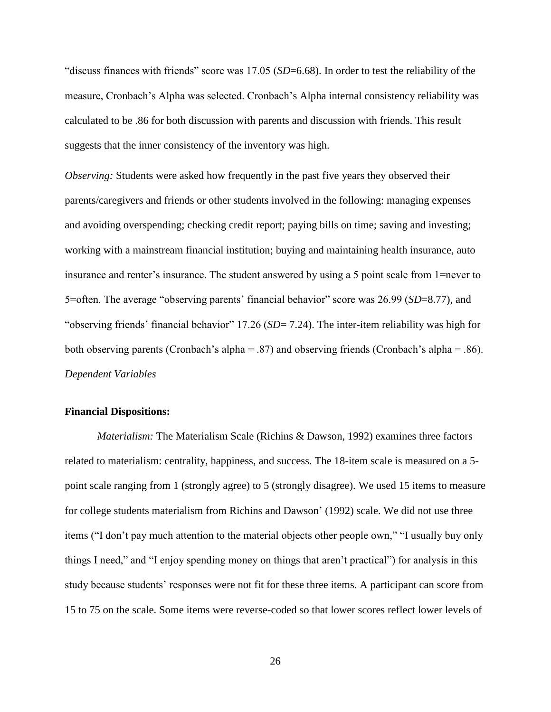"discuss finances with friends" score was  $17.05$  ( $SD=6.68$ ). In order to test the reliability of the measure, Cronbach's Alpha was selected. Cronbach's Alpha internal consistency reliability was calculated to be .86 for both discussion with parents and discussion with friends. This result suggests that the inner consistency of the inventory was high.

*Observing:* Students were asked how frequently in the past five years they observed their parents/caregivers and friends or other students involved in the following: managing expenses and avoiding overspending; checking credit report; paying bills on time; saving and investing; working with a mainstream financial institution; buying and maintaining health insurance, auto insurance and renter's insurance. The student answered by using a 5 point scale from 1=never to 5=often. The average "observing parents' financial behavior" score was 26.99 (*SD*=8.77), and "observing friends' financial behavior" 17.26 (*SD*= 7.24). The inter-item reliability was high for both observing parents (Cronbach's alpha = .87) and observing friends (Cronbach's alpha = .86). *Dependent Variables*

### <span id="page-25-1"></span><span id="page-25-0"></span>**Financial Dispositions:**

*Materialism:* The Materialism Scale (Richins & Dawson, 1992) examines three factors related to materialism: centrality, happiness, and success. The 18-item scale is measured on a 5 point scale ranging from 1 (strongly agree) to 5 (strongly disagree). We used 15 items to measure for college students materialism from Richins and Dawson' (1992) scale. We did not use three items ("I don't pay much attention to the material objects other people own," "I usually buy only things I need," and "I enjoy spending money on things that aren't practical") for analysis in this study because students' responses were not fit for these three items. A participant can score from 15 to 75 on the scale. Some items were reverse-coded so that lower scores reflect lower levels of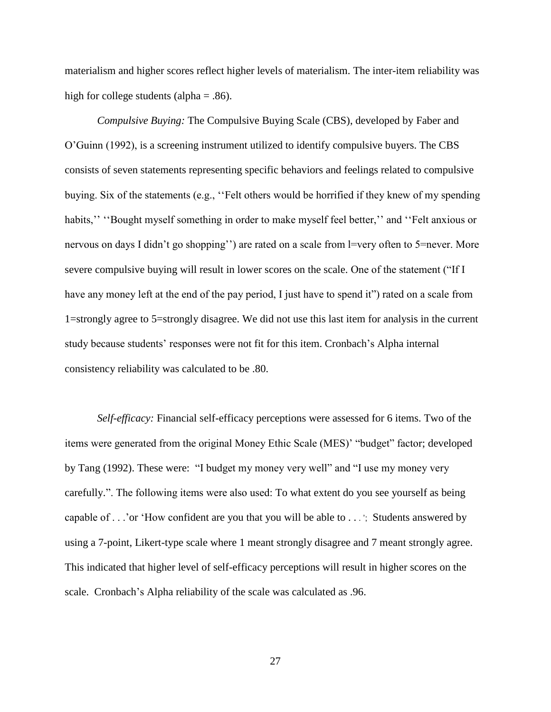materialism and higher scores reflect higher levels of materialism. The inter-item reliability was high for college students (alpha  $= .86$ ).

*Compulsive Buying:* The Compulsive Buying Scale (CBS), developed by Faber and O'Guinn (1992), is a screening instrument utilized to identify compulsive buyers. The CBS consists of seven statements representing specific behaviors and feelings related to compulsive buying. Six of the statements (e.g., "Felt others would be horrified if they knew of my spending habits," "Bought myself something in order to make myself feel better," and "Felt anxious or nervous on days I didn't go shopping'') are rated on a scale from  $l=$ very often to 5=never. More severe compulsive buying will result in lower scores on the scale. One of the statement ("If I have any money left at the end of the pay period, I just have to spend it") rated on a scale from 1=strongly agree to 5=strongly disagree. We did not use this last item for analysis in the current study because students' responses were not fit for this item. Cronbach's Alpha internal consistency reliability was calculated to be .80.

*Self-efficacy:* Financial self-efficacy perceptions were assessed for 6 items. Two of the items were generated from the original Money Ethic Scale (MES)' "budget" factor; developed by Tang (1992). These were: "I budget my money very well" and "I use my money very carefully.". The following items were also used: To what extent do you see yourself as being capable of . . .'or 'How confident are you that you will be able to . . .'; Students answered by using a 7-point, Likert-type scale where 1 meant strongly disagree and 7 meant strongly agree. This indicated that higher level of self-efficacy perceptions will result in higher scores on the scale. Cronbach's Alpha reliability of the scale was calculated as .96.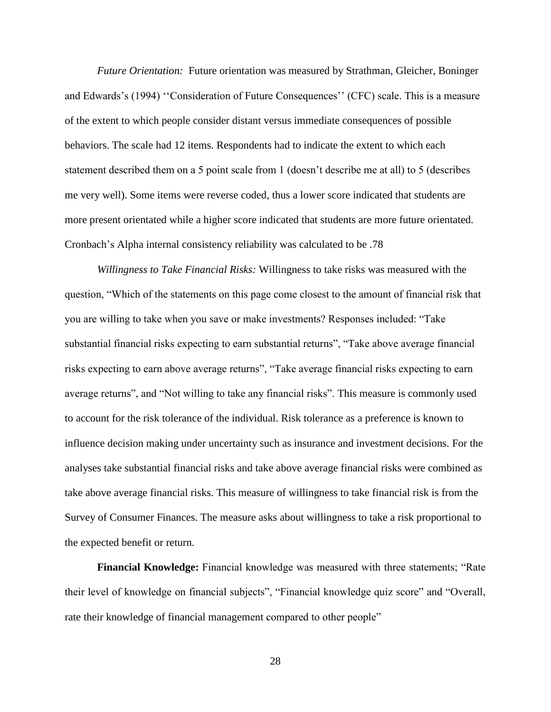*Future Orientation:* Future orientation was measured by Strathman, Gleicher, Boninger and Edwards's (1994) "Consideration of Future Consequences" (CFC) scale. This is a measure of the extent to which people consider distant versus immediate consequences of possible behaviors. The scale had 12 items. Respondents had to indicate the extent to which each statement described them on a 5 point scale from 1 (doesn't describe me at all) to 5 (describes me very well). Some items were reverse coded, thus a lower score indicated that students are more present orientated while a higher score indicated that students are more future orientated. Cronbach's Alpha internal consistency reliability was calculated to be .78

*Willingness to Take Financial Risks:* Willingness to take risks was measured with the question, ―Which of the statements on this page come closest to the amount of financial risk that you are willing to take when you save or make investments? Responses included: "Take substantial financial risks expecting to earn substantial returns", "Take above average financial risks expecting to earn above average returns", "Take average financial risks expecting to earn average returns", and "Not willing to take any financial risks". This measure is commonly used to account for the risk tolerance of the individual. Risk tolerance as a preference is known to influence decision making under uncertainty such as insurance and investment decisions. For the analyses take substantial financial risks and take above average financial risks were combined as take above average financial risks. This measure of willingness to take financial risk is from the Survey of Consumer Finances. The measure asks about willingness to take a risk proportional to the expected benefit or return.

<span id="page-27-0"></span>**Financial Knowledge:** Financial knowledge was measured with three statements; "Rate their level of knowledge on financial subjects", "Financial knowledge quiz score" and "Overall, rate their knowledge of financial management compared to other people"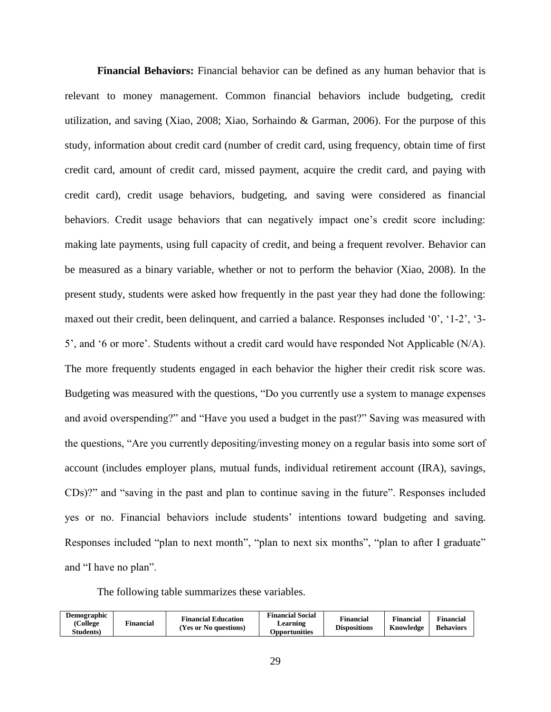<span id="page-28-0"></span>**Financial Behaviors:** Financial behavior can be defined as any human behavior that is relevant to money management. Common financial behaviors include budgeting, credit utilization, and saving (Xiao, 2008; Xiao, Sorhaindo & Garman, 2006). For the purpose of this study, information about credit card (number of credit card, using frequency, obtain time of first credit card, amount of credit card, missed payment, acquire the credit card, and paying with credit card), credit usage behaviors, budgeting, and saving were considered as financial behaviors. Credit usage behaviors that can negatively impact one's credit score including: making late payments, using full capacity of credit, and being a frequent revolver. Behavior can be measured as a binary variable, whether or not to perform the behavior (Xiao, 2008). In the present study, students were asked how frequently in the past year they had done the following: maxed out their credit, been delinquent, and carried a balance. Responses included '0', '1-2', '3-5', and ‗6 or more'. Students without a credit card would have responded Not Applicable (N/A). The more frequently students engaged in each behavior the higher their credit risk score was. Budgeting was measured with the questions, "Do you currently use a system to manage expenses and avoid overspending?" and "Have you used a budget in the past?" Saving was measured with the questions, "Are you currently depositing/investing money on a regular basis into some sort of account (includes employer plans, mutual funds, individual retirement account (IRA), savings, CDs)?" and "saving in the past and plan to continue saving in the future". Responses included yes or no. Financial behaviors include students' intentions toward budgeting and saving. Responses included "plan to next month", "plan to next six months", "plan to after I graduate" and "I have no plan".

The following table summarizes these variables.

| <b>Demographic</b><br>(College<br><b>Students</b> ) | <b>Financial</b> | <b>Financial Education</b><br>(Yes or No questions) | <b>Financial Social</b><br>$\mu$ earning<br>Opportunities | <b>Financial</b><br><b>Dispositions</b> | <b>Financial</b><br>Knowledge | <b>Financial</b><br><b>Behaviors</b> |
|-----------------------------------------------------|------------------|-----------------------------------------------------|-----------------------------------------------------------|-----------------------------------------|-------------------------------|--------------------------------------|
|-----------------------------------------------------|------------------|-----------------------------------------------------|-----------------------------------------------------------|-----------------------------------------|-------------------------------|--------------------------------------|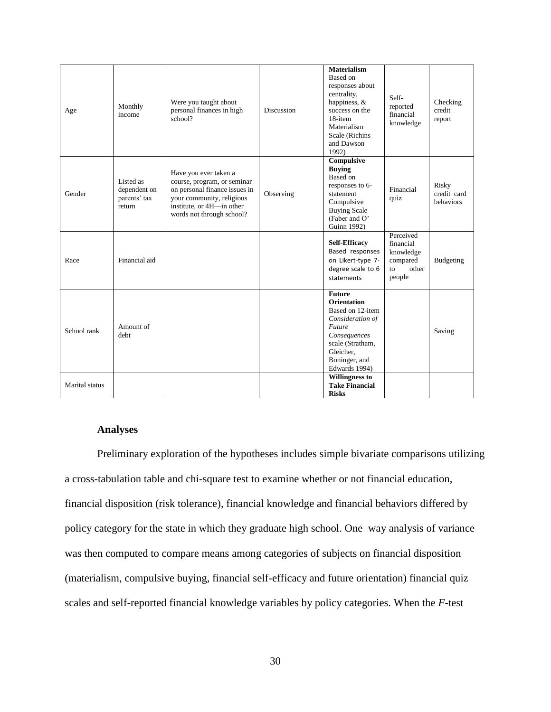| Age            | Monthly<br>income                                   | Were you taught about<br>personal finances in high<br>school?                                                                                                                | <b>Discussion</b> | <b>Materialism</b><br>Based on<br>responses about<br>centrality,<br>happiness, $&$<br>success on the<br>18-item<br>Materialism<br>Scale (Richins<br>and Dawson<br>1992)  | Self-<br>reported<br>financial<br>knowledge                              | Checking<br>credit<br>report      |
|----------------|-----------------------------------------------------|------------------------------------------------------------------------------------------------------------------------------------------------------------------------------|-------------------|--------------------------------------------------------------------------------------------------------------------------------------------------------------------------|--------------------------------------------------------------------------|-----------------------------------|
| Gender         | Listed as<br>dependent on<br>parents' tax<br>return | Have you ever taken a<br>course, program, or seminar<br>on personal finance issues in<br>your community, religious<br>institute, or 4H-in other<br>words not through school? | Observing         | Compulsive<br><b>Buying</b><br>Based on<br>responses to 6-<br>statement<br>Compulsive<br><b>Buying Scale</b><br>(Faber and O'<br>Guinn 1992)                             | Financial<br>quiz                                                        | Risky<br>credit card<br>behaviors |
| Race           | Financial aid                                       |                                                                                                                                                                              |                   | <b>Self-Efficacy</b><br>Based responses<br>on Likert-type 7-<br>degree scale to 6<br>statements                                                                          | Perceived<br>financial<br>knowledge<br>compared<br>other<br>to<br>people | Budgeting                         |
| School rank    | Amount of<br>debt                                   |                                                                                                                                                                              |                   | <b>Future</b><br><b>Orientation</b><br>Based on 12-item<br>Consideration of<br>Future<br>Consequences<br>scale (Stratham,<br>Gleicher.<br>Boninger, and<br>Edwards 1994) |                                                                          | Saving                            |
| Marital status |                                                     |                                                                                                                                                                              |                   | <b>Willingness to</b><br><b>Take Financial</b><br><b>Risks</b>                                                                                                           |                                                                          |                                   |

### **Analyses**

<span id="page-29-0"></span>Preliminary exploration of the hypotheses includes simple bivariate comparisons utilizing a cross-tabulation table and chi-square test to examine whether or not financial education, financial disposition (risk tolerance), financial knowledge and financial behaviors differed by policy category for the state in which they graduate high school. One–way analysis of variance was then computed to compare means among categories of subjects on financial disposition (materialism, compulsive buying, financial self-efficacy and future orientation) financial quiz scales and self-reported financial knowledge variables by policy categories. When the *F*-test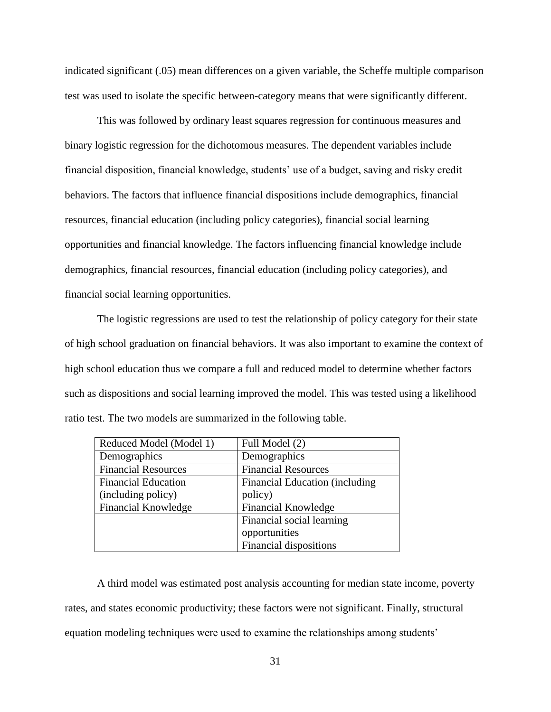indicated significant (.05) mean differences on a given variable, the Scheffe multiple comparison test was used to isolate the specific between-category means that were significantly different.

This was followed by ordinary least squares regression for continuous measures and binary logistic regression for the dichotomous measures. The dependent variables include financial disposition, financial knowledge, students' use of a budget, saving and risky credit behaviors. The factors that influence financial dispositions include demographics, financial resources, financial education (including policy categories), financial social learning opportunities and financial knowledge. The factors influencing financial knowledge include demographics, financial resources, financial education (including policy categories), and financial social learning opportunities.

The logistic regressions are used to test the relationship of policy category for their state of high school graduation on financial behaviors. It was also important to examine the context of high school education thus we compare a full and reduced model to determine whether factors such as dispositions and social learning improved the model. This was tested using a likelihood ratio test. The two models are summarized in the following table.

| Reduced Model (Model 1)    | Full Model (2)                  |
|----------------------------|---------------------------------|
| Demographics               | Demographics                    |
| <b>Financial Resources</b> | <b>Financial Resources</b>      |
| <b>Financial Education</b> | Financial Education (including) |
| (including policy)         | policy)                         |
| <b>Financial Knowledge</b> | <b>Financial Knowledge</b>      |
|                            | Financial social learning       |
|                            | opportunities                   |
|                            | Financial dispositions          |

A third model was estimated post analysis accounting for median state income, poverty rates, and states economic productivity; these factors were not significant. Finally, structural equation modeling techniques were used to examine the relationships among students'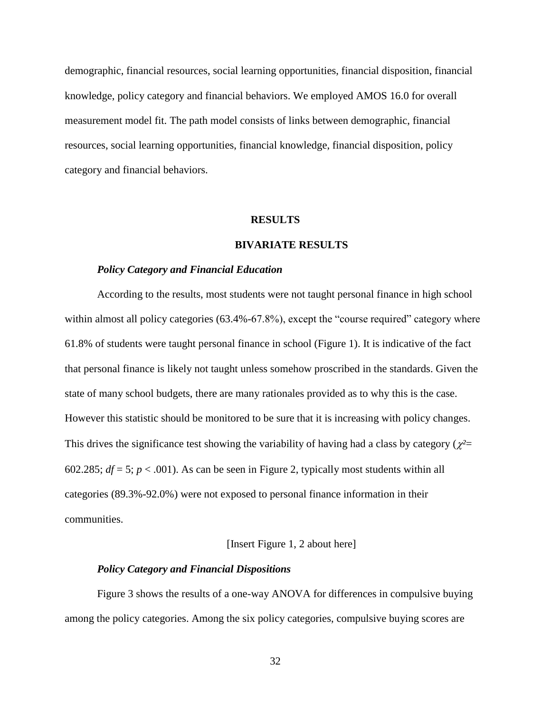demographic, financial resources, social learning opportunities, financial disposition, financial knowledge, policy category and financial behaviors. We employed AMOS 16.0 for overall measurement model fit. The path model consists of links between demographic, financial resources, social learning opportunities, financial knowledge, financial disposition, policy category and financial behaviors.

#### **RESULTS**

#### **BIVARIATE RESULTS**

#### <span id="page-31-1"></span><span id="page-31-0"></span>*Policy Category and Financial Education*

<span id="page-31-2"></span>According to the results, most students were not taught personal finance in high school within almost all policy categories  $(63.4\% - 67.8\%)$ , except the "course required" category where 61.8% of students were taught personal finance in school (Figure 1). It is indicative of the fact that personal finance is likely not taught unless somehow proscribed in the standards. Given the state of many school budgets, there are many rationales provided as to why this is the case. However this statistic should be monitored to be sure that it is increasing with policy changes. This drives the significance test showing the variability of having had a class by category ( $\chi^2$ = 602.285;  $df = 5$ ;  $p < .001$ ). As can be seen in Figure 2, typically most students within all categories (89.3%-92.0%) were not exposed to personal finance information in their communities.

#### [Insert Figure 1, 2 about here]

### *Policy Category and Financial Dispositions*

<span id="page-31-3"></span>Figure 3 shows the results of a one-way ANOVA for differences in compulsive buying among the policy categories. Among the six policy categories, compulsive buying scores are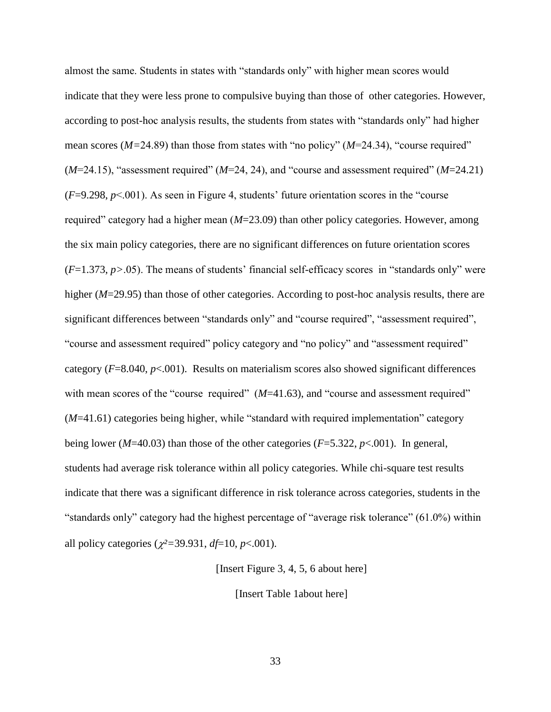almost the same. Students in states with "standards only" with higher mean scores would indicate that they were less prone to compulsive buying than those of other categories. However, according to post-hoc analysis results, the students from states with "standards only" had higher mean scores ( $M=24.89$ ) than those from states with "no policy" ( $M=24.34$ ), "course required"  $(M=24.15)$ , "assessment required"  $(M=24, 24)$ , and "course and assessment required"  $(M=24.21)$  $(F=9.298, p<.001)$ . As seen in Figure 4, students' future orientation scores in the "course" required" category had a higher mean (*M*=23.09) than other policy categories. However, among the six main policy categories, there are no significant differences on future orientation scores  $(F=1.373, p>0.05)$ . The means of students' financial self-efficacy scores in "standards only" were higher (*M*=29.95) than those of other categories. According to post-hoc analysis results, there are significant differences between "standards only" and "course required", "assessment required", "course and assessment required" policy category and "no policy" and "assessment required" category (*F*=8.040, *p*<.001). Results on materialism scores also showed significant differences with mean scores of the "course required"  $(M=41.63)$ , and "course and assessment required"  $(M=41.61)$  categories being higher, while "standard with required implementation" category being lower (*M*=40.03) than those of the other categories (*F*=5.322, *p*<.001). In general, students had average risk tolerance within all policy categories. While chi-square test results indicate that there was a significant difference in risk tolerance across categories, students in the "standards only" category had the highest percentage of "average risk tolerance"  $(61.0\%)$  within all policy categories ( $\chi^2$ =39.931, *df*=10, *p*<.001).

[Insert Figure 3, 4, 5, 6 about here]

[Insert Table 1about here]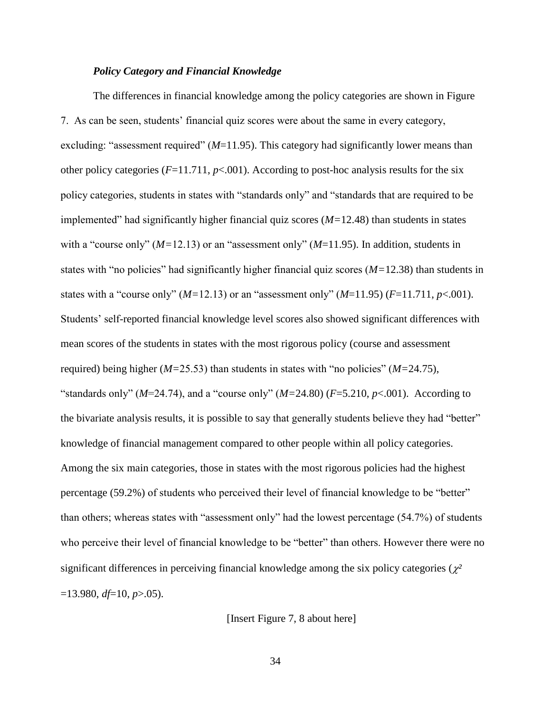### *Policy Category and Financial Knowledge*

<span id="page-33-0"></span>The differences in financial knowledge among the policy categories are shown in Figure 7. As can be seen, students' financial quiz scores were about the same in every category, excluding: "assessment required" ( $M=11.95$ ). This category had significantly lower means than other policy categories  $(F=11.711, p<.001)$ . According to post-hoc analysis results for the six policy categories, students in states with "standards only" and "standards that are required to be implemented" had significantly higher financial quiz scores  $(M=12.48)$  than students in states with a "course only"  $(M=12.13)$  or an "assessment only"  $(M=11.95)$ . In addition, students in states with "no policies" had significantly higher financial quiz scores  $(M=12.38)$  than students in states with a "course only"  $(M=12.13)$  or an "assessment only"  $(M=11.95)$   $(F=11.711, p<.001)$ . Students' self-reported financial knowledge level scores also showed significant differences with mean scores of the students in states with the most rigorous policy (course and assessment required) being higher ( $M=25.53$ ) than students in states with "no policies" ( $M=24.75$ ), "standards only" ( $M=24.74$ ), and a "course only" ( $M=24.80$ ) ( $F=5.210$ ,  $p<.001$ ). According to the bivariate analysis results, it is possible to say that generally students believe they had "better" knowledge of financial management compared to other people within all policy categories. Among the six main categories, those in states with the most rigorous policies had the highest percentage (59.2%) of students who perceived their level of financial knowledge to be "better" than others; whereas states with "assessment only" had the lowest percentage  $(54.7%)$  of students who perceive their level of financial knowledge to be "better" than others. However there were no significant differences in perceiving financial knowledge among the six policy categories  $(\chi^2)$ =13.980, *df*=10, *p*>.05).

[Insert Figure 7, 8 about here]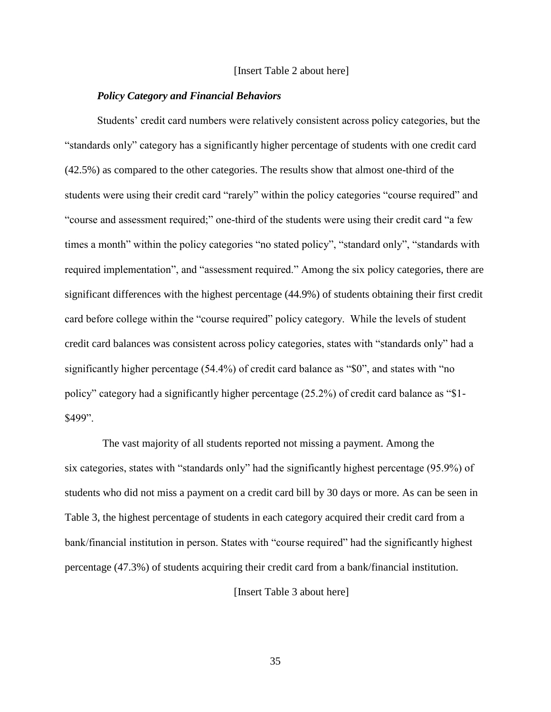#### [Insert Table 2 about here]

#### *Policy Category and Financial Behaviors*

<span id="page-34-0"></span>Students' credit card numbers were relatively consistent across policy categories, but the ―standards only‖ category has a significantly higher percentage of students with one credit card (42.5%) as compared to the other categories. The results show that almost one-third of the students were using their credit card "rarely" within the policy categories "course required" and "course and assessment required;" one-third of the students were using their credit card "a few times a month" within the policy categories "no stated policy", "standard only", "standards with required implementation", and "assessment required." Among the six policy categories, there are significant differences with the highest percentage (44.9%) of students obtaining their first credit card before college within the "course required" policy category. While the levels of student credit card balances was consistent across policy categories, states with "standards only" had a significantly higher percentage  $(54.4\%)$  of credit card balance as "\$0", and states with "no policy" category had a significantly higher percentage  $(25.2%)$  of credit card balance as "\$1-\$499".

The vast majority of all students reported not missing a payment. Among the six categories, states with "standards only" had the significantly highest percentage  $(95.9\%)$  of students who did not miss a payment on a credit card bill by 30 days or more. As can be seen in Table 3, the highest percentage of students in each category acquired their credit card from a bank/financial institution in person. States with "course required" had the significantly highest percentage (47.3%) of students acquiring their credit card from a bank/financial institution.

[Insert Table 3 about here]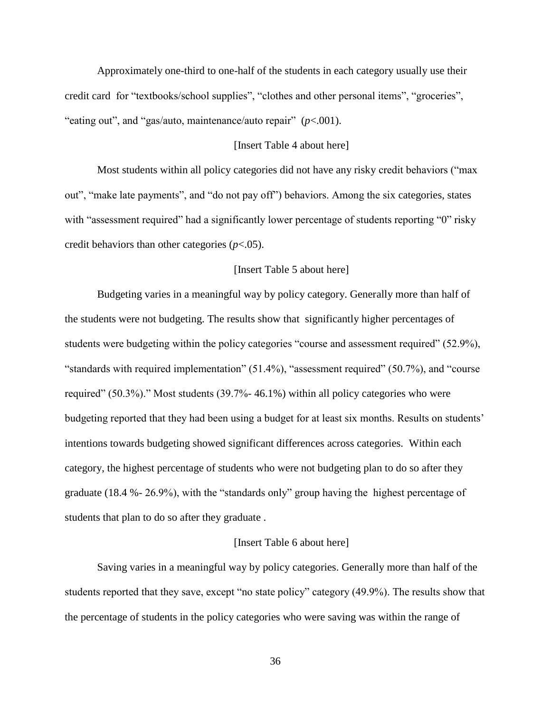Approximately one-third to one-half of the students in each category usually use their credit card for "textbooks/school supplies", "clothes and other personal items", "groceries", "eating out", and "gas/auto, maintenance/auto repair"  $(p<.001)$ .

## [Insert Table 4 about here]

Most students within all policy categories did not have any risky credit behaviors ("max") out", "make late payments", and "do not pay off") behaviors. Among the six categories, states with "assessment required" had a significantly lower percentage of students reporting "0" risky credit behaviors than other categories (*p*<.05).

### [Insert Table 5 about here]

Budgeting varies in a meaningful way by policy category. Generally more than half of the students were not budgeting. The results show that significantly higher percentages of students were budgeting within the policy categories "course and assessment required" (52.9%), "standards with required implementation"  $(51.4\%)$ , "assessment required"  $(50.7\%)$ , and "course" required" (50.3%)." Most students  $(39.7\% - 46.1\%)$  within all policy categories who were budgeting reported that they had been using a budget for at least six months. Results on students' intentions towards budgeting showed significant differences across categories. Within each category, the highest percentage of students who were not budgeting plan to do so after they graduate  $(18.4 % - 26.9%)$ , with the "standards only" group having the highest percentage of students that plan to do so after they graduate .

## [Insert Table 6 about here]

Saving varies in a meaningful way by policy categories. Generally more than half of the students reported that they save, except "no state policy" category (49.9%). The results show that the percentage of students in the policy categories who were saving was within the range of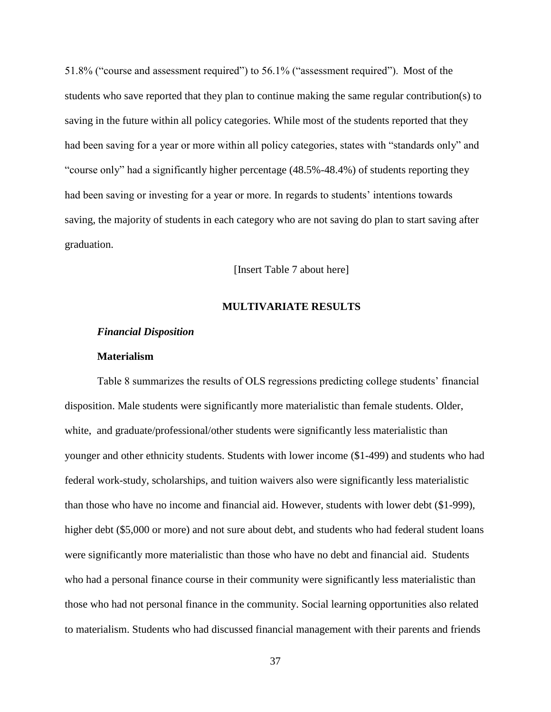51.8% ("course and assessment required") to 56.1% ("assessment required"). Most of the students who save reported that they plan to continue making the same regular contribution(s) to saving in the future within all policy categories. While most of the students reported that they had been saving for a year or more within all policy categories, states with "standards only" and "course only" had a significantly higher percentage (48.5%-48.4%) of students reporting they had been saving or investing for a year or more. In regards to students' intentions towards saving, the majority of students in each category who are not saving do plan to start saving after graduation.

[Insert Table 7 about here]

# **MULTIVARIATE RESULTS**

#### *Financial Disposition*

# **Materialism**

Table 8 summarizes the results of OLS regressions predicting college students' financial disposition. Male students were significantly more materialistic than female students. Older, white, and graduate/professional/other students were significantly less materialistic than younger and other ethnicity students. Students with lower income (\$1-499) and students who had federal work-study, scholarships, and tuition waivers also were significantly less materialistic than those who have no income and financial aid. However, students with lower debt (\$1-999), higher debt (\$5,000 or more) and not sure about debt, and students who had federal student loans were significantly more materialistic than those who have no debt and financial aid. Students who had a personal finance course in their community were significantly less materialistic than those who had not personal finance in the community. Social learning opportunities also related to materialism. Students who had discussed financial management with their parents and friends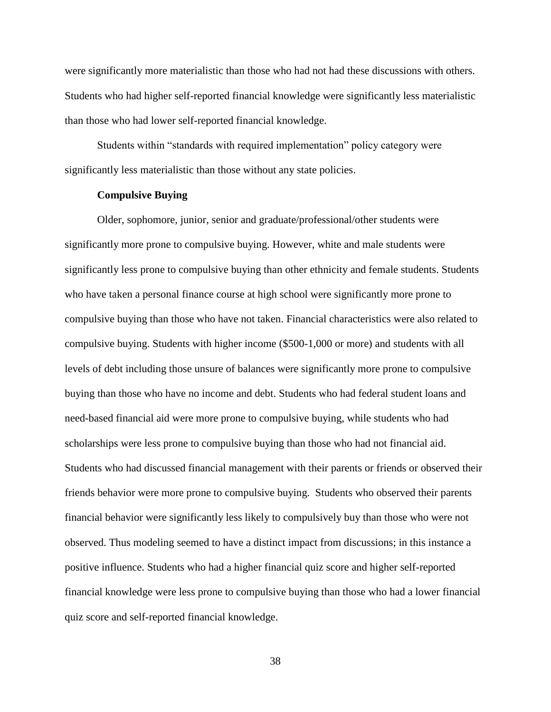were significantly more materialistic than those who had not had these discussions with others. Students who had higher self-reported financial knowledge were significantly less materialistic than those who had lower self-reported financial knowledge.

Students within "standards with required implementation" policy category were significantly less materialistic than those without any state policies.

# **Compulsive Buying**

Older, sophomore, junior, senior and graduate/professional/other students were significantly more prone to compulsive buying. However, white and male students were significantly less prone to compulsive buying than other ethnicity and female students. Students who have taken a personal finance course at high school were significantly more prone to compulsive buying than those who have not taken. Financial characteristics were also related to compulsive buying. Students with higher income (\$500-1,000 or more) and students with all levels of debt including those unsure of balances were significantly more prone to compulsive buying than those who have no income and debt. Students who had federal student loans and need-based financial aid were more prone to compulsive buying, while students who had scholarships were less prone to compulsive buying than those who had not financial aid. Students who had discussed financial management with their parents or friends or observed their friends behavior were more prone to compulsive buying. Students who observed their parents financial behavior were significantly less likely to compulsively buy than those who were not observed. Thus modeling seemed to have a distinct impact from discussions; in this instance a positive influence. Students who had a higher financial quiz score and higher self-reported financial knowledge were less prone to compulsive buying than those who had a lower financial quiz score and self-reported financial knowledge.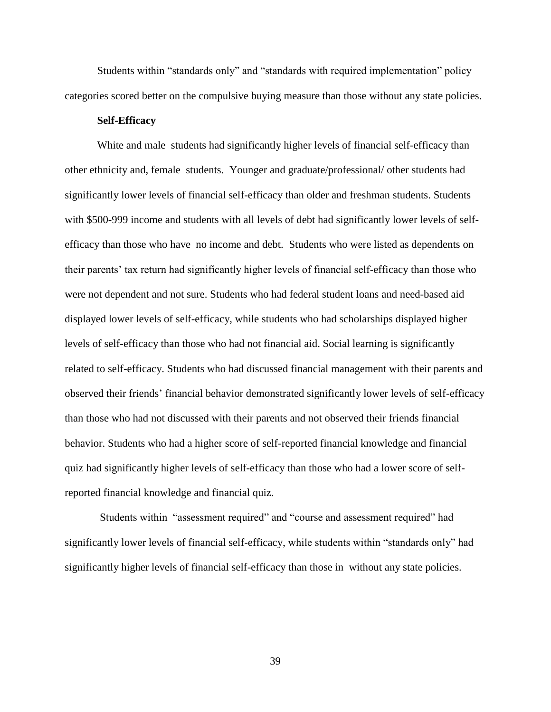Students within "standards only" and "standards with required implementation" policy categories scored better on the compulsive buying measure than those without any state policies.

# **Self-Efficacy**

White and male students had significantly higher levels of financial self-efficacy than other ethnicity and, female students. Younger and graduate/professional/ other students had significantly lower levels of financial self-efficacy than older and freshman students. Students with \$500-999 income and students with all levels of debt had significantly lower levels of selfefficacy than those who have no income and debt. Students who were listed as dependents on their parents' tax return had significantly higher levels of financial self-efficacy than those who were not dependent and not sure. Students who had federal student loans and need-based aid displayed lower levels of self-efficacy, while students who had scholarships displayed higher levels of self-efficacy than those who had not financial aid. Social learning is significantly related to self-efficacy. Students who had discussed financial management with their parents and observed their friends' financial behavior demonstrated significantly lower levels of self-efficacy than those who had not discussed with their parents and not observed their friends financial behavior. Students who had a higher score of self-reported financial knowledge and financial quiz had significantly higher levels of self-efficacy than those who had a lower score of selfreported financial knowledge and financial quiz.

Students within "assessment required" and "course and assessment required" had significantly lower levels of financial self-efficacy, while students within "standards only" had significantly higher levels of financial self-efficacy than those in without any state policies.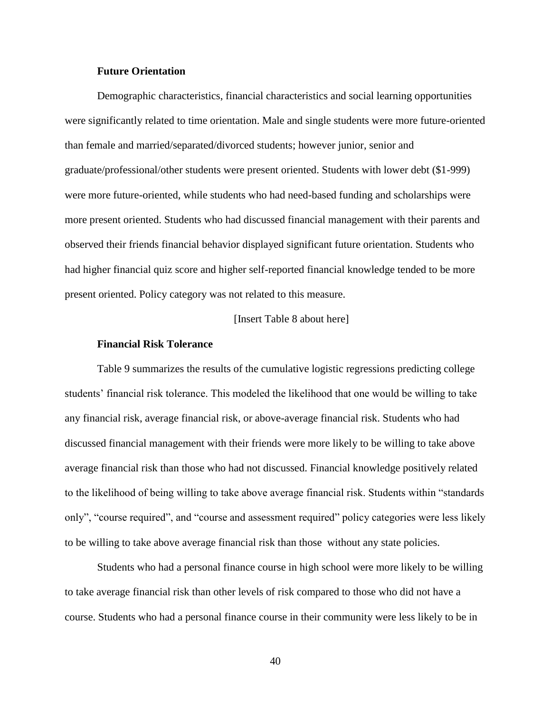## **Future Orientation**

Demographic characteristics, financial characteristics and social learning opportunities were significantly related to time orientation. Male and single students were more future-oriented than female and married/separated/divorced students; however junior, senior and graduate/professional/other students were present oriented. Students with lower debt (\$1-999) were more future-oriented, while students who had need-based funding and scholarships were more present oriented. Students who had discussed financial management with their parents and observed their friends financial behavior displayed significant future orientation. Students who had higher financial quiz score and higher self-reported financial knowledge tended to be more present oriented. Policy category was not related to this measure.

[Insert Table 8 about here]

#### **Financial Risk Tolerance**

Table 9 summarizes the results of the cumulative logistic regressions predicting college students' financial risk tolerance. This modeled the likelihood that one would be willing to take any financial risk, average financial risk, or above-average financial risk. Students who had discussed financial management with their friends were more likely to be willing to take above average financial risk than those who had not discussed. Financial knowledge positively related to the likelihood of being willing to take above average financial risk. Students within "standards" only", "course required", and "course and assessment required" policy categories were less likely to be willing to take above average financial risk than those without any state policies.

Students who had a personal finance course in high school were more likely to be willing to take average financial risk than other levels of risk compared to those who did not have a course. Students who had a personal finance course in their community were less likely to be in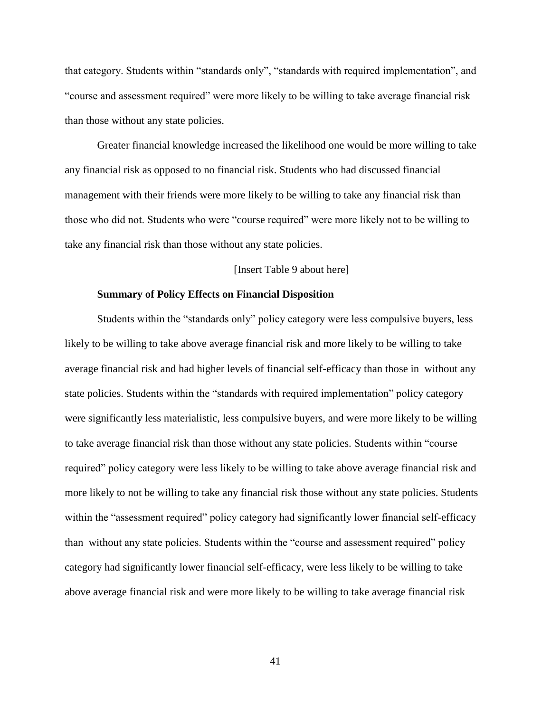that category. Students within "standards only", "standards with required implementation", and "course and assessment required" were more likely to be willing to take average financial risk than those without any state policies.

Greater financial knowledge increased the likelihood one would be more willing to take any financial risk as opposed to no financial risk. Students who had discussed financial management with their friends were more likely to be willing to take any financial risk than those who did not. Students who were "course required" were more likely not to be willing to take any financial risk than those without any state policies.

## [Insert Table 9 about here]

# **Summary of Policy Effects on Financial Disposition**

Students within the "standards only" policy category were less compulsive buyers, less likely to be willing to take above average financial risk and more likely to be willing to take average financial risk and had higher levels of financial self-efficacy than those in without any state policies. Students within the "standards with required implementation" policy category were significantly less materialistic, less compulsive buyers, and were more likely to be willing to take average financial risk than those without any state policies. Students within "course" required‖ policy category were less likely to be willing to take above average financial risk and more likely to not be willing to take any financial risk those without any state policies. Students within the "assessment required" policy category had significantly lower financial self-efficacy than without any state policies. Students within the "course and assessment required" policy category had significantly lower financial self-efficacy, were less likely to be willing to take above average financial risk and were more likely to be willing to take average financial risk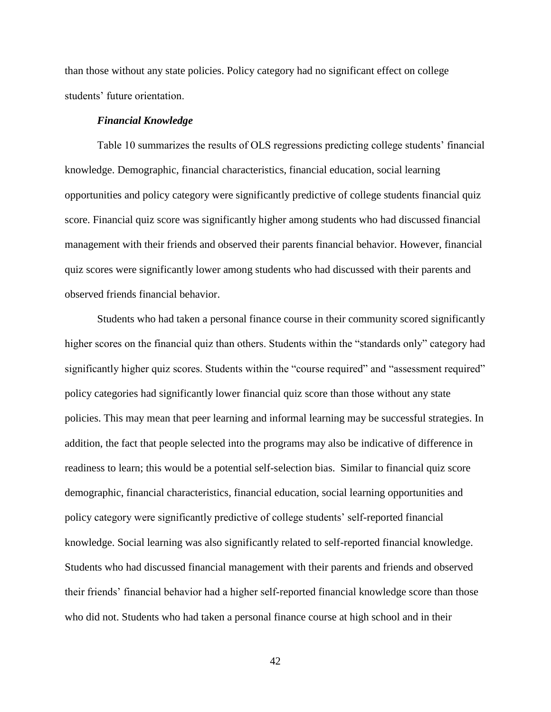than those without any state policies. Policy category had no significant effect on college students' future orientation.

## *Financial Knowledge*

Table 10 summarizes the results of OLS regressions predicting college students' financial knowledge. Demographic, financial characteristics, financial education, social learning opportunities and policy category were significantly predictive of college students financial quiz score. Financial quiz score was significantly higher among students who had discussed financial management with their friends and observed their parents financial behavior. However, financial quiz scores were significantly lower among students who had discussed with their parents and observed friends financial behavior.

Students who had taken a personal finance course in their community scored significantly higher scores on the financial quiz than others. Students within the "standards only" category had significantly higher quiz scores. Students within the "course required" and "assessment required" policy categories had significantly lower financial quiz score than those without any state policies. This may mean that peer learning and informal learning may be successful strategies. In addition, the fact that people selected into the programs may also be indicative of difference in readiness to learn; this would be a potential self-selection bias. Similar to financial quiz score demographic, financial characteristics, financial education, social learning opportunities and policy category were significantly predictive of college students' self-reported financial knowledge. Social learning was also significantly related to self-reported financial knowledge. Students who had discussed financial management with their parents and friends and observed their friends' financial behavior had a higher self-reported financial knowledge score than those who did not. Students who had taken a personal finance course at high school and in their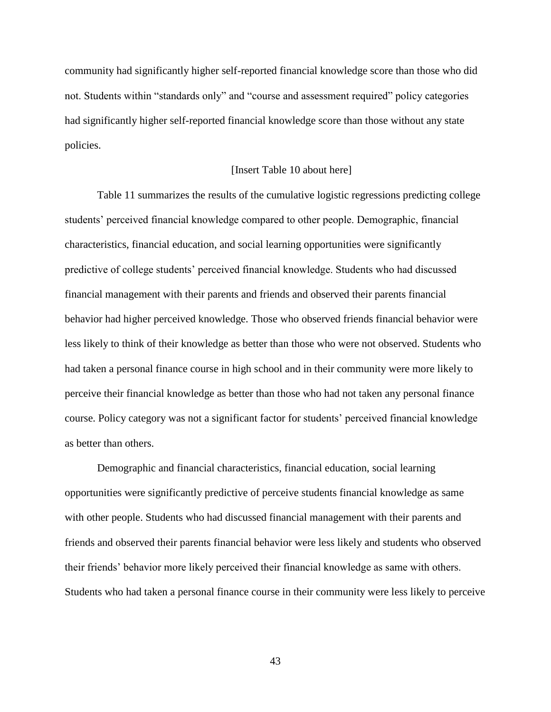community had significantly higher self-reported financial knowledge score than those who did not. Students within "standards only" and "course and assessment required" policy categories had significantly higher self-reported financial knowledge score than those without any state policies.

# [Insert Table 10 about here]

Table 11 summarizes the results of the cumulative logistic regressions predicting college students' perceived financial knowledge compared to other people. Demographic, financial characteristics, financial education, and social learning opportunities were significantly predictive of college students' perceived financial knowledge. Students who had discussed financial management with their parents and friends and observed their parents financial behavior had higher perceived knowledge. Those who observed friends financial behavior were less likely to think of their knowledge as better than those who were not observed. Students who had taken a personal finance course in high school and in their community were more likely to perceive their financial knowledge as better than those who had not taken any personal finance course. Policy category was not a significant factor for students' perceived financial knowledge as better than others.

Demographic and financial characteristics, financial education, social learning opportunities were significantly predictive of perceive students financial knowledge as same with other people. Students who had discussed financial management with their parents and friends and observed their parents financial behavior were less likely and students who observed their friends' behavior more likely perceived their financial knowledge as same with others. Students who had taken a personal finance course in their community were less likely to perceive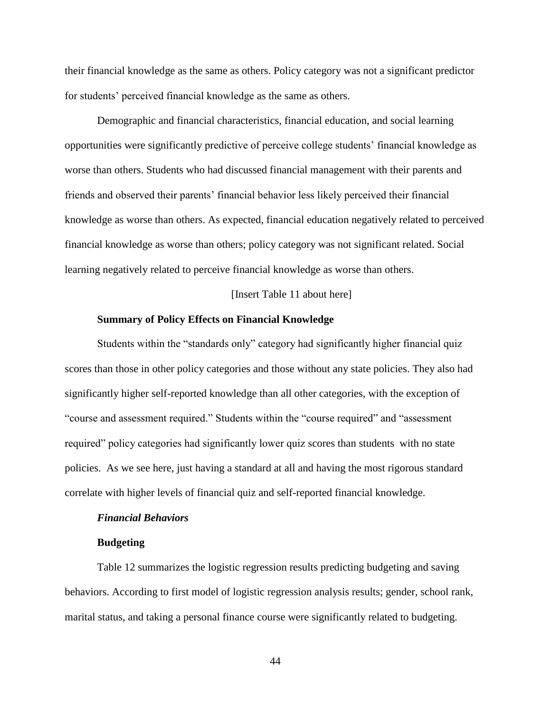their financial knowledge as the same as others. Policy category was not a significant predictor for students' perceived financial knowledge as the same as others.

Demographic and financial characteristics, financial education, and social learning opportunities were significantly predictive of perceive college students' financial knowledge as worse than others. Students who had discussed financial management with their parents and friends and observed their parents' financial behavior less likely perceived their financial knowledge as worse than others. As expected, financial education negatively related to perceived financial knowledge as worse than others; policy category was not significant related. Social learning negatively related to perceive financial knowledge as worse than others.

[Insert Table 11 about here]

## **Summary of Policy Effects on Financial Knowledge**

Students within the "standards only" category had significantly higher financial quiz scores than those in other policy categories and those without any state policies. They also had significantly higher self-reported knowledge than all other categories, with the exception of "course and assessment required." Students within the "course required" and "assessment required" policy categories had significantly lower quiz scores than students with no state policies. As we see here, just having a standard at all and having the most rigorous standard correlate with higher levels of financial quiz and self-reported financial knowledge.

## *Financial Behaviors*

#### **Budgeting**

Table 12 summarizes the logistic regression results predicting budgeting and saving behaviors. According to first model of logistic regression analysis results; gender, school rank, marital status, and taking a personal finance course were significantly related to budgeting.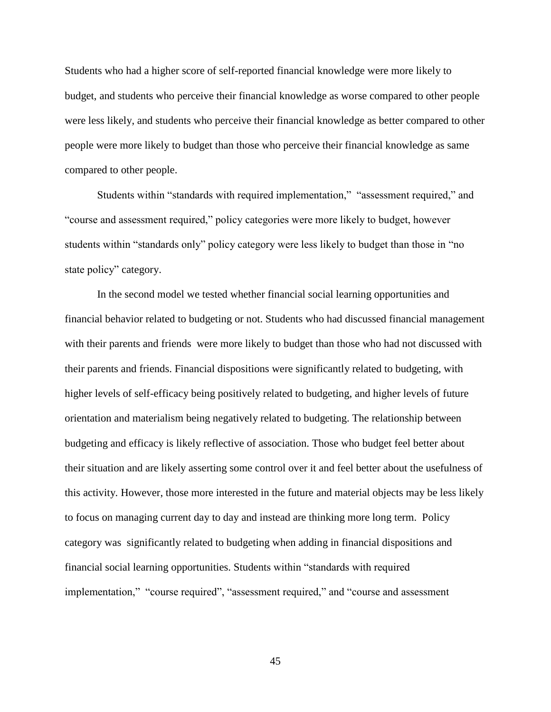Students who had a higher score of self-reported financial knowledge were more likely to budget, and students who perceive their financial knowledge as worse compared to other people were less likely, and students who perceive their financial knowledge as better compared to other people were more likely to budget than those who perceive their financial knowledge as same compared to other people.

Students within "standards with required implementation," "assessment required," and ―course and assessment required,‖ policy categories were more likely to budget, however students within "standards only" policy category were less likely to budget than those in "no state policy" category.

In the second model we tested whether financial social learning opportunities and financial behavior related to budgeting or not. Students who had discussed financial management with their parents and friends were more likely to budget than those who had not discussed with their parents and friends. Financial dispositions were significantly related to budgeting, with higher levels of self-efficacy being positively related to budgeting, and higher levels of future orientation and materialism being negatively related to budgeting. The relationship between budgeting and efficacy is likely reflective of association. Those who budget feel better about their situation and are likely asserting some control over it and feel better about the usefulness of this activity. However, those more interested in the future and material objects may be less likely to focus on managing current day to day and instead are thinking more long term. Policy category was significantly related to budgeting when adding in financial dispositions and financial social learning opportunities. Students within "standards with required implementation," "course required", "assessment required," and "course and assessment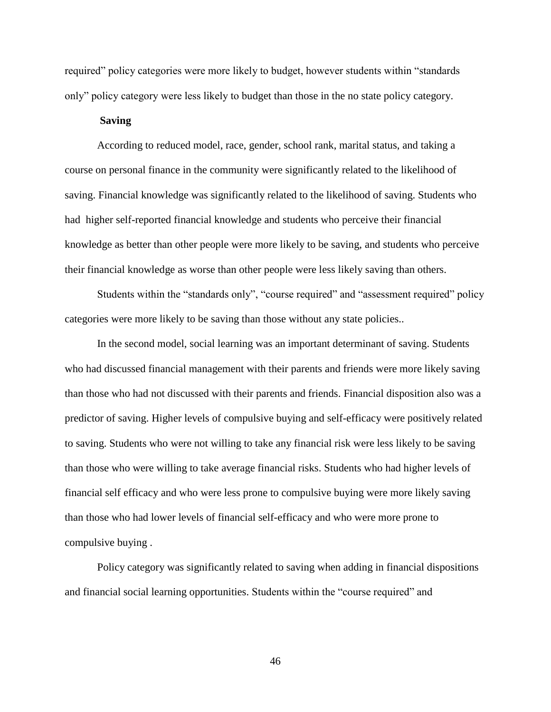required" policy categories were more likely to budget, however students within "standards" only" policy category were less likely to budget than those in the no state policy category.

# **Saving**

According to reduced model, race, gender, school rank, marital status, and taking a course on personal finance in the community were significantly related to the likelihood of saving. Financial knowledge was significantly related to the likelihood of saving. Students who had higher self-reported financial knowledge and students who perceive their financial knowledge as better than other people were more likely to be saving, and students who perceive their financial knowledge as worse than other people were less likely saving than others.

Students within the "standards only", "course required" and "assessment required" policy categories were more likely to be saving than those without any state policies..

In the second model, social learning was an important determinant of saving. Students who had discussed financial management with their parents and friends were more likely saving than those who had not discussed with their parents and friends. Financial disposition also was a predictor of saving. Higher levels of compulsive buying and self-efficacy were positively related to saving. Students who were not willing to take any financial risk were less likely to be saving than those who were willing to take average financial risks. Students who had higher levels of financial self efficacy and who were less prone to compulsive buying were more likely saving than those who had lower levels of financial self-efficacy and who were more prone to compulsive buying .

Policy category was significantly related to saving when adding in financial dispositions and financial social learning opportunities. Students within the "course required" and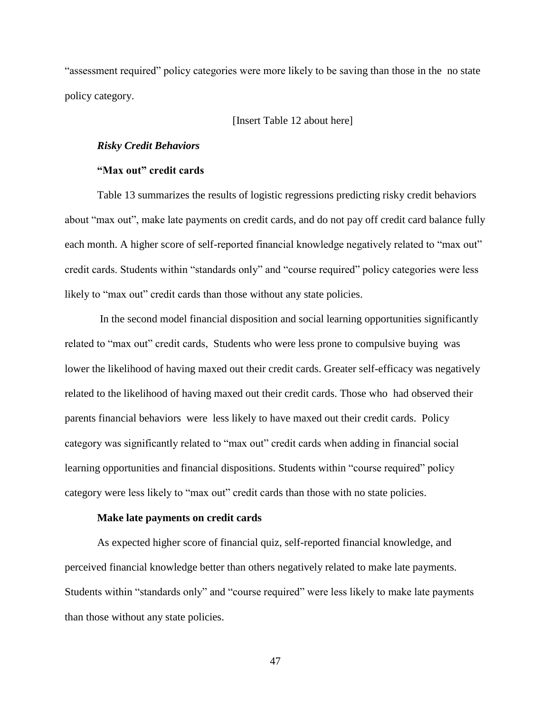"assessment required" policy categories were more likely to be saving than those in the no state policy category.

# [Insert Table 12 about here]

## *Risky Credit Behaviors*

# **"Max out" credit cards**

Table 13 summarizes the results of logistic regressions predicting risky credit behaviors about "max out", make late payments on credit cards, and do not pay off credit card balance fully each month. A higher score of self-reported financial knowledge negatively related to "max out" credit cards. Students within "standards only" and "course required" policy categories were less likely to "max out" credit cards than those without any state policies.

In the second model financial disposition and social learning opportunities significantly related to "max out" credit cards, Students who were less prone to compulsive buying was lower the likelihood of having maxed out their credit cards. Greater self-efficacy was negatively related to the likelihood of having maxed out their credit cards. Those who had observed their parents financial behaviors were less likely to have maxed out their credit cards. Policy category was significantly related to "max out" credit cards when adding in financial social learning opportunities and financial dispositions. Students within "course required" policy category were less likely to "max out" credit cards than those with no state policies.

#### **Make late payments on credit cards**

As expected higher score of financial quiz, self-reported financial knowledge, and perceived financial knowledge better than others negatively related to make late payments. Students within "standards only" and "course required" were less likely to make late payments than those without any state policies.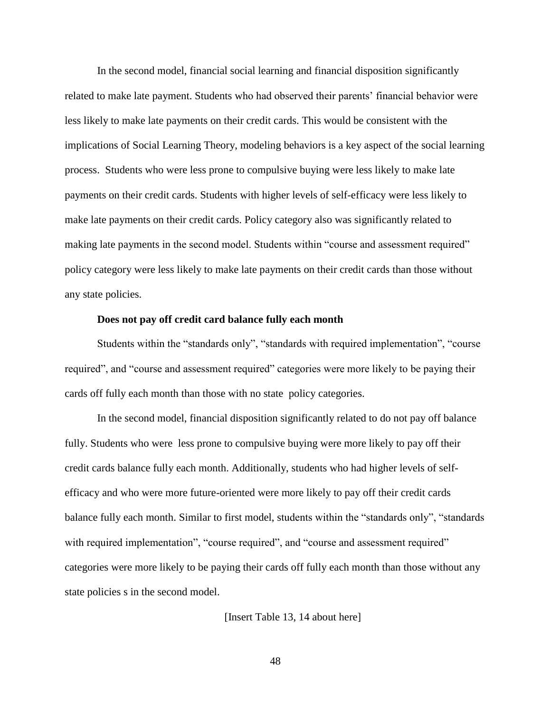In the second model, financial social learning and financial disposition significantly related to make late payment. Students who had observed their parents' financial behavior were less likely to make late payments on their credit cards. This would be consistent with the implications of Social Learning Theory, modeling behaviors is a key aspect of the social learning process. Students who were less prone to compulsive buying were less likely to make late payments on their credit cards. Students with higher levels of self-efficacy were less likely to make late payments on their credit cards. Policy category also was significantly related to making late payments in the second model. Students within "course and assessment required" policy category were less likely to make late payments on their credit cards than those without any state policies.

## **Does not pay off credit card balance fully each month**

Students within the "standards only", "standards with required implementation", "course required", and "course and assessment required" categories were more likely to be paying their cards off fully each month than those with no state policy categories.

In the second model, financial disposition significantly related to do not pay off balance fully. Students who were less prone to compulsive buying were more likely to pay off their credit cards balance fully each month. Additionally, students who had higher levels of selfefficacy and who were more future-oriented were more likely to pay off their credit cards balance fully each month. Similar to first model, students within the "standards only", "standards with required implementation", "course required", and "course and assessment required" categories were more likely to be paying their cards off fully each month than those without any state policies s in the second model.

[Insert Table 13, 14 about here]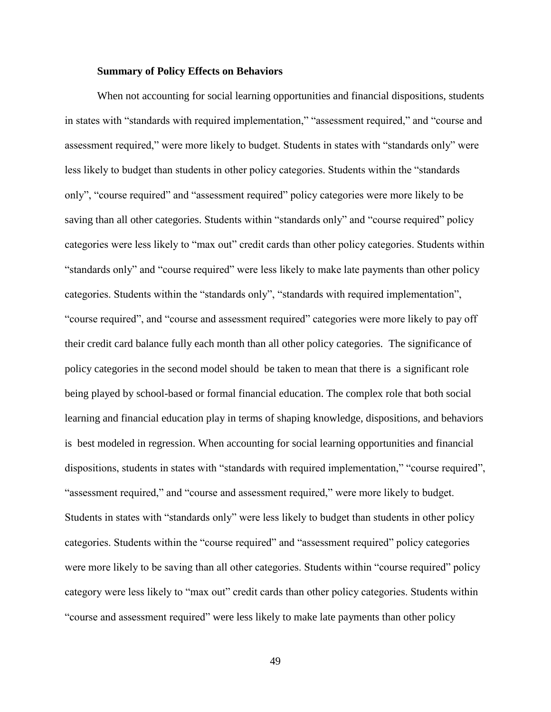## **Summary of Policy Effects on Behaviors**

When not accounting for social learning opportunities and financial dispositions, students in states with "standards with required implementation," "assessment required," and "course and assessment required," were more likely to budget. Students in states with "standards only" were less likely to budget than students in other policy categories. Students within the "standards" only", "course required" and "assessment required" policy categories were more likely to be saving than all other categories. Students within "standards only" and "course required" policy categories were less likely to "max out" credit cards than other policy categories. Students within "standards only" and "course required" were less likely to make late payments than other policy categories. Students within the "standards only", "standards with required implementation", "course required", and "course and assessment required" categories were more likely to pay off their credit card balance fully each month than all other policy categories. The significance of policy categories in the second model should be taken to mean that there is a significant role being played by school-based or formal financial education. The complex role that both social learning and financial education play in terms of shaping knowledge, dispositions, and behaviors is best modeled in regression. When accounting for social learning opportunities and financial dispositions, students in states with "standards with required implementation," "course required", "assessment required," and "course and assessment required," were more likely to budget. Students in states with "standards only" were less likely to budget than students in other policy categories. Students within the "course required" and "assessment required" policy categories were more likely to be saving than all other categories. Students within "course required" policy category were less likely to "max out" credit cards than other policy categories. Students within "course and assessment required" were less likely to make late payments than other policy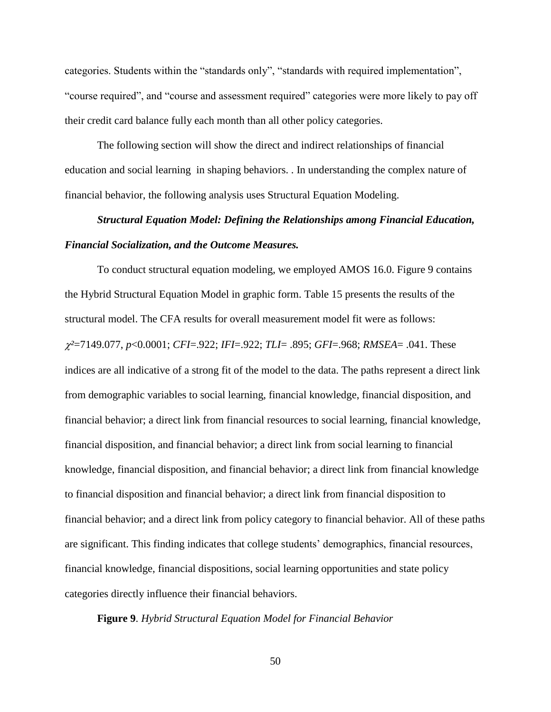categories. Students within the "standards only", "standards with required implementation", "course required", and "course and assessment required" categories were more likely to pay off their credit card balance fully each month than all other policy categories.

The following section will show the direct and indirect relationships of financial education and social learning in shaping behaviors. . In understanding the complex nature of financial behavior, the following analysis uses Structural Equation Modeling.

# *Structural Equation Model: Defining the Relationships among Financial Education, Financial Socialization, and the Outcome Measures.*

To conduct structural equation modeling, we employed AMOS 16.0. Figure 9 contains the Hybrid Structural Equation Model in graphic form. Table 15 presents the results of the structural model. The CFA results for overall measurement model fit were as follows: *²*=7149.077, *p*<0.0001; *CFI*=.922; *IFI*=.922; *TLI*= .895; *GFI*=.968; *RMSEA*= .041. These indices are all indicative of a strong fit of the model to the data. The paths represent a direct link from demographic variables to social learning, financial knowledge, financial disposition, and financial behavior; a direct link from financial resources to social learning, financial knowledge, financial disposition, and financial behavior; a direct link from social learning to financial knowledge, financial disposition, and financial behavior; a direct link from financial knowledge to financial disposition and financial behavior; a direct link from financial disposition to financial behavior; and a direct link from policy category to financial behavior. All of these paths are significant. This finding indicates that college students' demographics, financial resources, financial knowledge, financial dispositions, social learning opportunities and state policy categories directly influence their financial behaviors.

# **Figure 9**. *Hybrid Structural Equation Model for Financial Behavior*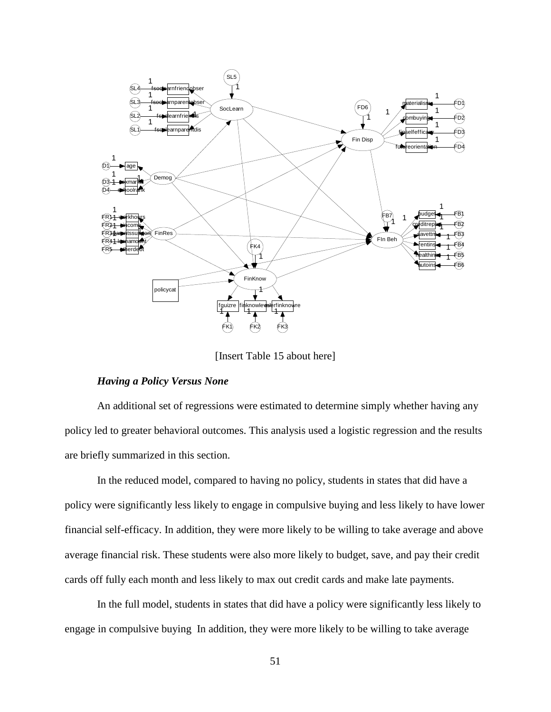

[Insert Table 15 about here]

# *Having a Policy Versus None*

An additional set of regressions were estimated to determine simply whether having any policy led to greater behavioral outcomes. This analysis used a logistic regression and the results are briefly summarized in this section.

In the reduced model, compared to having no policy, students in states that did have a policy were significantly less likely to engage in compulsive buying and less likely to have lower financial self-efficacy. In addition, they were more likely to be willing to take average and above average financial risk. These students were also more likely to budget, save, and pay their credit cards off fully each month and less likely to max out credit cards and make late payments.

In the full model, students in states that did have a policy were significantly less likely to engage in compulsive buying In addition, they were more likely to be willing to take average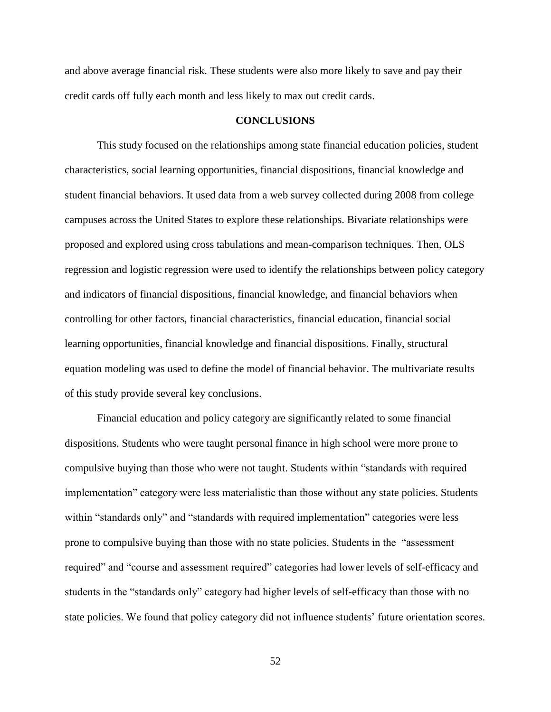and above average financial risk. These students were also more likely to save and pay their credit cards off fully each month and less likely to max out credit cards.

#### **CONCLUSIONS**

This study focused on the relationships among state financial education policies, student characteristics, social learning opportunities, financial dispositions, financial knowledge and student financial behaviors. It used data from a web survey collected during 2008 from college campuses across the United States to explore these relationships. Bivariate relationships were proposed and explored using cross tabulations and mean-comparison techniques. Then, OLS regression and logistic regression were used to identify the relationships between policy category and indicators of financial dispositions, financial knowledge, and financial behaviors when controlling for other factors, financial characteristics, financial education, financial social learning opportunities, financial knowledge and financial dispositions. Finally, structural equation modeling was used to define the model of financial behavior. The multivariate results of this study provide several key conclusions.

Financial education and policy category are significantly related to some financial dispositions. Students who were taught personal finance in high school were more prone to compulsive buying than those who were not taught. Students within "standards with required implementation" category were less materialistic than those without any state policies. Students within "standards only" and "standards with required implementation" categories were less prone to compulsive buying than those with no state policies. Students in the "assessment" required" and "course and assessment required" categories had lower levels of self-efficacy and students in the "standards only" category had higher levels of self-efficacy than those with no state policies. We found that policy category did not influence students' future orientation scores.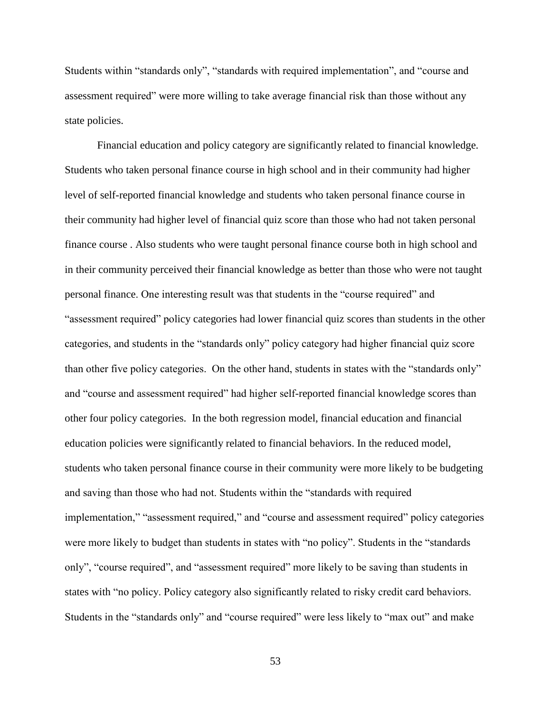Students within "standards only", "standards with required implementation", and "course and assessment required" were more willing to take average financial risk than those without any state policies.

Financial education and policy category are significantly related to financial knowledge. Students who taken personal finance course in high school and in their community had higher level of self-reported financial knowledge and students who taken personal finance course in their community had higher level of financial quiz score than those who had not taken personal finance course . Also students who were taught personal finance course both in high school and in their community perceived their financial knowledge as better than those who were not taught personal finance. One interesting result was that students in the "course required" and "assessment required" policy categories had lower financial quiz scores than students in the other categories, and students in the "standards only" policy category had higher financial quiz score than other five policy categories. On the other hand, students in states with the "standards only" and "course and assessment required" had higher self-reported financial knowledge scores than other four policy categories. In the both regression model, financial education and financial education policies were significantly related to financial behaviors. In the reduced model, students who taken personal finance course in their community were more likely to be budgeting and saving than those who had not. Students within the "standards with required implementation," "assessment required," and "course and assessment required" policy categories were more likely to budget than students in states with "no policy". Students in the "standards only", "course required", and "assessment required" more likely to be saving than students in states with "no policy. Policy category also significantly related to risky credit card behaviors. Students in the "standards only" and "course required" were less likely to "max out" and make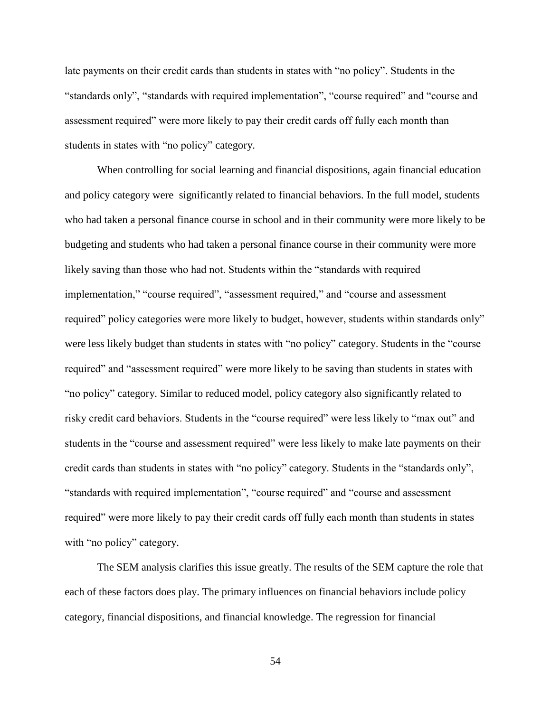late payments on their credit cards than students in states with "no policy". Students in the "standards only", "standards with required implementation", "course required" and "course and assessment required" were more likely to pay their credit cards off fully each month than students in states with "no policy" category.

When controlling for social learning and financial dispositions, again financial education and policy category were significantly related to financial behaviors. In the full model, students who had taken a personal finance course in school and in their community were more likely to be budgeting and students who had taken a personal finance course in their community were more likely saving than those who had not. Students within the "standards with required implementation," "course required", "assessment required," and "course and assessment required" policy categories were more likely to budget, however, students within standards only" were less likely budget than students in states with "no policy" category. Students in the "course required" and "assessment required" were more likely to be saving than students in states with ―no policy‖ category. Similar to reduced model, policy category also significantly related to risky credit card behaviors. Students in the "course required" were less likely to "max out" and students in the "course and assessment required" were less likely to make late payments on their credit cards than students in states with "no policy" category. Students in the "standards only", "standards with required implementation", "course required" and "course and assessment required" were more likely to pay their credit cards off fully each month than students in states with "no policy" category.

The SEM analysis clarifies this issue greatly. The results of the SEM capture the role that each of these factors does play. The primary influences on financial behaviors include policy category, financial dispositions, and financial knowledge. The regression for financial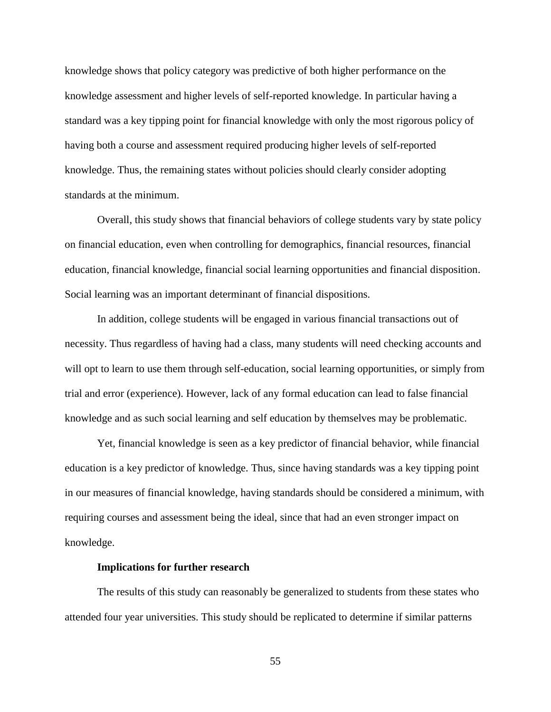knowledge shows that policy category was predictive of both higher performance on the knowledge assessment and higher levels of self-reported knowledge. In particular having a standard was a key tipping point for financial knowledge with only the most rigorous policy of having both a course and assessment required producing higher levels of self-reported knowledge. Thus, the remaining states without policies should clearly consider adopting standards at the minimum.

Overall, this study shows that financial behaviors of college students vary by state policy on financial education, even when controlling for demographics, financial resources, financial education, financial knowledge, financial social learning opportunities and financial disposition. Social learning was an important determinant of financial dispositions.

In addition, college students will be engaged in various financial transactions out of necessity. Thus regardless of having had a class, many students will need checking accounts and will opt to learn to use them through self-education, social learning opportunities, or simply from trial and error (experience). However, lack of any formal education can lead to false financial knowledge and as such social learning and self education by themselves may be problematic.

Yet, financial knowledge is seen as a key predictor of financial behavior, while financial education is a key predictor of knowledge. Thus, since having standards was a key tipping point in our measures of financial knowledge, having standards should be considered a minimum, with requiring courses and assessment being the ideal, since that had an even stronger impact on knowledge.

#### **Implications for further research**

The results of this study can reasonably be generalized to students from these states who attended four year universities. This study should be replicated to determine if similar patterns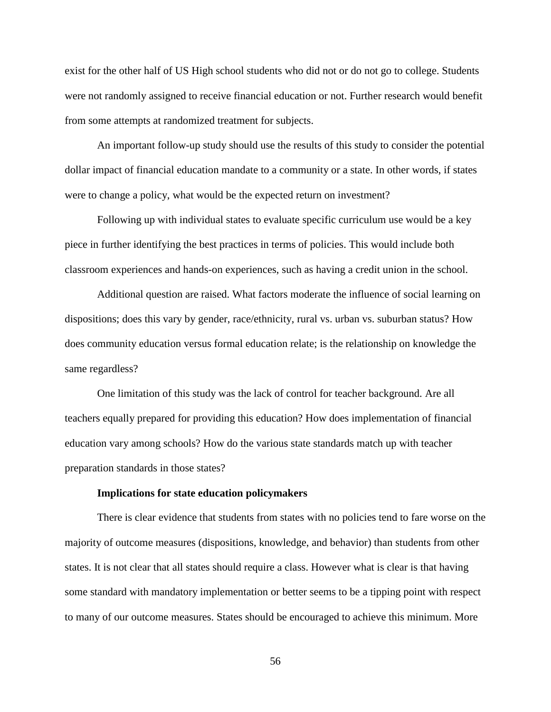exist for the other half of US High school students who did not or do not go to college. Students were not randomly assigned to receive financial education or not. Further research would benefit from some attempts at randomized treatment for subjects.

An important follow-up study should use the results of this study to consider the potential dollar impact of financial education mandate to a community or a state. In other words, if states were to change a policy, what would be the expected return on investment?

Following up with individual states to evaluate specific curriculum use would be a key piece in further identifying the best practices in terms of policies. This would include both classroom experiences and hands-on experiences, such as having a credit union in the school.

Additional question are raised. What factors moderate the influence of social learning on dispositions; does this vary by gender, race/ethnicity, rural vs. urban vs. suburban status? How does community education versus formal education relate; is the relationship on knowledge the same regardless?

One limitation of this study was the lack of control for teacher background. Are all teachers equally prepared for providing this education? How does implementation of financial education vary among schools? How do the various state standards match up with teacher preparation standards in those states?

#### **Implications for state education policymakers**

There is clear evidence that students from states with no policies tend to fare worse on the majority of outcome measures (dispositions, knowledge, and behavior) than students from other states. It is not clear that all states should require a class. However what is clear is that having some standard with mandatory implementation or better seems to be a tipping point with respect to many of our outcome measures. States should be encouraged to achieve this minimum. More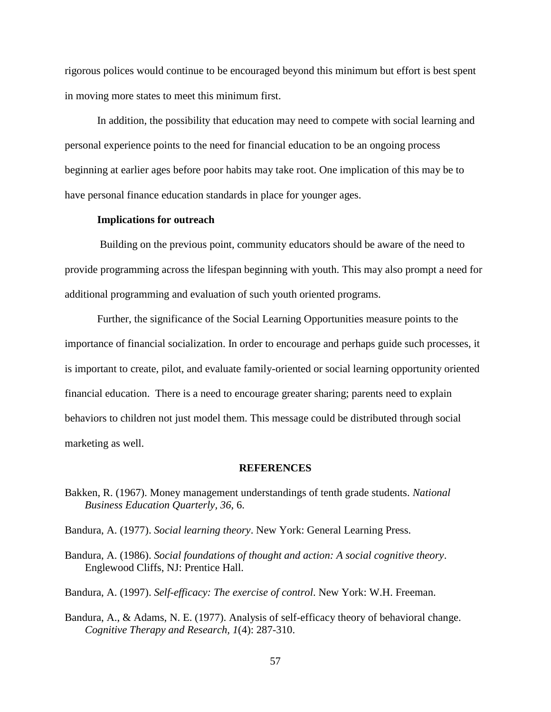rigorous polices would continue to be encouraged beyond this minimum but effort is best spent in moving more states to meet this minimum first.

In addition, the possibility that education may need to compete with social learning and personal experience points to the need for financial education to be an ongoing process beginning at earlier ages before poor habits may take root. One implication of this may be to have personal finance education standards in place for younger ages.

# **Implications for outreach**

Building on the previous point, community educators should be aware of the need to provide programming across the lifespan beginning with youth. This may also prompt a need for additional programming and evaluation of such youth oriented programs.

Further, the significance of the Social Learning Opportunities measure points to the importance of financial socialization. In order to encourage and perhaps guide such processes, it is important to create, pilot, and evaluate family-oriented or social learning opportunity oriented financial education. There is a need to encourage greater sharing; parents need to explain behaviors to children not just model them. This message could be distributed through social marketing as well.

#### **REFERENCES**

- Bakken, R. (1967). Money management understandings of tenth grade students. *National Business Education Quarterly, 36*, 6.
- Bandura, A. (1977). *Social learning theory*. New York: General Learning Press.
- Bandura, A. (1986). *Social foundations of thought and action: A social cognitive theory*. Englewood Cliffs, NJ: Prentice Hall.
- Bandura, A. (1997). *Self-efficacy: The exercise of control*. New York: W.H. Freeman.
- Bandura, A., & Adams, N. E. (1977). Analysis of self-efficacy theory of behavioral change. *Cognitive Therapy and Research, 1*(4): 287-310.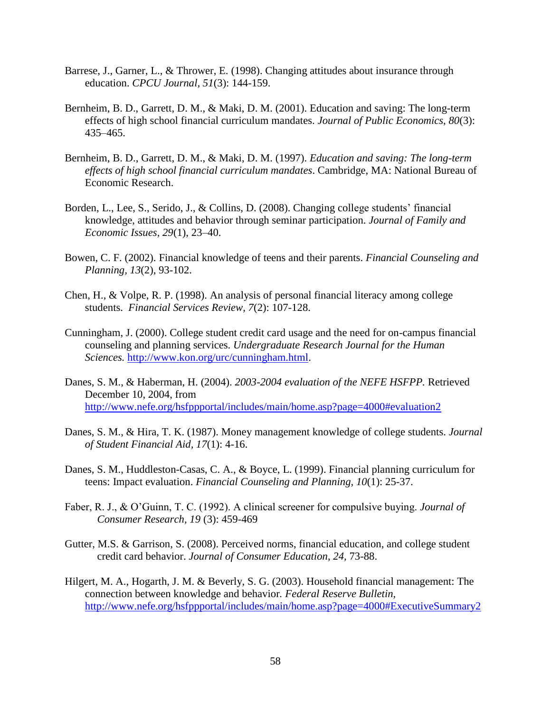- Barrese, J., Garner, L., & Thrower, E. (1998). Changing attitudes about insurance through education. *CPCU Journal, 51*(3): 144-159.
- Bernheim, B. D., Garrett, D. M., & Maki, D. M. (2001). Education and saving: The long-term effects of high school financial curriculum mandates. *Journal of Public Economics, 80*(3): 435–465.
- Bernheim, B. D., Garrett, D. M., & Maki, D. M. (1997). *Education and saving: The long-term effects of high school financial curriculum mandates*. Cambridge, MA: National Bureau of Economic Research.
- Borden, L., Lee, S., Serido, J., & Collins, D. (2008). Changing college students' financial knowledge, attitudes and behavior through seminar participation. *Journal of Family and Economic Issues, 29*(1), 23–40.
- Bowen, C. F. (2002). Financial knowledge of teens and their parents. *Financial Counseling and Planning, 13*(2), 93-102.
- Chen, H., & Volpe, R. P. (1998). An analysis of personal financial literacy among college students. *Financial Services Review, 7*(2): 107-128.
- Cunningham, J. (2000). College student credit card usage and the need for on-campus financial counseling and planning services. *Undergraduate Research Journal for the Human Sciences.* [http://www.kon.org/urc/cunningham.html.](http://www.kon.org/urc/cunningham.html)
- Danes, S. M., & Haberman, H. (2004). *2003-2004 evaluation of the NEFE HSFPP.* Retrieved December 10, 2004, from <http://www.nefe.org/hsfppportal/includes/main/home.asp?page=4000#evaluation2>
- Danes, S. M., & Hira, T. K. (1987). Money management knowledge of college students. *Journal of Student Financial Aid, 17*(1): 4-16.
- Danes, S. M., Huddleston-Casas, C. A., & Boyce, L. (1999). Financial planning curriculum for teens: Impact evaluation. *Financial Counseling and Planning, 10*(1): 25-37.
- Faber, R. J., & O'Guinn, T. C. (1992). A clinical screener for compulsive buying. *Journal of Consumer Research, 19* (3): 459-469
- Gutter, M.S. & Garrison, S. (2008). Perceived norms, financial education, and college student credit card behavior. *Journal of Consumer Education*, *24,* 73-88.
- Hilgert, M. A., Hogarth, J. M. & Beverly, S. G. (2003). Household financial management: The connection between knowledge and behavior*. Federal Reserve Bulletin,*  <http://www.nefe.org/hsfppportal/includes/main/home.asp?page=4000#ExecutiveSummary2>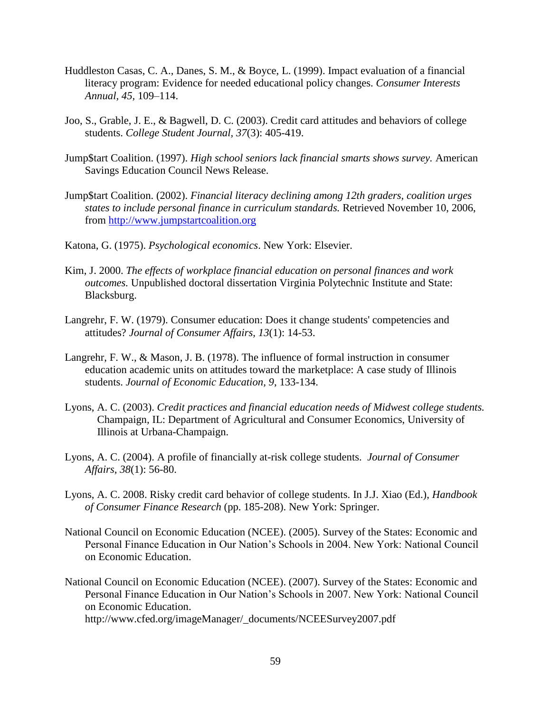- Huddleston Casas, C. A., Danes, S. M., & Boyce, L. (1999). Impact evaluation of a financial literacy program: Evidence for needed educational policy changes. *Consumer Interests Annual, 45,* 109–114.
- Joo, S., Grable, J. E., & Bagwell, D. C. (2003). Credit card attitudes and behaviors of college students. *College Student Journal, 37*(3): 405-419.
- Jump\$tart Coalition. (1997). *High school seniors lack financial smarts shows survey.* American Savings Education Council News Release.
- Jump\$tart Coalition. (2002). *Financial literacy declining among 12th graders, coalition urges states to include personal finance in curriculum standards.* Retrieved November 10, 2006, from [http://www.jumpstartcoalition.org](http://www.jumpstartcoalition.org/)
- Katona, G. (1975). *Psychological economics*. New York: Elsevier.
- Kim, J. 2000. *The effects of workplace financial education on personal finances and work outcomes.* Unpublished doctoral dissertation Virginia Polytechnic Institute and State: Blacksburg.
- Langrehr, F. W. (1979). Consumer education: Does it change students' competencies and attitudes? *Journal of Consumer Affairs, 13*(1): 14-53.
- Langrehr, F. W., & Mason, J. B. (1978). The influence of formal instruction in consumer education academic units on attitudes toward the marketplace: A case study of Illinois students. *Journal of Economic Education, 9*, 133-134.
- Lyons, A. C. (2003). *Credit practices and financial education needs of Midwest college students.*  Champaign*,* IL: Department of Agricultural and Consumer Economics, University of Illinois at Urbana-Champaign.
- Lyons, A. C. (2004). A profile of financially at-risk college students. *Journal of Consumer Affairs, 38*(1): 56-80.
- Lyons, A. C. 2008. Risky credit card behavior of college students. In J.J. Xiao (Ed.), *Handbook of Consumer Finance Research* (pp. 185-208). New York: Springer.
- National Council on Economic Education (NCEE). (2005). Survey of the States: Economic and Personal Finance Education in Our Nation's Schools in 2004. New York: National Council on Economic Education.
- National Council on Economic Education (NCEE). (2007). Survey of the States: Economic and Personal Finance Education in Our Nation's Schools in 2007. New York: National Council on Economic Education. http://www.cfed.org/imageManager/\_documents/NCEESurvey2007.pdf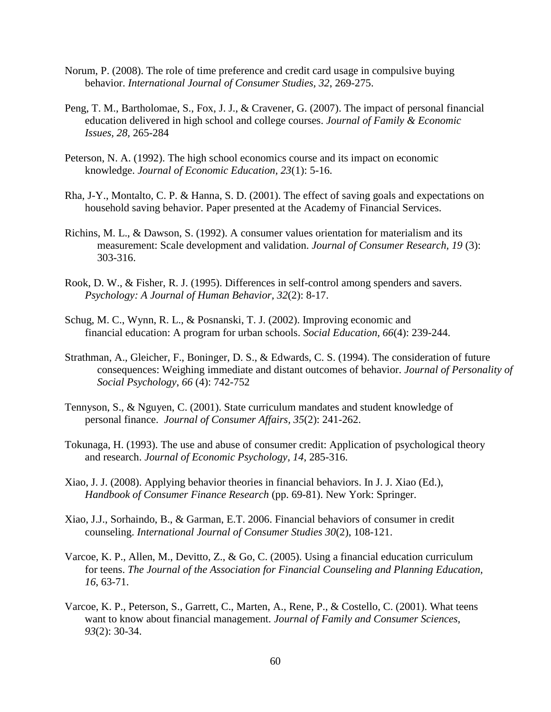- Norum, P. (2008). The role of time preference and credit card usage in compulsive buying behavior. *International Journal of Consumer Studies, 32*, 269-275.
- Peng, T. M., Bartholomae, S., Fox, J. J., & Cravener, G. (2007). The impact of personal financial education delivered in high school and college courses. *Journal of Family & Economic Issues, 28,* 265-284
- Peterson, N. A. (1992). The high school economics course and its impact on economic knowledge. *Journal of Economic Education, 23*(1): 5-16.
- Rha, J-Y., Montalto, C. P. & Hanna, S. D. (2001). The effect of saving goals and expectations on household saving behavior. Paper presented at the Academy of Financial Services.
- Richins, M. L., & Dawson, S. (1992). A consumer values orientation for materialism and its measurement: Scale development and validation. *Journal of Consumer Research, 19* (3): 303-316.
- Rook, D. W., & Fisher, R. J. (1995). Differences in self-control among spenders and savers. *Psychology: A Journal of Human Behavior, 32*(2): 8-17.
- Schug, M. C., Wynn, R. L., & Posnanski, T. J. (2002). Improving economic and financial education: A program for urban schools. *Social Education, 66*(4): 239-244.
- Strathman, A., Gleicher, F., Boninger, D. S., & Edwards, C. S. (1994). The consideration of future consequences: Weighing immediate and distant outcomes of behavior. *Journal of Personality of Social Psychology*, *66* (4): 742-752
- Tennyson, S., & Nguyen, C. (2001). State curriculum mandates and student knowledge of personal finance. *Journal of Consumer Affairs, 35*(2): 241-262.
- Tokunaga, H. (1993). The use and abuse of consumer credit: Application of psychological theory and research. *Journal of Economic Psychology, 14*, 285-316.
- Xiao, J. J. (2008). Applying behavior theories in financial behaviors. In J. J. Xiao (Ed.), *Handbook of Consumer Finance Research* (pp. 69-81). New York: Springer.
- Xiao, J.J., Sorhaindo, B., & Garman, E.T. 2006. Financial behaviors of consumer in credit counseling. *International Journal of Consumer Studies 30*(2), 108-121.
- Varcoe, K. P., Allen, M., Devitto, Z., & Go, C. (2005). Using a financial education curriculum for teens. *The Journal of the Association for Financial Counseling and Planning Education, 16*, 63-71.
- Varcoe, K. P., Peterson, S., Garrett, C., Marten, A., Rene, P., & Costello, C. (2001). What teens want to know about financial management. *Journal of Family and Consumer Sciences, 93*(2): 30-34.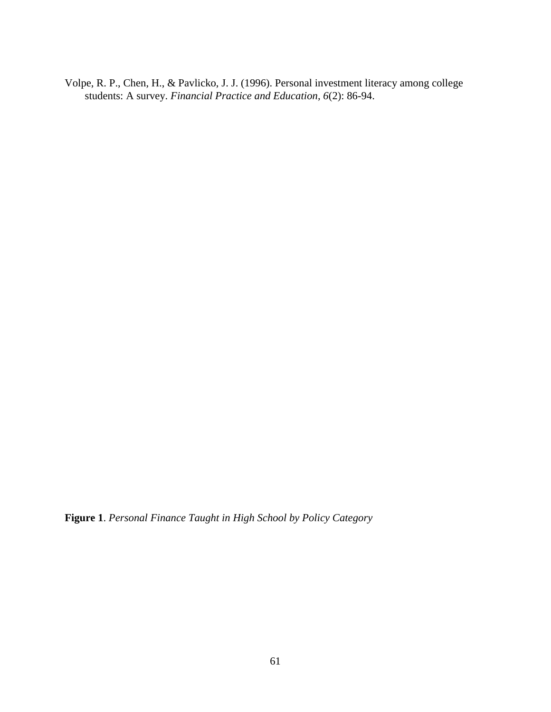Volpe, R. P., Chen, H., & Pavlicko, J. J. (1996). Personal investment literacy among college students: A survey. *Financial Practice and Education, 6*(2): 86-94.

**Figure 1**. *Personal Finance Taught in High School by Policy Category*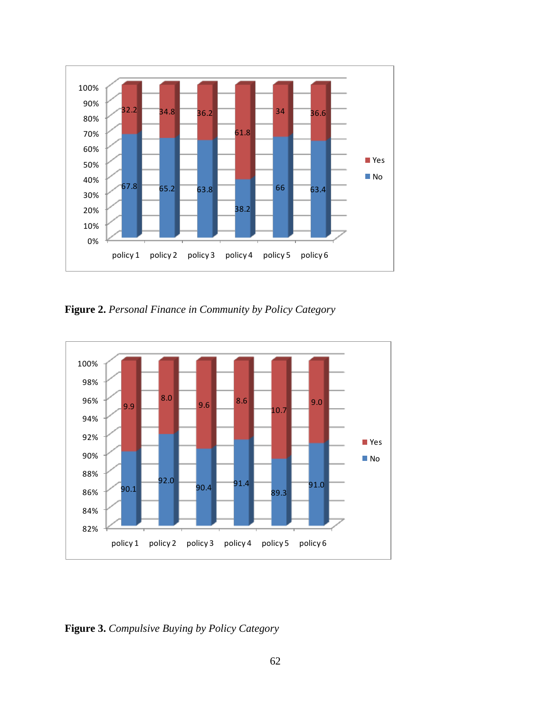

**Figure 2.** *Personal Finance in Community by Policy Category*



**Figure 3.** *Compulsive Buying by Policy Category*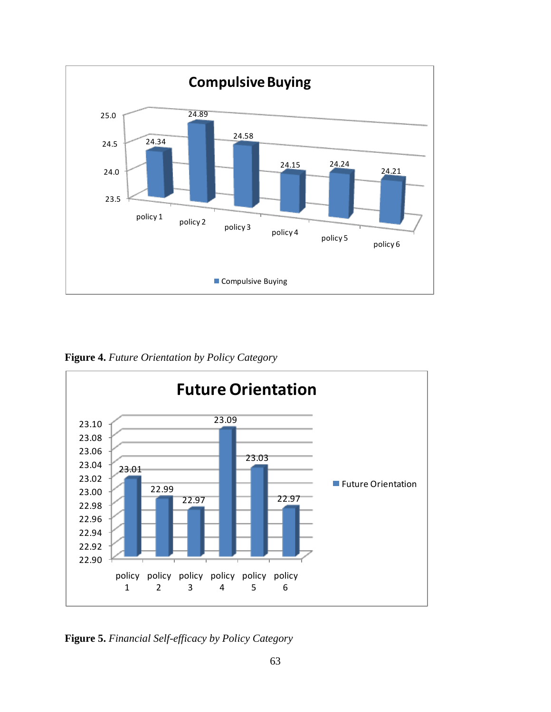

**Figure 4.** *Future Orientation by Policy Category*



**Figure 5.** *Financial Self-efficacy by Policy Category*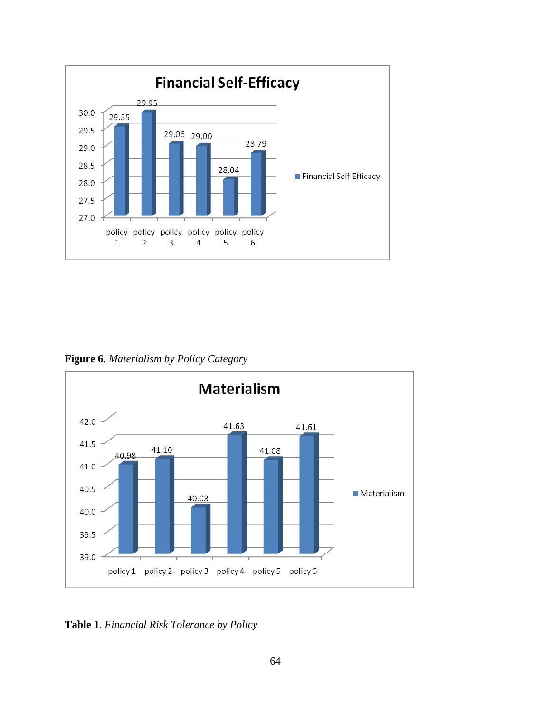

**Figure 6**. *Materialism by Policy Category*



**Table 1**. *Financial Risk Tolerance by Policy*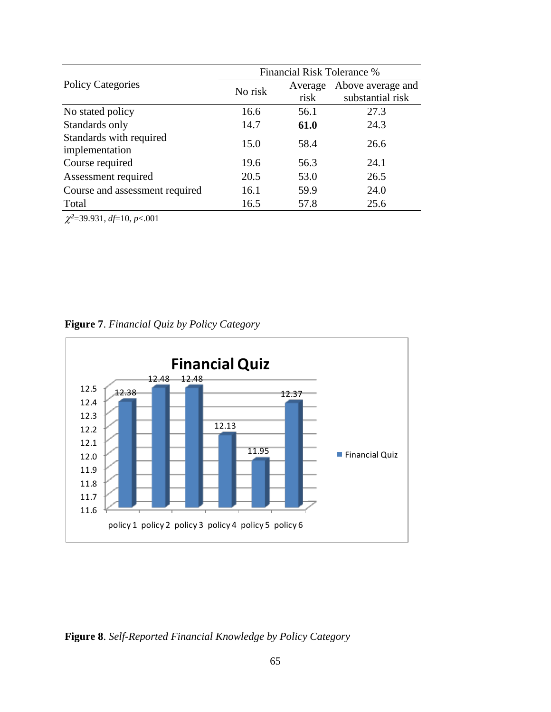|                                | Financial Risk Tolerance % |         |                   |  |  |  |  |
|--------------------------------|----------------------------|---------|-------------------|--|--|--|--|
| <b>Policy Categories</b>       | No risk                    | Average | Above average and |  |  |  |  |
|                                |                            | risk    | substantial risk  |  |  |  |  |
| No stated policy               | 16.6                       | 56.1    | 27.3              |  |  |  |  |
| Standards only                 | 14.7                       | 61.0    | 24.3              |  |  |  |  |
| Standards with required        | 15.0                       | 58.4    | 26.6              |  |  |  |  |
| implementation                 |                            |         |                   |  |  |  |  |
| Course required                | 19.6                       | 56.3    | 24.1              |  |  |  |  |
| Assessment required            | 20.5                       | 53.0    | 26.5              |  |  |  |  |
| Course and assessment required | 16.1                       | 59.9    | 24.0              |  |  |  |  |
| Total                          | 16.5                       | 57.8    | 25.6              |  |  |  |  |

*²*=39.931, *df*=10, *p*<.001



**Figure 7**. *Financial Quiz by Policy Category*

**Figure 8**. *Self-Reported Financial Knowledge by Policy Category*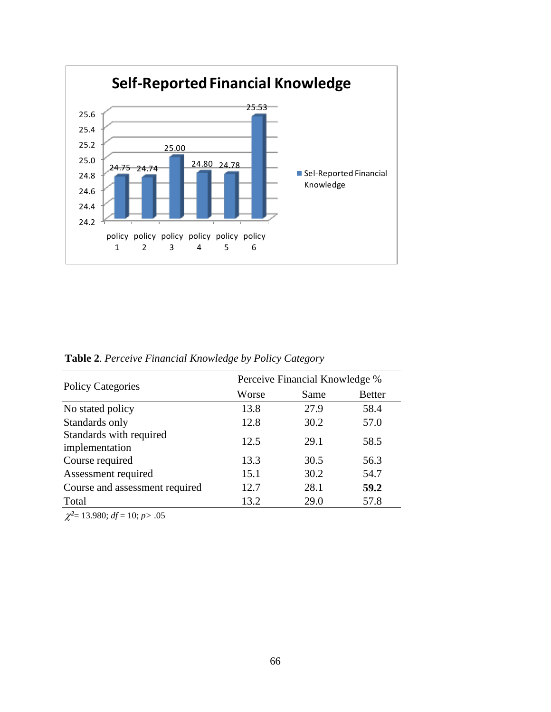

| <b>Policy Categories</b>                  |       | Perceive Financial Knowledge % |               |
|-------------------------------------------|-------|--------------------------------|---------------|
|                                           | Worse | Same                           | <b>Better</b> |
| No stated policy                          | 13.8  | 27.9                           | 58.4          |
| Standards only                            | 12.8  | 30.2                           | 57.0          |
| Standards with required<br>implementation | 12.5  | 29.1                           | 58.5          |
| Course required                           | 13.3  | 30.5                           | 56.3          |
| Assessment required                       | 15.1  | 30.2                           | 54.7          |
| Course and assessment required            | 12.7  | 28.1                           | 59.2          |
| Total                                     | 13.2  | 29.0                           | 57.8          |

**Table 2**. *Perceive Financial Knowledge by Policy Category*

 $\chi^2$ = 13.980; *df* = 10; *p* > .05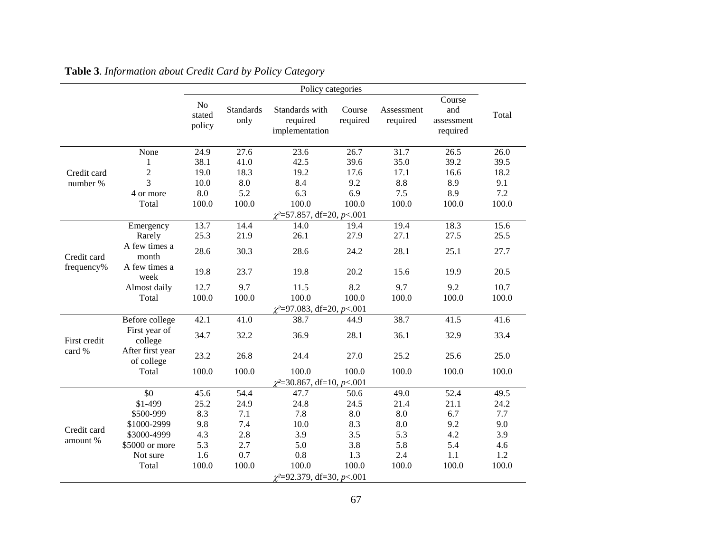|                                                   |                                | No<br>stated<br>policy                                                                                                                                                                                                                                                                                                                                                                                                                                                                                                                                                                                                                                                                                                                                                                                                                                                                                                  | <b>Standards</b><br>only | Standards with<br>required<br>implementation | Course<br>required | Assessment<br>required | Course<br>and<br>assessment<br>required | Total |
|---------------------------------------------------|--------------------------------|-------------------------------------------------------------------------------------------------------------------------------------------------------------------------------------------------------------------------------------------------------------------------------------------------------------------------------------------------------------------------------------------------------------------------------------------------------------------------------------------------------------------------------------------------------------------------------------------------------------------------------------------------------------------------------------------------------------------------------------------------------------------------------------------------------------------------------------------------------------------------------------------------------------------------|--------------------------|----------------------------------------------|--------------------|------------------------|-----------------------------------------|-------|
|                                                   | None                           |                                                                                                                                                                                                                                                                                                                                                                                                                                                                                                                                                                                                                                                                                                                                                                                                                                                                                                                         |                          |                                              |                    |                        |                                         | 26.0  |
|                                                   | 1                              |                                                                                                                                                                                                                                                                                                                                                                                                                                                                                                                                                                                                                                                                                                                                                                                                                                                                                                                         |                          |                                              |                    |                        |                                         | 39.5  |
|                                                   | $\overline{c}$                 |                                                                                                                                                                                                                                                                                                                                                                                                                                                                                                                                                                                                                                                                                                                                                                                                                                                                                                                         |                          |                                              | 17.6               | 17.1                   | 16.6                                    | 18.2  |
|                                                   | 3                              |                                                                                                                                                                                                                                                                                                                                                                                                                                                                                                                                                                                                                                                                                                                                                                                                                                                                                                                         |                          |                                              |                    |                        |                                         | 9.1   |
|                                                   | 4 or more                      |                                                                                                                                                                                                                                                                                                                                                                                                                                                                                                                                                                                                                                                                                                                                                                                                                                                                                                                         | 5.2                      |                                              |                    | 7.5                    |                                         | 7.2   |
|                                                   | Total                          |                                                                                                                                                                                                                                                                                                                                                                                                                                                                                                                                                                                                                                                                                                                                                                                                                                                                                                                         |                          |                                              |                    |                        |                                         | 100.0 |
|                                                   |                                |                                                                                                                                                                                                                                                                                                                                                                                                                                                                                                                                                                                                                                                                                                                                                                                                                                                                                                                         |                          |                                              |                    |                        |                                         |       |
|                                                   | Emergency                      | 13.7                                                                                                                                                                                                                                                                                                                                                                                                                                                                                                                                                                                                                                                                                                                                                                                                                                                                                                                    | 14.4                     | 14.0                                         | 19.4               | 19.4                   | 18.3                                    | 15.6  |
|                                                   | Rarely                         | 25.3                                                                                                                                                                                                                                                                                                                                                                                                                                                                                                                                                                                                                                                                                                                                                                                                                                                                                                                    | 21.9                     | 26.1                                         | 27.9               | 27.1                   | 27.5                                    | 25.5  |
| Credit card<br>frequency%                         | A few times a<br>month         | 28.6                                                                                                                                                                                                                                                                                                                                                                                                                                                                                                                                                                                                                                                                                                                                                                                                                                                                                                                    | 30.3                     | 28.6                                         | 24.2               | 28.1                   | 25.1                                    | 27.7  |
|                                                   | A few times a<br>week          | 19.8                                                                                                                                                                                                                                                                                                                                                                                                                                                                                                                                                                                                                                                                                                                                                                                                                                                                                                                    | 23.7                     | 19.8                                         | 20.2               | 15.6                   | 19.9                                    | 20.5  |
|                                                   | Almost daily                   | 12.7                                                                                                                                                                                                                                                                                                                                                                                                                                                                                                                                                                                                                                                                                                                                                                                                                                                                                                                    | 9.7                      | 11.5                                         | 8.2                | 9.7                    | 9.2                                     | 10.7  |
|                                                   | Total                          | 100.0                                                                                                                                                                                                                                                                                                                                                                                                                                                                                                                                                                                                                                                                                                                                                                                                                                                                                                                   | 100.0                    | 100.0                                        | 100.0              | 100.0                  | 100.0                                   | 100.0 |
|                                                   |                                |                                                                                                                                                                                                                                                                                                                                                                                                                                                                                                                                                                                                                                                                                                                                                                                                                                                                                                                         |                          |                                              |                    |                        |                                         |       |
| Credit card<br>number %                           | Before college                 | 42.1                                                                                                                                                                                                                                                                                                                                                                                                                                                                                                                                                                                                                                                                                                                                                                                                                                                                                                                    | 41.0                     | 38.7                                         | 44.9               | 38.7                   | 41.5                                    | 41.6  |
|                                                   | First year of<br>college       | 34.7                                                                                                                                                                                                                                                                                                                                                                                                                                                                                                                                                                                                                                                                                                                                                                                                                                                                                                                    | 32.2                     | 36.9                                         | 28.1               | 36.1                   | 32.9                                    | 33.4  |
|                                                   | After first year<br>of college | Policy categories<br>24.9<br>27.6<br>23.6<br>26.7<br>31.7<br>26.5<br>42.5<br>38.1<br>41.0<br>39.6<br>35.0<br>39.2<br>19.0<br>19.2<br>18.3<br>10.0<br>8.4<br>9.2<br>8.8<br>$\boldsymbol{8.0}$<br>8.9<br>8.0<br>6.3<br>6.9<br>8.9<br>100.0<br>100.0<br>100.0<br>100.0<br>100.0<br>100.0<br>$\chi^2 = 57.857$ , df=20, p <.001<br>$\chi^2 = 97.083$ , df=20, p<.001<br>23.2<br>26.8<br>27.0<br>25.2<br>25.6<br>24.4<br>100.0<br>100.0<br>100.0<br>100.0<br>100.0<br>100.0<br>$\chi^2$ =30.867, df=10, p<.001<br>54.4<br>52.4<br>45.6<br>49.0<br>47.7<br>50.6<br>25.2<br>24.9<br>24.8<br>24.5<br>21.4<br>21.1<br>8.3<br>7.8<br>8.0<br>7.1<br>8.0<br>6.7<br>9.8<br>8.3<br>8.0<br>7.4<br>10.0<br>9.2<br>3.9<br>3.5<br>4.3<br>2.8<br>5.3<br>4.2<br>5.3<br>3.8<br>5.8<br>2.7<br>5.0<br>5.4<br>0.7<br>0.8<br>2.4<br>1.6<br>1.3<br>1.1<br>100.0<br>100.0<br>100.0<br>100.0<br>100.0<br>100.0<br>$\chi^2 = 92.379$ , df=30, p<.001 |                          | 25.0                                         |                    |                        |                                         |       |
|                                                   | Total                          |                                                                                                                                                                                                                                                                                                                                                                                                                                                                                                                                                                                                                                                                                                                                                                                                                                                                                                                         |                          |                                              |                    |                        |                                         | 100.0 |
|                                                   |                                |                                                                                                                                                                                                                                                                                                                                                                                                                                                                                                                                                                                                                                                                                                                                                                                                                                                                                                                         |                          |                                              |                    |                        |                                         |       |
|                                                   | \$0                            |                                                                                                                                                                                                                                                                                                                                                                                                                                                                                                                                                                                                                                                                                                                                                                                                                                                                                                                         |                          |                                              |                    |                        |                                         | 49.5  |
|                                                   | \$1-499                        |                                                                                                                                                                                                                                                                                                                                                                                                                                                                                                                                                                                                                                                                                                                                                                                                                                                                                                                         |                          |                                              |                    |                        |                                         | 24.2  |
|                                                   | \$500-999                      |                                                                                                                                                                                                                                                                                                                                                                                                                                                                                                                                                                                                                                                                                                                                                                                                                                                                                                                         |                          |                                              |                    |                        |                                         | 7.7   |
|                                                   | \$1000-2999                    |                                                                                                                                                                                                                                                                                                                                                                                                                                                                                                                                                                                                                                                                                                                                                                                                                                                                                                                         |                          |                                              |                    |                        |                                         | 9.0   |
|                                                   | \$3000-4999                    |                                                                                                                                                                                                                                                                                                                                                                                                                                                                                                                                                                                                                                                                                                                                                                                                                                                                                                                         |                          |                                              |                    |                        |                                         | 3.9   |
| First credit<br>card %<br>Credit card<br>amount % | \$5000 or more                 |                                                                                                                                                                                                                                                                                                                                                                                                                                                                                                                                                                                                                                                                                                                                                                                                                                                                                                                         |                          |                                              |                    |                        |                                         | 4.6   |
|                                                   | Not sure                       |                                                                                                                                                                                                                                                                                                                                                                                                                                                                                                                                                                                                                                                                                                                                                                                                                                                                                                                         |                          |                                              |                    |                        |                                         | 1.2   |
|                                                   | Total                          |                                                                                                                                                                                                                                                                                                                                                                                                                                                                                                                                                                                                                                                                                                                                                                                                                                                                                                                         |                          |                                              |                    |                        |                                         | 100.0 |
|                                                   |                                |                                                                                                                                                                                                                                                                                                                                                                                                                                                                                                                                                                                                                                                                                                                                                                                                                                                                                                                         |                          |                                              |                    |                        |                                         |       |

**Table 3**. *Information about Credit Card by Policy Category*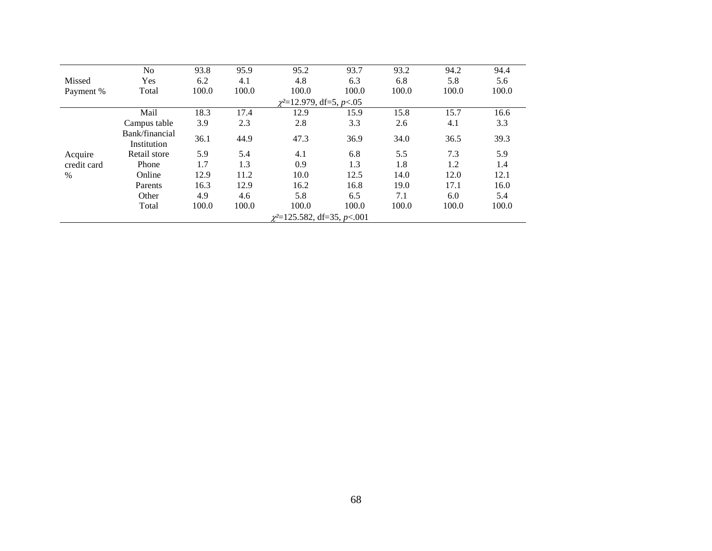|             | N <sub>o</sub>                   | 93.8  | 95.9  | 95.2                          | 93.7  | 93.2  | 94.2  | 94.4  |  |  |  |
|-------------|----------------------------------|-------|-------|-------------------------------|-------|-------|-------|-------|--|--|--|
| Missed      | Yes                              | 6.2   | 4.1   | 4.8                           | 6.3   | 6.8   | 5.8   | 5.6   |  |  |  |
| Payment %   | Total                            | 100.0 | 100.0 | 100.0                         | 100.0 | 100.0 | 100.0 | 100.0 |  |  |  |
|             |                                  |       |       | $\chi^2$ =12.979, df=5, p<.05 |       |       |       |       |  |  |  |
|             | Mail                             | 18.3  | 17.4  | 12.9                          | 15.9  | 15.8  | 15.7  | 16.6  |  |  |  |
|             | Campus table                     | 3.9   | 2.3   | 2.8                           | 3.3   | 2.6   | 4.1   | 3.3   |  |  |  |
|             | Bank/financial<br>Institution    | 36.1  | 44.9  | 47.3                          | 36.9  | 34.0  | 36.5  | 39.3  |  |  |  |
| Acquire     | Retail store                     | 5.9   | 5.4   | 4.1                           | 6.8   | 5.5   | 7.3   | 5.9   |  |  |  |
| credit card | Phone                            | 1.7   | 1.3   | 0.9                           | 1.3   | 1.8   | 1.2   | 1.4   |  |  |  |
| $\%$        | Online                           | 12.9  | 11.2  | 10.0                          | 12.5  | 14.0  | 12.0  | 12.1  |  |  |  |
|             | Parents                          | 16.3  | 12.9  | 16.2                          | 16.8  | 19.0  | 17.1  | 16.0  |  |  |  |
|             | Other                            | 4.9   | 4.6   | 5.8                           | 6.5   | 7.1   | 6.0   | 5.4   |  |  |  |
|             | Total                            | 100.0 | 100.0 | 100.0                         | 100.0 | 100.0 | 100.0 | 100.0 |  |  |  |
|             | $\chi^2$ =125.582, df=35, p<.001 |       |       |                               |       |       |       |       |  |  |  |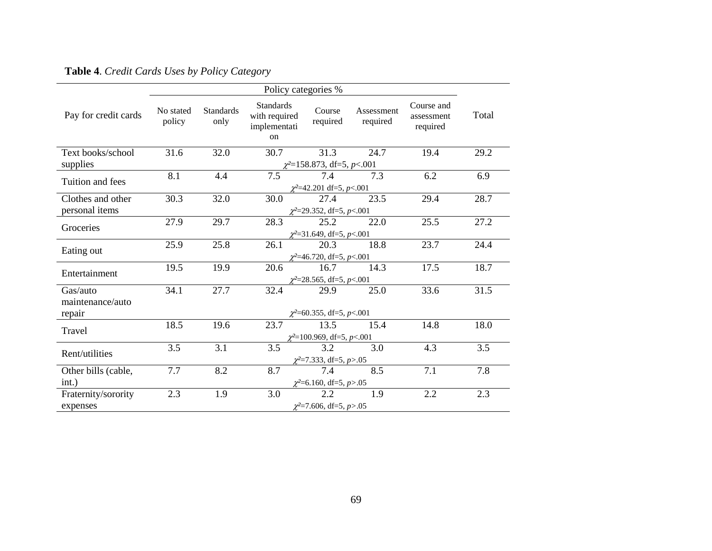|                      |                                |                          | Policy categories %                                     |                                 |                        |                                      |       |  |
|----------------------|--------------------------------|--------------------------|---------------------------------------------------------|---------------------------------|------------------------|--------------------------------------|-------|--|
| Pay for credit cards | No stated<br>policy            | <b>Standards</b><br>only | <b>Standards</b><br>with required<br>implementati<br>on | Course<br>required              | Assessment<br>required | Course and<br>assessment<br>required | Total |  |
| Text books/school    | 31.6                           | 32.0                     | 30.7                                                    | 31.3                            | 24.7                   | 19.4                                 | 29.2  |  |
| supplies             |                                |                          |                                                         | $\chi^2$ =158.873, df=5, p<.001 |                        |                                      |       |  |
| Tuition and fees     | 8.1                            | 4.4                      | 7.5                                                     | 7.4                             | 7.3                    | 6.2                                  | 6.9   |  |
|                      |                                |                          |                                                         | $\chi^2$ =42.201 df=5, p<.001   |                        |                                      |       |  |
| Clothes and other    | 30.3                           | 32.0                     | 30.0                                                    | 27.4                            | 23.5                   | 29.4                                 | 28.7  |  |
| personal items       | $\chi^2$ =29.352, df=5, p<.001 |                          |                                                         |                                 |                        |                                      |       |  |
| Groceries            | 27.9                           | 29.7                     | 28.3                                                    | 25.2                            | 22.0                   | 25.5                                 | 27.2  |  |
|                      | $\chi^2$ =31.649, df=5, p<.001 |                          |                                                         |                                 |                        |                                      |       |  |
|                      | 25.9                           | 25.8                     | 26.1                                                    | 20.3                            | 18.8                   | 23.7                                 | 24.4  |  |
| Eating out           | $\chi^2$ =46.720, df=5, p<.001 |                          |                                                         |                                 |                        |                                      |       |  |
| Entertainment        | 19.5                           | 19.9                     | 20.6                                                    | 16.7                            | 14.3                   | 17.5                                 | 18.7  |  |
|                      | $\chi^2$ =28.565, df=5, p<.001 |                          |                                                         |                                 |                        |                                      |       |  |
| Gas/auto             | 34.1                           | 27.7                     | 32.4                                                    | 29.9                            | 25.0                   | 33.6                                 | 31.5  |  |
| maintenance/auto     |                                |                          |                                                         |                                 |                        |                                      |       |  |
| repair               | $\chi^2$ =60.355, df=5, p<.001 |                          |                                                         |                                 |                        |                                      |       |  |
| Travel               | 18.5                           | 19.6                     | 23.7                                                    | 13.5                            | 15.4                   | 14.8                                 | 18.0  |  |
|                      |                                |                          |                                                         | $\chi^2$ =100.969, df=5, p<.001 |                        |                                      |       |  |
| Rent/utilities       | 3.5                            | 3.1                      | 3.5                                                     | 3.2                             | 3.0                    | 4.3                                  | 3.5   |  |
|                      |                                |                          |                                                         | $\chi^2$ =7.333, df=5, p>.05    |                        |                                      |       |  |
| Other bills (cable,  | 7.7                            | 8.2                      | 8.7                                                     | 7.4                             | 8.5                    | 7.1                                  | 7.8   |  |
| int.)                |                                |                          |                                                         | $\chi^2$ =6.160, df=5, p>.05    |                        |                                      |       |  |
| Fraternity/sorority  | 2.3                            | 1.9                      | 3.0                                                     | 2.2                             | 1.9                    | 2.2                                  | 2.3   |  |
| expenses             |                                |                          |                                                         | $\chi^2$ =7.606, df=5, p>.05    |                        |                                      |       |  |

**Table 4**. *Credit Cards Uses by Policy Category*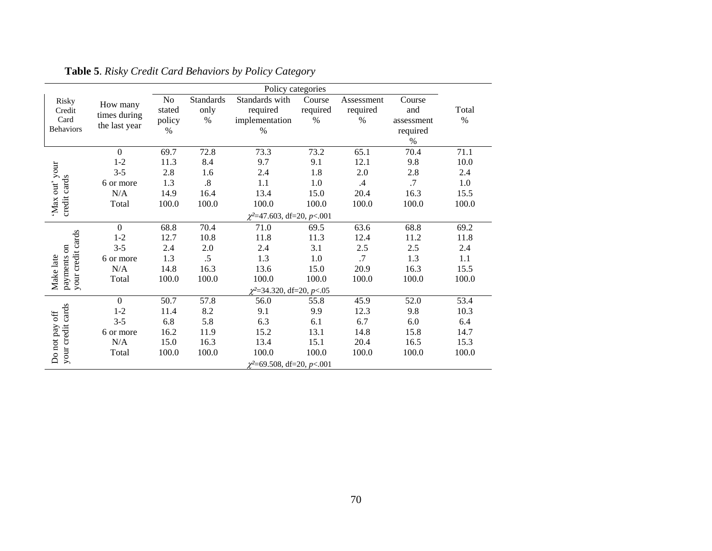|                                               |                                           | Policy categories              |                           |                                                      |                            |                                |                                                 |               |
|-----------------------------------------------|-------------------------------------------|--------------------------------|---------------------------|------------------------------------------------------|----------------------------|--------------------------------|-------------------------------------------------|---------------|
| Risky<br>Credit<br>Card<br><b>Behaviors</b>   | How many<br>times during<br>the last year | No<br>stated<br>policy<br>$\%$ | Standards<br>only<br>$\%$ | Standards with<br>required<br>implementation<br>$\%$ | Course<br>required<br>$\%$ | Assessment<br>required<br>$\%$ | Course<br>and<br>assessment<br>required<br>$\%$ | Total<br>$\%$ |
|                                               | $\mathbf{0}$                              | 69.7                           | 72.8                      | 73.3                                                 | 73.2                       | 65.1                           | 70.4                                            | 71.1          |
|                                               | $1 - 2$                                   | 11.3                           | 8.4                       | 9.7                                                  | 9.1                        | 12.1                           | 9.8                                             | 10.0          |
| 'Max out' your                                | $3 - 5$                                   | 2.8                            | 1.6                       | 2.4                                                  | 1.8                        | $2.0\,$                        | 2.8                                             | 2.4           |
|                                               | 6 or more                                 | 1.3                            | $.8\,$                    | 1.1                                                  | 1.0                        | .4                             | .7                                              | 1.0           |
|                                               | N/A                                       | 14.9                           | 16.4                      | 13.4                                                 | 15.0                       | 20.4                           | 16.3                                            | 15.5          |
| credit cards                                  | Total                                     | 100.0                          | 100.0                     | 100.0                                                | 100.0                      | 100.0                          | 100.0                                           | 100.0         |
|                                               |                                           |                                |                           | $\chi^2$ =47.603, df=20, p<.001                      |                            |                                |                                                 |               |
|                                               | $\mathbf{0}$                              | 68.8                           | 70.4                      | 71.0                                                 | 69.5                       | 63.6                           | 68.8                                            | 69.2          |
|                                               | $1 - 2$                                   | 12.7                           | 10.8                      | 11.8                                                 | 11.3                       | 12.4                           | 11.2                                            | 11.8          |
|                                               | $3 - 5$                                   | 2.4                            | 2.0                       | 2.4                                                  | 3.1                        | $2.5\,$                        | 2.5                                             | 2.4           |
|                                               | 6 or more                                 | 1.3                            | $.5\,$                    | 1.3                                                  | $1.0\,$                    | .7                             | 1.3                                             | 1.1           |
|                                               | N/A                                       | 14.8                           | 16.3                      | 13.6                                                 | 15.0                       | 20.9                           | 16.3                                            | 15.5          |
| your credit cards<br>payments on<br>Make late | Total                                     | 100.0                          | 100.0                     | 100.0                                                | 100.0                      | 100.0                          | 100.0                                           | 100.0         |
|                                               |                                           |                                |                           | $\chi^2$ =34.320, df=20, p<.05                       |                            |                                |                                                 |               |
|                                               | $\mathbf{0}$                              | 50.7                           | 57.8                      | 56.0                                                 | 55.8                       | 45.9                           | 52.0                                            | 53.4          |
|                                               | $1 - 2$                                   | 11.4                           | 8.2                       | 9.1                                                  | 9.9                        | 12.3                           | 9.8                                             | 10.3          |
|                                               | $3 - 5$                                   | 6.8                            | 5.8                       | 6.3                                                  | 6.1                        | 6.7                            | 6.0                                             | 6.4           |
|                                               | 6 or more                                 | 16.2                           | 11.9                      | 15.2                                                 | 13.1                       | 14.8                           | 15.8                                            | 14.7          |
|                                               | N/A                                       | 15.0                           | 16.3                      | 13.4                                                 | 15.1                       | 20.4                           | 16.5                                            | 15.3          |
| your credit cards<br>Do not pay off           | Total                                     | 100.0                          | 100.0                     | 100.0                                                | 100.0                      | 100.0                          | 100.0                                           | 100.0         |
|                                               |                                           |                                |                           | $\chi^2$ =69.508, df=20, p<.001                      |                            |                                |                                                 |               |

**Table 5**. *Risky Credit Card Behaviors by Policy Category*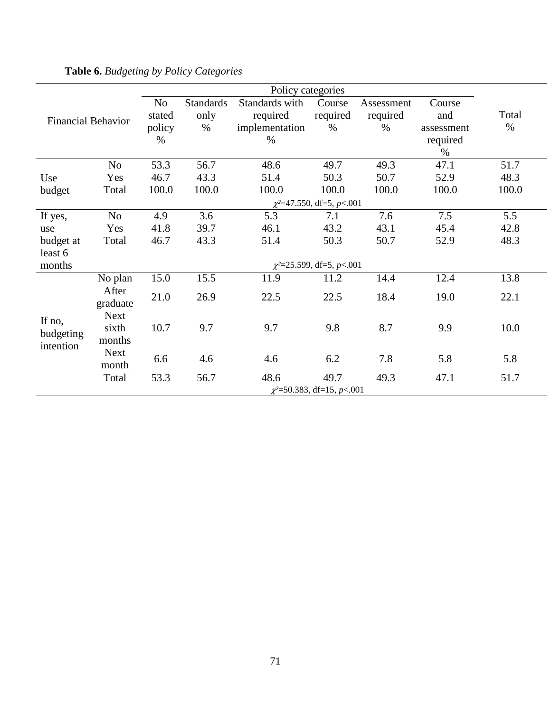|                           |                | No                              | <b>Standards</b> | Standards with | Course                           | Assessment | Course     |       |  |  |  |
|---------------------------|----------------|---------------------------------|------------------|----------------|----------------------------------|------------|------------|-------|--|--|--|
| <b>Financial Behavior</b> |                | stated                          | only             | required       | required                         | required   | and        | Total |  |  |  |
|                           |                | policy                          | %                | implementation | $\%$                             | $\%$       | assessment | $\%$  |  |  |  |
|                           |                | $\%$                            |                  | $\%$           |                                  |            | required   |       |  |  |  |
|                           |                |                                 |                  |                |                                  |            | $\%$       |       |  |  |  |
|                           | N <sub>o</sub> | 53.3                            | 56.7             | 48.6           | 49.7                             | 49.3       | 47.1       | 51.7  |  |  |  |
| Use                       | Yes            | 46.7                            | 43.3             | 51.4           | 50.3                             | 50.7       | 52.9       | 48.3  |  |  |  |
| budget                    | Total          | 100.0                           | 100.0            | 100.0          | 100.0                            | 100.0      | 100.0      | 100.0 |  |  |  |
|                           |                | $\chi^2$ =47.550, df=5, p<.001  |                  |                |                                  |            |            |       |  |  |  |
| If yes,                   | N <sub>o</sub> | 4.9                             | 3.6              | 5.3            | 7.1                              | 7.6        | 7.5        | 5.5   |  |  |  |
| use                       | Yes            | 41.8                            | 39.7             | 46.1           | 43.2                             | 43.1       | 45.4       | 42.8  |  |  |  |
| budget at                 | Total          | 46.7                            | 43.3             | 51.4           | 50.3                             | 50.7       | 52.9       | 48.3  |  |  |  |
| least 6                   |                |                                 |                  |                |                                  |            |            |       |  |  |  |
| months                    |                |                                 |                  |                | $\chi^2 = 25.599$ , df=5, p<.001 |            |            |       |  |  |  |
|                           | No plan        | 15.0                            | 15.5             | 11.9           | 11.2                             | 14.4       | 12.4       | 13.8  |  |  |  |
|                           | After          | 21.0                            | 26.9             | 22.5           | 22.5                             | 18.4       | 19.0       | 22.1  |  |  |  |
|                           | graduate       |                                 |                  |                |                                  |            |            |       |  |  |  |
| If no,                    | <b>Next</b>    |                                 |                  |                |                                  |            |            |       |  |  |  |
| budgeting                 | sixth          | 10.7                            | 9.7              | 9.7            | 9.8                              | 8.7        | 9.9        | 10.0  |  |  |  |
| intention                 | months         |                                 |                  |                |                                  |            |            |       |  |  |  |
|                           | <b>Next</b>    | 6.6                             | 4.6              | 4.6            | 6.2                              | 7.8        | 5.8        | 5.8   |  |  |  |
|                           | month          |                                 |                  |                |                                  |            |            |       |  |  |  |
|                           | Total          | 53.3                            | 56.7             | 48.6           | 49.7                             | 49.3       | 47.1       | 51.7  |  |  |  |
|                           |                | $\chi^2$ =50.383, df=15, p<.001 |                  |                |                                  |            |            |       |  |  |  |

**Table 6.** *Budgeting by Policy Categories*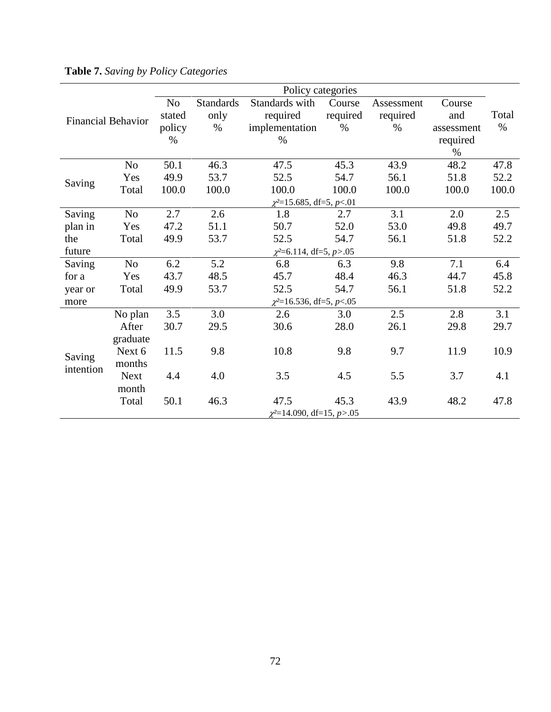|                    |                |        |                               | Policy categories              |          |            |            |       |  |  |
|--------------------|----------------|--------|-------------------------------|--------------------------------|----------|------------|------------|-------|--|--|
|                    |                | No     | <b>Standards</b>              | Standards with                 | Course   | Assessment | Course     |       |  |  |
| Financial Behavior |                | stated | only                          | required                       | required | required   | and        | Total |  |  |
|                    |                | policy | $\%$                          | implementation                 | $\%$     | $\%$       | assessment | $\%$  |  |  |
|                    |                | $\%$   |                               | $\%$                           |          |            | required   |       |  |  |
|                    |                |        |                               |                                |          |            | $\%$       |       |  |  |
|                    | N <sub>o</sub> | 50.1   | 46.3                          | 47.5                           | 45.3     | 43.9       | 48.2       | 47.8  |  |  |
| Saving             | Yes            | 49.9   | 53.7                          | 52.5                           | 54.7     | 56.1       | 51.8       | 52.2  |  |  |
|                    | Total          | 100.0  | 100.0                         | 100.0                          | 100.0    | 100.0      | 100.0      | 100.0 |  |  |
|                    |                |        | $\chi^2$ =15.685, df=5, p<.01 |                                |          |            |            |       |  |  |
| Saving             | No             | 2.7    | 2.6                           | 1.8                            | 2.7      | 3.1        | 2.0        | 2.5   |  |  |
| plan in            | Yes            | 47.2   | 51.1                          | 50.7                           | 52.0     | 53.0       | 49.8       | 49.7  |  |  |
| the                | Total          | 49.9   | 53.7                          | 52.5                           | 54.7     | 56.1       | 51.8       | 52.2  |  |  |
| future             |                |        |                               | $\chi^2$ =6.114, df=5, p>.05   |          |            |            |       |  |  |
| Saving             | No             | 6.2    | 5.2                           | 6.8                            | 6.3      | 9.8        | 7.1        | 6.4   |  |  |
| for a              | Yes            | 43.7   | 48.5                          | 45.7                           | 48.4     | 46.3       | 44.7       | 45.8  |  |  |
| year or            | Total          | 49.9   | 53.7                          | 52.5                           | 54.7     | 56.1       | 51.8       | 52.2  |  |  |
| more               |                |        |                               | $\chi^2$ =16.536, df=5, p<.05  |          |            |            |       |  |  |
|                    | No plan        | 3.5    | 3.0                           | 2.6                            | 3.0      | 2.5        | 2.8        | 3.1   |  |  |
|                    | After          | 30.7   | 29.5                          | 30.6                           | 28.0     | 26.1       | 29.8       | 29.7  |  |  |
|                    | graduate       |        |                               |                                |          |            |            |       |  |  |
| Saving             | Next 6         | 11.5   | 9.8                           | 10.8                           | 9.8      | 9.7        | 11.9       | 10.9  |  |  |
| intention          | months         |        |                               |                                |          |            |            |       |  |  |
|                    | <b>Next</b>    | 4.4    | 4.0                           | 3.5                            | 4.5      | 5.5        | 3.7        | 4.1   |  |  |
|                    | month          |        |                               |                                |          |            |            |       |  |  |
|                    | Total          | 50.1   | 46.3                          | 47.5                           | 45.3     | 43.9       | 48.2       | 47.8  |  |  |
|                    |                |        |                               | $\chi^2$ =14.090, df=15, p>.05 |          |            |            |       |  |  |

**Table 7.** *Saving by Policy Categories*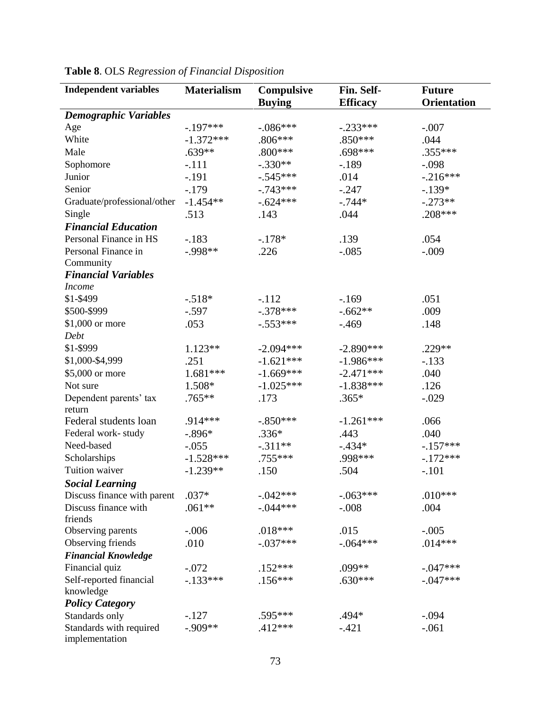| <b>Independent variables</b>              | <b>Materialism</b> | Compulsive<br><b>Buying</b> | Fin. Self-<br><b>Efficacy</b> | <b>Future</b><br><b>Orientation</b> |
|-------------------------------------------|--------------------|-----------------------------|-------------------------------|-------------------------------------|
| <b>Demographic Variables</b>              |                    |                             |                               |                                     |
| Age                                       | $-.197***$         | $-.086***$                  | $-.233***$                    | $-.007$                             |
| White                                     | $-1.372***$        | $.806***$                   | $.850***$                     | .044                                |
| Male                                      | $.639**$           | $.800***$                   | .698***                       | $.355***$                           |
| Sophomore                                 | $-.111$            | $-.330**$                   | $-.189$                       | $-.098$                             |
| Junior                                    | $-.191$            | $-.545***$                  | .014                          | $-216***$                           |
| Senior                                    | $-.179$            | $-.743***$                  | $-.247$                       | $-139*$                             |
| Graduate/professional/other               | $-1.454**$         | $-.624***$                  | $-.744*$                      | $-.273**$                           |
| Single                                    | .513               | .143                        | .044                          | .208***                             |
| <b>Financial Education</b>                |                    |                             |                               |                                     |
| Personal Finance in HS                    | $-.183$            | $-.178*$                    | .139                          | .054                                |
| Personal Finance in                       | $-.998**$          | .226                        | $-.085$                       | $-.009$                             |
| Community                                 |                    |                             |                               |                                     |
| <b>Financial Variables</b>                |                    |                             |                               |                                     |
| <b>Income</b>                             |                    |                             |                               |                                     |
| \$1-\$499                                 | $-.518*$           | $-.112$                     | $-169$                        | .051                                |
| \$500-\$999                               | $-.597$            | $-.378***$                  | $-.662**$                     | .009                                |
| \$1,000 or more                           | .053               | $-.553***$                  | $-.469$                       | .148                                |
| Debt                                      |                    |                             |                               |                                     |
| \$1-\$999                                 | $1.123**$          | $-2.094***$                 | $-2.890***$                   | .229 **                             |
| \$1,000-\$4,999                           | .251               | $-1.621***$                 | $-1.986***$                   | $-.133$                             |
| \$5,000 or more                           | 1.681***           | $-1.669***$                 | $-2.471***$                   | .040                                |
| Not sure                                  | 1.508*             | $-1.025***$                 | $-1.838***$                   | .126                                |
| Dependent parents' tax                    | .765**             | .173                        | $.365*$                       | $-.029$                             |
| return                                    |                    |                             |                               |                                     |
| Federal students loan                     | .914***            | $-.850***$                  | $-1.261***$                   | .066                                |
| Federal work-study                        | $-.896*$           | $.336*$                     | .443                          | .040                                |
| Need-based                                | $-.055$            | $-.311**$                   | $-.434*$                      | $-.157***$                          |
| Scholarships                              | $-1.528***$        | .755***                     | .998 ***                      | $-.172***$                          |
| Tuition waiver                            | $-1.239**$         | .150                        | .504                          | $-.101$                             |
| <b>Social Learning</b>                    |                    |                             |                               |                                     |
| Discuss finance with parent               | $.037*$            | $-.042***$                  | $-.063***$                    | $.010***$                           |
| Discuss finance with                      | $.061**$           | $-.044***$                  | $-.008$                       | .004                                |
| friends                                   |                    |                             |                               |                                     |
| Observing parents                         | $-.006$            | $.018***$                   | .015                          | $-.005$                             |
| Observing friends                         | .010               | $-.037***$                  | $-.064***$                    | $.014***$                           |
| <b>Financial Knowledge</b>                |                    |                             |                               |                                     |
| Financial quiz                            | $-.072$            | $.152***$                   | .099**                        | $-0.047***$                         |
| Self-reported financial<br>knowledge      | $-.133***$         | $.156***$                   | $.630***$                     | $-0.047***$                         |
| <b>Policy Category</b>                    |                    |                             |                               |                                     |
| Standards only                            | $-.127$            | .595***                     | $.494*$                       | $-.094$                             |
| Standards with required<br>implementation | $-.909**$          | .412 ***                    | $-.421$                       | $-.061$                             |

|  |  |  |  |  |  | Table 8. OLS Regression of Financial Disposition |
|--|--|--|--|--|--|--------------------------------------------------|
|--|--|--|--|--|--|--------------------------------------------------|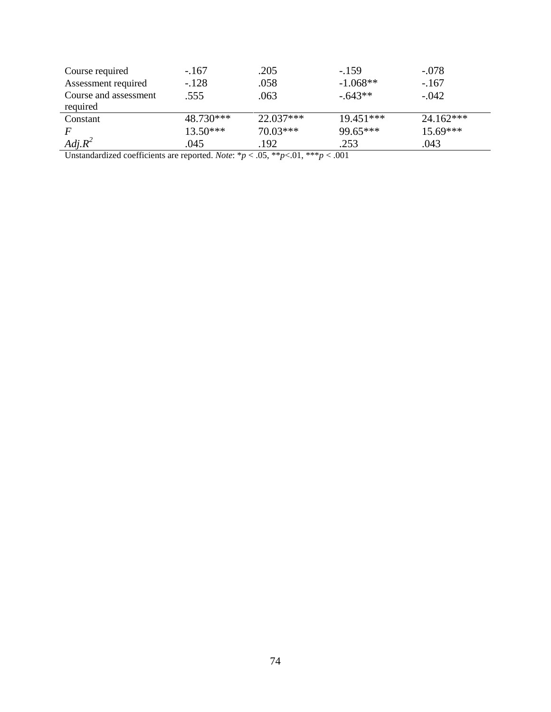| Course required       | $-.167$    | .205        | $-159$      | $-.078$     |
|-----------------------|------------|-------------|-------------|-------------|
| Assessment required   | $-.128$    | .058        | $-1.068**$  | $-.167$     |
| Course and assessment | .555       | .063        | $-.643**$   | $-.042$     |
| required              |            |             |             |             |
| Constant              | 48.730***  | $22.037***$ | $19.451***$ | $24.162***$ |
| F                     | $13.50***$ | $70.03***$  | 99.65***    | 15.69***    |
| $Adj.R^2$             | .045       | .192        | .253        | .043        |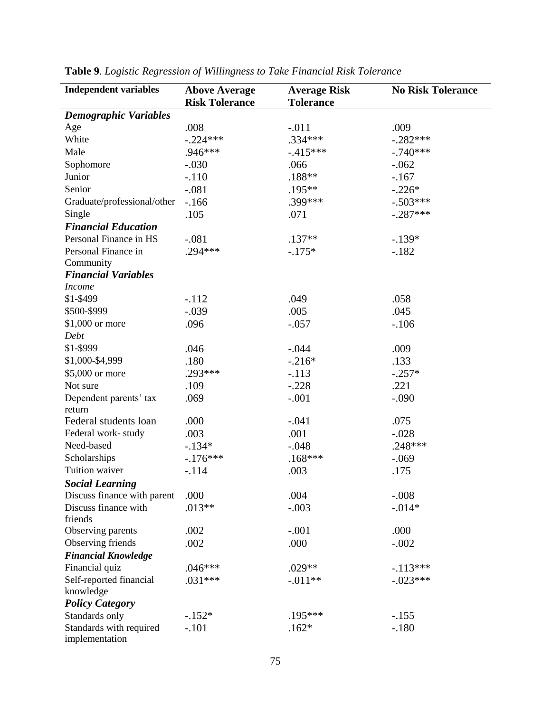| <b>Independent variables</b>              | <b>Above Average</b><br><b>Risk Tolerance</b> | <b>Average Risk</b><br><b>Tolerance</b> | <b>No Risk Tolerance</b> |
|-------------------------------------------|-----------------------------------------------|-----------------------------------------|--------------------------|
| <b>Demographic Variables</b>              |                                               |                                         |                          |
| Age                                       | .008                                          | $-.011$                                 | .009                     |
| White                                     | $-.224***$                                    | .334***                                 | $-.282***$               |
| Male                                      | .946***                                       | $-415***$                               | $-.740***$               |
| Sophomore                                 | $-.030$                                       | .066                                    | $-.062$                  |
| Junior                                    | $-.110$                                       | $.188**$                                | $-167$                   |
| Senior                                    | $-.081$                                       | .195**                                  | $-.226*$                 |
| Graduate/professional/other               | $-166$                                        | .399***                                 | $-.503***$               |
| Single                                    | .105                                          | .071                                    | $-.287***$               |
| <b>Financial Education</b>                |                                               |                                         |                          |
| Personal Finance in HS                    | $-.081$                                       | $.137**$                                | $-.139*$                 |
| Personal Finance in                       | $.294***$                                     | $-.175*$                                | $-.182$                  |
| Community                                 |                                               |                                         |                          |
| <b>Financial Variables</b>                |                                               |                                         |                          |
| <b>Income</b>                             |                                               |                                         |                          |
| \$1-\$499                                 | $-.112$                                       | .049                                    | .058                     |
| \$500-\$999                               | $-.039$                                       | .005                                    | .045                     |
| \$1,000 or more                           | .096                                          | $-.057$                                 | $-.106$                  |
| Debt                                      |                                               |                                         |                          |
| \$1-\$999                                 | .046                                          | $-.044$                                 | .009                     |
| \$1,000-\$4,999                           | .180                                          | $-.216*$                                | .133                     |
| \$5,000 or more                           | .293***                                       | $-.113$                                 | $-.257*$                 |
| Not sure                                  | .109                                          | $-.228$                                 | .221                     |
| Dependent parents' tax<br>return          | .069                                          | $-.001$                                 | $-.090$                  |
| Federal students loan                     | .000                                          | $-.041$                                 | .075                     |
| Federal work-study                        | .003                                          | .001                                    | $-.028$                  |
| Need-based                                | $-134*$                                       | $-.048$                                 | $.248***$                |
| Scholarships                              | $-176***$                                     | $.168***$                               | $-.069$                  |
| Tuition waiver                            | $-.114$                                       | .003                                    | .175                     |
| <b>Social Learning</b>                    |                                               |                                         |                          |
| Discuss finance with parent               | .000                                          | .004                                    | $-.008$                  |
| Discuss finance with<br>friends           | $.013**$                                      | $-.003$                                 | $-0.014*$                |
| Observing parents                         | .002                                          | $-.001$                                 | .000                     |
| Observing friends                         | .002                                          | .000                                    | $-.002$                  |
| <b>Financial Knowledge</b>                |                                               |                                         |                          |
| Financial quiz                            | $.046***$                                     | $.029**$                                | $-113***$                |
| Self-reported financial                   | $.031***$                                     | $-.011**$                               | $-.023***$               |
| knowledge                                 |                                               |                                         |                          |
| <b>Policy Category</b>                    |                                               |                                         |                          |
| Standards only                            | $-.152*$                                      | .195***                                 | $-.155$                  |
| Standards with required<br>implementation | $-.101$                                       | $.162*$                                 | $-.180$                  |

**Table 9**. *Logistic Regression of Willingness to Take Financial Risk Tolerance*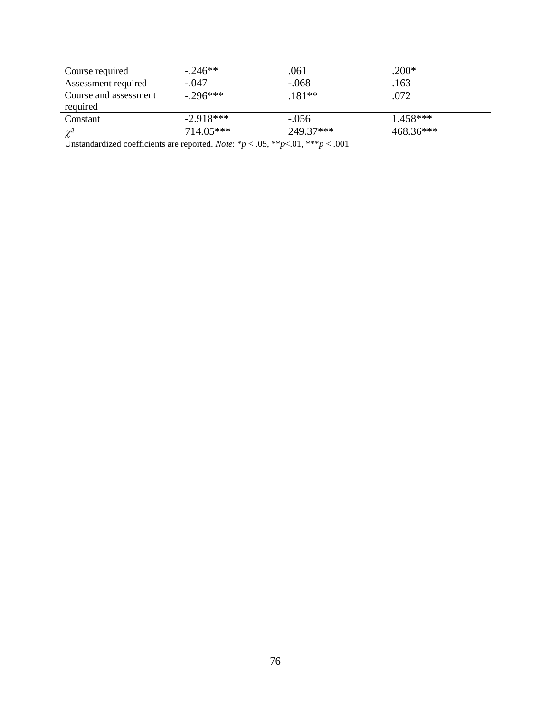| Course required                   | $-.246**$   | .061      | $.200*$     |  |
|-----------------------------------|-------------|-----------|-------------|--|
| Assessment required               | $-.047$     | $-.068$   | .163        |  |
| Course and assessment<br>required | $-.296***$  | $.181**$  | .072        |  |
| Constant                          | $-2.918***$ | $-.056$   | $1.458***$  |  |
| $\gamma^2$                        | 714.05***   | 249.37*** | $468.36***$ |  |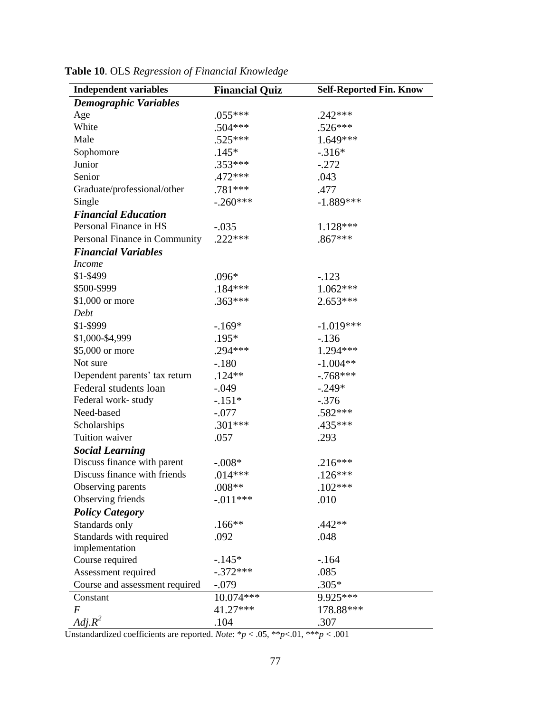| <b>Independent variables</b>   | <b>Financial Quiz</b> | <b>Self-Reported Fin. Know</b> |
|--------------------------------|-----------------------|--------------------------------|
| <b>Demographic Variables</b>   |                       |                                |
| Age                            | $.055***$             | $.242***$                      |
| White                          | $.504***$             | $.526***$                      |
| Male                           | .525***               | 1.649***                       |
| Sophomore                      | $.145*$               | $-.316*$                       |
| Junior                         | .353***               | $-.272$                        |
| Senior                         | .472 ***              | .043                           |
| Graduate/professional/other    | .781 ***              | .477                           |
| Single                         | $-.260***$            | $-1.889***$                    |
| <b>Financial Education</b>     |                       |                                |
| Personal Finance in HS         | $-.035$               | 1.128***                       |
| Personal Finance in Community  | $.222***$             | $.867***$                      |
| <b>Financial Variables</b>     |                       |                                |
| <i>Income</i>                  |                       |                                |
| \$1-\$499                      | $.096*$               | $-.123$                        |
| \$500-\$999                    | $.184***$             | $1.062***$                     |
| $$1,000$ or more               | $.363***$             | $2.653***$                     |
| Debt                           |                       |                                |
| \$1-\$999                      | $-.169*$              | $-1.019***$                    |
| \$1,000-\$4,999                | $.195*$               | $-136$                         |
| \$5,000 or more                | $.294***$             | 1.294***                       |
| Not sure                       | $-.180$               | $-1.004**$                     |
| Dependent parents' tax return  | $.124**$              | $-.768***$                     |
| Federal students loan          | $-.049$               | $-.249*$                       |
| Federal work-study             | $-.151*$              | $-.376$                        |
| Need-based                     | $-.077$               | .582 ***                       |
| Scholarships                   | $.301***$             | .435***                        |
| Tuition waiver                 | .057                  | .293                           |
| <b>Social Learning</b>         |                       |                                |
| Discuss finance with parent    | $-.008*$              | $.216***$                      |
| Discuss finance with friends   | $.014***$             | $.126***$                      |
| Observing parents              | $.008**$              | $.102***$                      |
| Observing friends              | $-0.011***$           | .010                           |
| <b>Policy Category</b>         |                       |                                |
| Standards only                 | $.166**$              | $.442**$                       |
| Standards with required        | .092                  | .048                           |
| implementation                 |                       |                                |
| Course required                | $-145*$               | $-164$                         |
| Assessment required            | $-.372***$            | .085                           |
| Course and assessment required | $-.079$               | $.305*$                        |
| Constant                       | 10.074***             | 9.925***                       |
| $\overline{F}$                 | 41.27***              | 178.88***                      |
| $Adj.R^2$                      | .104                  | .307                           |

**Table 10**. OLS *Regression of Financial Knowledge*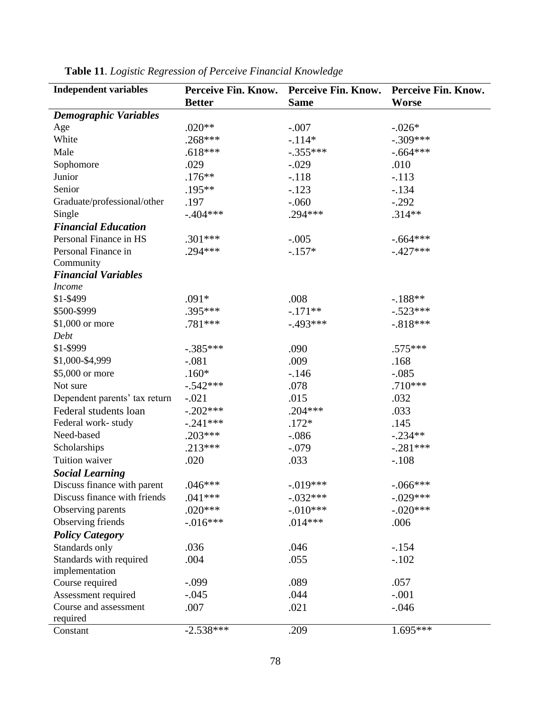| <b>Independent variables</b>  | Perceive Fin. Know. | Perceive Fin. Know. | Perceive Fin. Know. |
|-------------------------------|---------------------|---------------------|---------------------|
|                               | <b>Better</b>       | <b>Same</b>         | <b>Worse</b>        |
| <b>Demographic Variables</b>  |                     |                     |                     |
| Age                           | $.020**$            | $-.007$             | $-.026*$            |
| White                         | $.268***$           | $-.114*$            | $-.309***$          |
| Male                          | $.618***$           | $-.355***$          | $-.664***$          |
| Sophomore                     | .029                | $-.029$             | .010                |
| Junior                        | $.176**$            | $-.118$             | $-.113$             |
| Senior                        | .195**              | $-.123$             | $-.134$             |
| Graduate/professional/other   | .197                | $-.060$             | $-.292$             |
| Single                        | $-.404***$          | .294 ***            | $.314**$            |
| <b>Financial Education</b>    |                     |                     |                     |
| Personal Finance in HS        | $.301***$           | $-.005$             | $-.664***$          |
| Personal Finance in           | $.294***$           | $-.157*$            | $-.427***$          |
| Community                     |                     |                     |                     |
| <b>Financial Variables</b>    |                     |                     |                     |
| <b>Income</b>                 |                     |                     |                     |
| \$1-\$499                     | $.091*$             | .008                | $-188**$            |
| \$500-\$999                   | .395***             | $-.171**$           | $-.523***$          |
| \$1,000 or more               | .781***             | $-.493***$          | $-.818***$          |
| Debt                          |                     |                     |                     |
| \$1-\$999                     | $-.385***$          | .090                | $.575***$           |
| \$1,000-\$4,999               | $-.081$             | .009                | .168                |
| \$5,000 or more               | $.160*$             | $-146$              | $-.085$             |
| Not sure                      | $-.542***$          | .078                | $.710***$           |
| Dependent parents' tax return | $-.021$             | .015                | .032                |
| Federal students loan         | $-.202***$          | $.204***$           | .033                |
| Federal work-study            | $-.241***$          | $.172*$             | .145                |
| Need-based                    | $.203***$           | $-.086$             | $-.234**$           |
| Scholarships                  | $.213***$           | $-.079$             | $-.281***$          |
| Tuition waiver                | .020                | .033                | $-.108$             |
| <b>Social Learning</b>        |                     |                     |                     |
| Discuss finance with parent   | $.046***$           | $-.019***$          | $-.066***$          |
| Discuss finance with friends  | $.041***$           | $-.032***$          | $-.029***$          |
| Observing parents             | $.020***$           | $-.010***$          | $-.020***$          |
| Observing friends             | $-0.016***$         | $.014***$           | .006                |
| <b>Policy Category</b>        |                     |                     |                     |
| Standards only                | .036                | .046                | $-.154$             |
| Standards with required       | .004                | .055                | $-.102$             |
| implementation                |                     |                     |                     |
| Course required               | $-.099$             | .089                | .057                |
| Assessment required           | $-.045$             | .044                | $-.001$             |
| Course and assessment         | .007                | .021                | $-.046$             |
| required                      |                     |                     |                     |
| Constant                      | $-2.538***$         | .209                | $1.695***$          |

**Table 11**. *Logistic Regression of Perceive Financial Knowledge*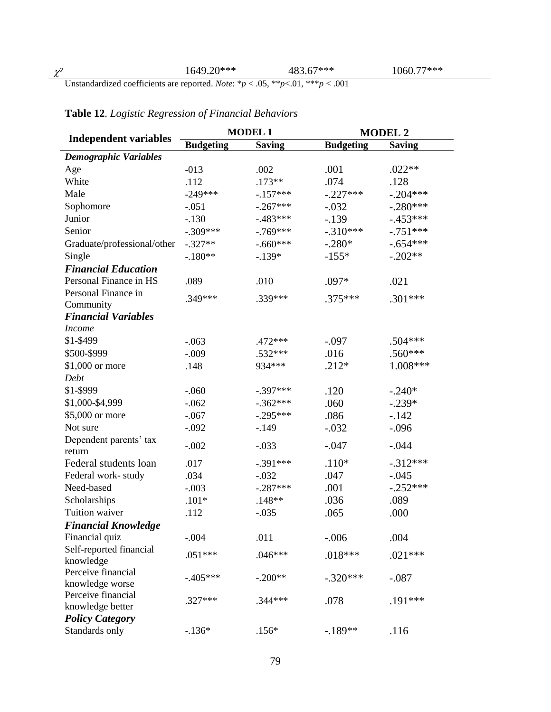|                              | <b>MODEL 1</b>   |               |                  | <b>MODEL 2</b> |  |
|------------------------------|------------------|---------------|------------------|----------------|--|
| <b>Independent variables</b> | <b>Budgeting</b> | <b>Saving</b> | <b>Budgeting</b> | <b>Saving</b>  |  |
| <b>Demographic Variables</b> |                  |               |                  |                |  |
| Age                          | $-013$           | .002          | .001             | $.022**$       |  |
| White                        | .112             | $.173**$      | .074             | .128           |  |
| Male                         | $-249***$        | $-157***$     | $-.227***$       | $-.204***$     |  |
| Sophomore                    | $-.051$          | $-.267***$    | $-.032$          | $-.280***$     |  |
| Junior                       | $-.130$          | $-.483***$    | $-.139$          | $-.453***$     |  |
| Senior                       | $-.309***$       | $-769***$     | $-.310***$       | $-.751***$     |  |
| Graduate/professional/other  | $-.327**$        | $-.660***$    | $-.280*$         | $-.654***$     |  |
| Single                       | $-180**$         | $-139*$       | $-155*$          | $-.202**$      |  |
| <b>Financial Education</b>   |                  |               |                  |                |  |
| Personal Finance in HS       | .089             | .010          | .097*            | .021           |  |
| Personal Finance in          | .349***          | .339***       | $.375***$        | $.301***$      |  |
| Community                    |                  |               |                  |                |  |
| <b>Financial Variables</b>   |                  |               |                  |                |  |
| <b>Income</b>                |                  |               |                  |                |  |
| \$1-\$499                    | $-.063$          | $.472***$     | $-.097$          | $.504***$      |  |
| \$500-\$999                  | $-.009$          | .532***       | .016             | .560 ***       |  |
| \$1,000 or more              | .148             | 934***        | $.212*$          | $1.008***$     |  |
| Debt                         |                  |               |                  |                |  |
| \$1-\$999                    | $-.060$          | $-.397***$    | .120             | $-.240*$       |  |
| \$1,000-\$4,999              | $-.062$          | $-.362***$    | .060             | $-.239*$       |  |
| \$5,000 or more              | $-.067$          | $-.295***$    | .086             | $-142$         |  |
| Not sure                     | $-.092$          | $-.149$       | $-.032$          | $-.096$        |  |
| Dependent parents' tax       | $-.002$          | $-.033$       | $-.047$          | $-.044$        |  |
| return                       |                  |               |                  |                |  |
| Federal students loan        | .017             | $-.391***$    | $.110*$          | $-312***$      |  |
| Federal work-study           | .034             | $-.032$       | .047             | $-.045$        |  |
| Need-based                   | $-.003$          | $-.287***$    | .001             | $-.252***$     |  |
| Scholarships                 | $.101*$          | $.148**$      | .036             | .089           |  |
| Tuition waiver               | .112             | $-.035$       | .065             | .000           |  |
| <b>Financial Knowledge</b>   |                  |               |                  |                |  |
| Financial quiz               | $-.004$          | .011          | $-.006$          | .004           |  |
| Self-reported financial      | $.051***$        | $.046***$     | $.018***$        | $.021***$      |  |
| knowledge                    |                  |               |                  |                |  |
| Perceive financial           | $-405***$        | $-.200**$     | $-.320***$       | $-.087$        |  |
| knowledge worse              |                  |               |                  |                |  |
| Perceive financial           | .327***          | $.344***$     | .078             | .191***        |  |
| knowledge better             |                  |               |                  |                |  |
| <b>Policy Category</b>       |                  |               |                  |                |  |
| Standards only               | $-136*$          | $.156*$       | $-189**$         | .116           |  |

### **Table 12**. *Logistic Regression of Financial Behaviors*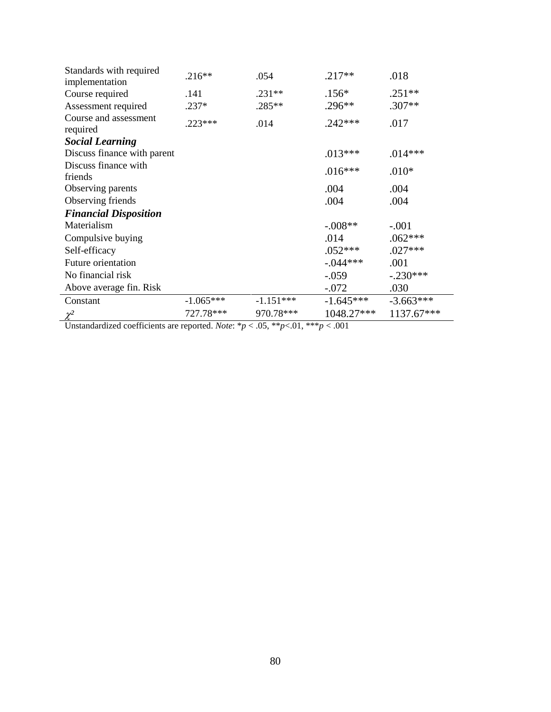| Standards with required<br>implementation | $.216**$    | .054        | $.217**$    | .018        |
|-------------------------------------------|-------------|-------------|-------------|-------------|
| Course required                           | .141        | $.231**$    | $.156*$     | $.251**$    |
| Assessment required                       | $.237*$     | $.285**$    | $.296**$    | $.307**$    |
| Course and assessment<br>required         | $.223***$   | .014        | $.242***$   | .017        |
| <b>Social Learning</b>                    |             |             |             |             |
| Discuss finance with parent               |             |             | $.013***$   | $.014***$   |
| Discuss finance with                      |             |             | $.016***$   | $.010*$     |
| friends                                   |             |             |             |             |
| Observing parents                         |             |             | .004        | .004        |
| Observing friends                         |             |             | .004        | .004        |
| <b>Financial Disposition</b>              |             |             |             |             |
| Materialism                               |             |             | $-.008**$   | $-.001$     |
| Compulsive buying                         |             |             | .014        | $.062***$   |
| Self-efficacy                             |             |             | $.052***$   | $.027***$   |
| <b>Future orientation</b>                 |             |             | $-.044***$  | .001        |
| No financial risk                         |             |             | $-.059$     | $-.230***$  |
| Above average fin. Risk                   |             |             | $-.072$     | .030        |
| Constant                                  | $-1.065***$ | $-1.151***$ | $-1.645***$ | $-3.663***$ |
|                                           | 727.78***   | 970.78***   | 1048.27***  | 1137.67***  |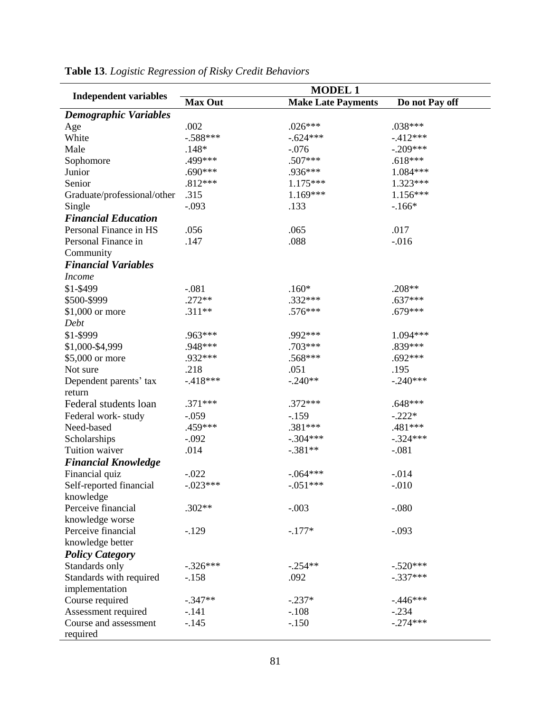|                                   | <b>MODEL 1</b> |                           |                       |  |  |
|-----------------------------------|----------------|---------------------------|-----------------------|--|--|
| <b>Independent variables</b>      | <b>Max Out</b> | <b>Make Late Payments</b> | Do not Pay off        |  |  |
| <b>Demographic Variables</b>      |                |                           |                       |  |  |
| Age                               | .002           | $.026***$                 | $.038***$             |  |  |
| White                             | $-.588***$     | $-.624***$                | $-412***$             |  |  |
| Male                              | $.148*$        | $-.076$                   | $-.209***$            |  |  |
| Sophomore                         | .499***        | .507***                   | $.618***$             |  |  |
| Junior                            | $.690***$      | .936***                   | 1.084***              |  |  |
| Senior                            | $.812***$      | $1.175***$                | 1.323***              |  |  |
| Graduate/professional/other       | .315           | $1.169***$                | $1.156***$            |  |  |
| Single                            | $-.093$        | .133                      | $-166*$               |  |  |
| <b>Financial Education</b>        |                |                           |                       |  |  |
| Personal Finance in HS            | .056           | .065                      | .017                  |  |  |
| Personal Finance in               | .147           | .088                      | $-0.016$              |  |  |
| Community                         |                |                           |                       |  |  |
| <b>Financial Variables</b>        |                |                           |                       |  |  |
| <b>Income</b>                     |                |                           |                       |  |  |
|                                   |                |                           |                       |  |  |
| \$1-\$499                         | $-.081$        | $.160*$                   | .208**                |  |  |
| \$500-\$999                       | $.272**$       | .332***                   | $.637***$             |  |  |
| \$1,000 or more                   | $.311**$       | .576***                   | $.679***$             |  |  |
| Debt                              |                |                           |                       |  |  |
| \$1-\$999                         | .963***        | .992 ***                  | 1.094***              |  |  |
| \$1,000-\$4,999                   | .948***        | .703***                   | .839***               |  |  |
| \$5,000 or more                   | .932***        | .568***                   | $.692***$             |  |  |
| Not sure                          | .218           | .051                      | .195                  |  |  |
| Dependent parents' tax            | $-418***$      | $-.240**$                 | $-.240***$            |  |  |
| return                            |                |                           |                       |  |  |
| Federal students loan             | $.371***$      | $.372***$                 | $.648***$             |  |  |
| Federal work-study                | $-.059$        | $-.159$                   | $-.222*$              |  |  |
| Need-based                        | .459***        | .381 ***                  | .481 ***              |  |  |
| Scholarships                      | $-.092$        | $-.304***$                | $-.324***$            |  |  |
| Tuition waiver                    | .014           | $-.381**$                 | $-.081$               |  |  |
| <b>Financial Knowledge</b>        |                |                           |                       |  |  |
| Financial quiz                    | $-.022$        | $-.064***$                | $-0.014$              |  |  |
| Self-reported financial           | $-.023***$     | $-.051***$                | $-.010$               |  |  |
| knowledge                         |                |                           |                       |  |  |
| Perceive financial                | $.302**$       | $-.003$                   | $-.080$               |  |  |
| knowledge worse                   |                |                           |                       |  |  |
| Perceive financial                | $-.129$        | $-.177*$                  | $-.093$               |  |  |
| knowledge better                  |                |                           |                       |  |  |
| <b>Policy Category</b>            |                |                           |                       |  |  |
| Standards only                    | $-.326***$     | $-.254**$                 | $-.520***$            |  |  |
| Standards with required           | $-158$         | .092                      | $-.337***$            |  |  |
| implementation                    |                |                           |                       |  |  |
|                                   | $-.347**$      | $-.237*$                  | $-.446***$            |  |  |
| Course required                   |                |                           |                       |  |  |
| Assessment required               | $-.141$        | $-.108$                   | $-.234$<br>$-.274***$ |  |  |
| Course and assessment<br>required | $-.145$        | $-.150$                   |                       |  |  |

## **Table 13**. *Logistic Regression of Risky Credit Behaviors*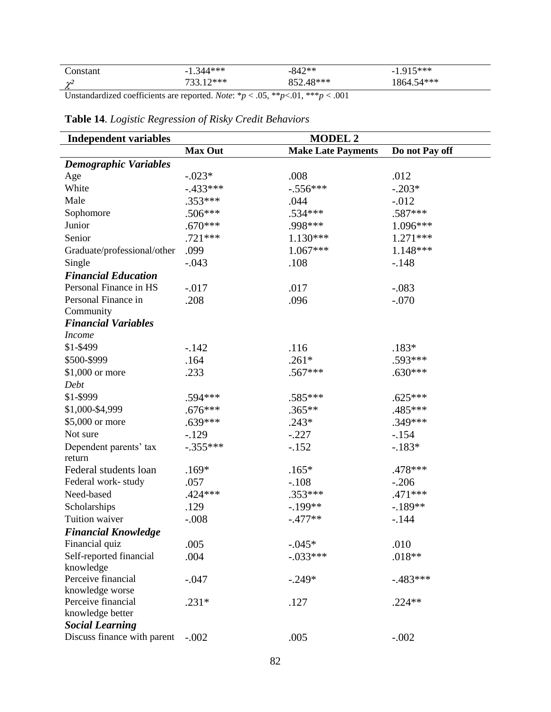| 'onetant    | 211***<br>$\overline{\phantom{0}}$ | -842**  | 5***<br>$\overline{\phantom{0}}$           |
|-------------|------------------------------------|---------|--------------------------------------------|
| ∽<br>$\sim$ | つ***                               | $Q$ *** | $14***$<br>$\mathbf{v}_{\mathsf{A} \perp}$ |

## **Table 14**. *Logistic Regression of Risky Credit Behaviors*

| <b>Independent variables</b> | <b>MODEL 2</b> |                           |                |  |  |
|------------------------------|----------------|---------------------------|----------------|--|--|
|                              | <b>Max Out</b> | <b>Make Late Payments</b> | Do not Pay off |  |  |
| <b>Demographic Variables</b> |                |                           |                |  |  |
| Age                          | $-.023*$       | .008                      | .012           |  |  |
| White                        | $-.433***$     | $-.556***$                | $-.203*$       |  |  |
| Male                         | $.353***$      | .044                      | $-.012$        |  |  |
| Sophomore                    | $.506***$      | .534 ***                  | .587***        |  |  |
| Junior                       | $.670***$      | .998 ***                  | 1.096***       |  |  |
| Senior                       | .721 ***       | $1.130***$                | $1.271***$     |  |  |
| Graduate/professional/other  | .099           | $1.067***$                | 1.148***       |  |  |
| Single                       | $-.043$        | .108                      | $-.148$        |  |  |
| <b>Financial Education</b>   |                |                           |                |  |  |
| Personal Finance in HS       | $-.017$        | .017                      | $-.083$        |  |  |
| Personal Finance in          | .208           | .096                      | $-.070$        |  |  |
| Community                    |                |                           |                |  |  |
| <b>Financial Variables</b>   |                |                           |                |  |  |
| <b>Income</b>                |                |                           |                |  |  |
| \$1-\$499                    | $-.142$        | .116                      | $.183*$        |  |  |
| \$500-\$999                  | .164           | $.261*$                   | .593***        |  |  |
| \$1,000 or more              | .233           | .567***                   | $.630***$      |  |  |
| Debt                         |                |                           |                |  |  |
| \$1-\$999                    | .594 ***       | .585***                   | $.625***$      |  |  |
| \$1,000-\$4,999              | $.676***$      | $.365**$                  | .485***        |  |  |
| \$5,000 or more              | $.639***$      | $.243*$                   | .349***        |  |  |
| Not sure                     | $-.129$        | $-.227$                   | $-.154$        |  |  |
| Dependent parents' tax       | $-.355***$     | $-.152$                   | $-.183*$       |  |  |
| return                       |                |                           |                |  |  |
| Federal students loan        | $.169*$        | $.165*$                   | .478 ***       |  |  |
| Federal work-study           | .057           | $-.108$                   | $-.206$        |  |  |
| Need-based                   | .424 ***       | .353***                   | .471 ***       |  |  |
| Scholarships                 | .129           | $-.199**$                 | $-.189**$      |  |  |
| Tuition waiver               | $-.008$        | $-.477**$                 | $-144$         |  |  |
| <b>Financial Knowledge</b>   |                |                           |                |  |  |
| Financial quiz               | .005           | $-.045*$                  | .010           |  |  |
| Self-reported financial      | .004           | $-.033***$                | $.018**$       |  |  |
| knowledge                    |                |                           |                |  |  |
| Perceive financial           | $-.047$        | $-.249*$                  | $-.483***$     |  |  |
| knowledge worse              |                |                           |                |  |  |
| Perceive financial           | $.231*$        | .127                      | $.224**$       |  |  |
| knowledge better             |                |                           |                |  |  |
| <b>Social Learning</b>       |                |                           | $-.002$        |  |  |
| Discuss finance with parent  | $-.002$        | .005                      |                |  |  |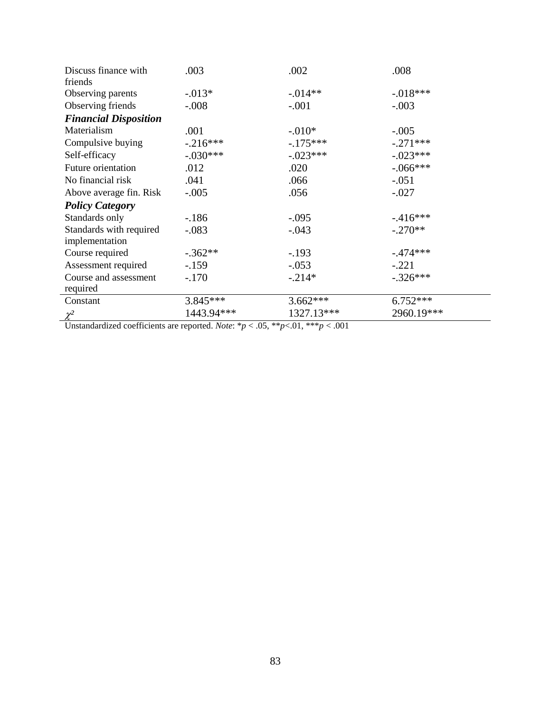| Discuss finance with         | .003       | .002       | .008       |
|------------------------------|------------|------------|------------|
| friends                      |            | $-0.014**$ | $-.018***$ |
| Observing parents            | $-0.013*$  |            |            |
| Observing friends            | $-.008$    | $-.001$    | $-.003$    |
| <b>Financial Disposition</b> |            |            |            |
| Materialism                  | .001       | $-.010*$   | $-.005$    |
| Compulsive buying            | $-.216***$ | $-175***$  | $-.271***$ |
| Self-efficacy                | $-.030***$ | $-.023***$ | $-.023***$ |
| <b>Future orientation</b>    | .012       | .020       | $-.066***$ |
| No financial risk            | .041       | .066       | $-.051$    |
| Above average fin. Risk      | $-.005$    | .056       | $-.027$    |
| <b>Policy Category</b>       |            |            |            |
| Standards only               | $-186$     | $-.095$    | $-416***$  |
| Standards with required      | $-.083$    | $-.043$    | $-.270**$  |
| implementation               |            |            |            |
| Course required              | $-.362**$  | $-.193$    | $-.474***$ |
| Assessment required          | $-.159$    | $-.053$    | $-.221$    |
| Course and assessment        | $-.170$    | $-.214*$   | $-.326***$ |
| required                     |            |            |            |
| Constant                     | $3.845***$ | $3.662***$ | $6.752***$ |
| $\chi^2$                     | 1443.94*** | 1327.13*** | 2960.19*** |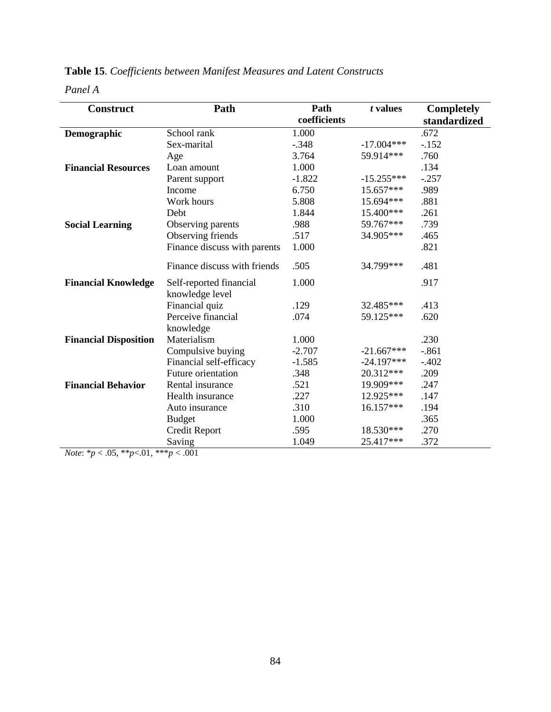| <b>Construct</b>             | Path                         | Path<br>coefficients | t values     | <b>Completely</b>    |
|------------------------------|------------------------------|----------------------|--------------|----------------------|
|                              | School rank                  | 1.000                |              | standardized<br>.672 |
| Demographic                  | Sex-marital                  | $-.348$              | $-17.004***$ | $-.152$              |
|                              |                              |                      |              |                      |
|                              | Age                          | 3.764                | 59.914***    | .760                 |
| <b>Financial Resources</b>   | Loan amount                  | 1.000                |              | .134                 |
|                              | Parent support               | $-1.822$             | $-15.255***$ | $-.257$              |
|                              | Income                       | 6.750                | 15.657***    | .989                 |
|                              | Work hours                   | 5.808                | 15.694***    | .881                 |
|                              | Debt                         | 1.844                | 15.400***    | .261                 |
| <b>Social Learning</b>       | Observing parents            | .988                 | 59.767***    | .739                 |
|                              | Observing friends            | .517                 | 34.905***    | .465                 |
|                              | Finance discuss with parents | 1.000                |              | .821                 |
|                              | Finance discuss with friends | .505                 | 34.799***    | .481                 |
| <b>Financial Knowledge</b>   | Self-reported financial      | 1.000                |              | .917                 |
|                              | knowledge level              |                      |              |                      |
|                              | Financial quiz               | .129                 | 32.485***    | .413                 |
|                              | Perceive financial           | .074                 | 59.125***    | .620                 |
|                              | knowledge                    |                      |              |                      |
| <b>Financial Disposition</b> | Materialism                  | 1.000                |              | .230                 |
|                              | Compulsive buying            | $-2.707$             | $-21.667***$ | $-.861$              |
|                              | Financial self-efficacy      | $-1.585$             | $-24.197***$ | $-.402$              |
|                              | <b>Future orientation</b>    | .348                 | 20.312***    | .209                 |
| <b>Financial Behavior</b>    | Rental insurance             | .521                 | 19.909***    | .247                 |
|                              | Health insurance             | .227                 | 12.925***    | .147                 |
|                              | Auto insurance               | .310                 | 16.157***    | .194                 |
|                              | <b>Budget</b>                | 1.000                |              | .365                 |
|                              | <b>Credit Report</b>         | .595                 | 18.530***    | .270                 |
|                              | Saving                       | 1.049                | 25.417***    | .372                 |

## **Table 15**. *Coefficients between Manifest Measures and Latent Constructs*

*Panel A*

*Note*:  ${}^*p$  < .05,  ${}^*p$  <.01,  ${}^*{}^*p$  < .001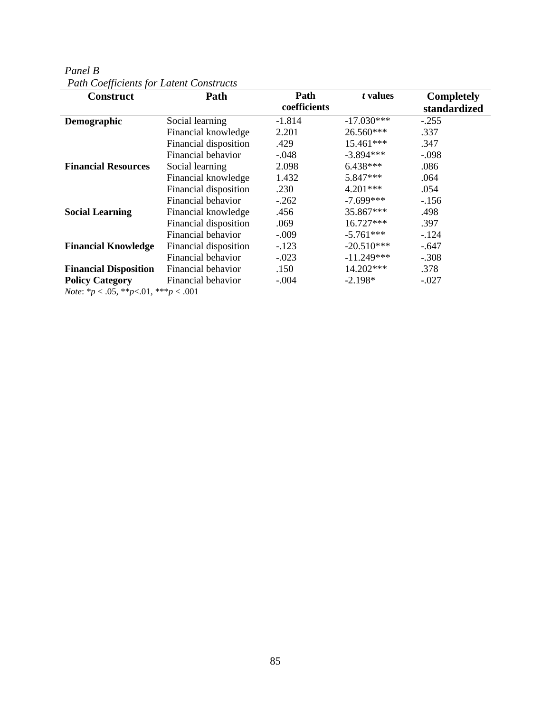| Panel B                                        |  |
|------------------------------------------------|--|
| <b>Path Coefficients for Latent Constructs</b> |  |

| <b>Construct</b>             | Path                  | Path<br>coefficients | t values     | <b>Completely</b><br>standardized |
|------------------------------|-----------------------|----------------------|--------------|-----------------------------------|
| Demographic                  | Social learning       | $-1.814$             | $-17.030***$ | $-.255$                           |
|                              | Financial knowledge   | 2.201                | 26.560***    | .337                              |
|                              | Financial disposition | .429                 | 15.461***    | .347                              |
|                              | Financial behavior    | $-.048$              | $-3.894***$  | $-.098$                           |
| <b>Financial Resources</b>   | Social learning       | 2.098                | $6.438***$   | .086                              |
|                              | Financial knowledge   | 1.432                | 5.847***     | .064                              |
|                              | Financial disposition | .230                 | $4.201***$   | .054                              |
|                              | Financial behavior    | $-.262$              | $-7.699***$  | $-156$                            |
| <b>Social Learning</b>       | Financial knowledge   | .456                 | 35.867***    | .498                              |
|                              | Financial disposition | .069                 | 16.727***    | .397                              |
|                              | Financial behavior    | $-.009$              | $-5.761***$  | $-124$                            |
| <b>Financial Knowledge</b>   | Financial disposition | $-.123$              | $-20.510***$ | $-.647$                           |
|                              | Financial behavior    | $-.023$              | $-11.249***$ | $-.308$                           |
| <b>Financial Disposition</b> | Financial behavior    | .150                 | 14.202***    | .378                              |
| <b>Policy Category</b>       | Financial behavior    | $-.004$              | $-2.198*$    | $-.027$                           |

*Note*: \**p* < .05, \*\**p*<.01, \*\*\**p* < .001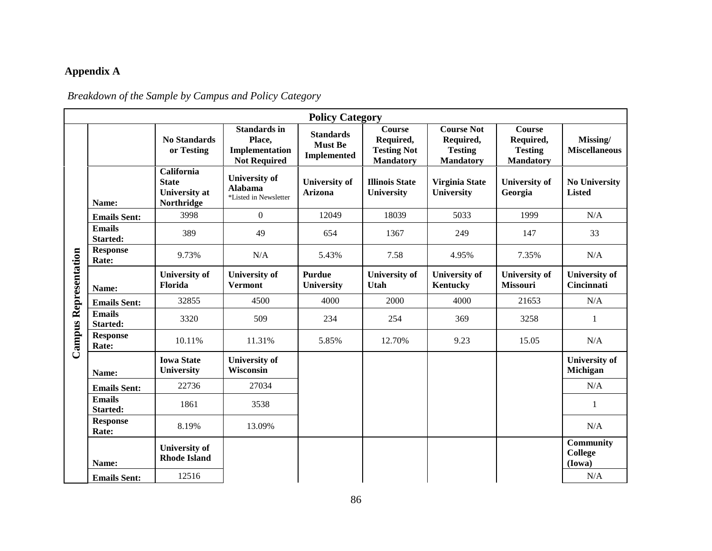# **Appendix A**

# *Breakdown of the Sample by Campus and Policy Category*

|                              | <b>Policy Category</b>           |                                                                  |                                                                        |                                                          |                                                                      |                                                                      |                                                                  |                                       |
|------------------------------|----------------------------------|------------------------------------------------------------------|------------------------------------------------------------------------|----------------------------------------------------------|----------------------------------------------------------------------|----------------------------------------------------------------------|------------------------------------------------------------------|---------------------------------------|
|                              |                                  | <b>No Standards</b><br>or Testing                                | <b>Standards in</b><br>Place,<br>Implementation<br><b>Not Required</b> | <b>Standards</b><br><b>Must Be</b><br><b>Implemented</b> | <b>Course</b><br>Required,<br><b>Testing Not</b><br><b>Mandatory</b> | <b>Course Not</b><br>Required,<br><b>Testing</b><br><b>Mandatory</b> | <b>Course</b><br>Required,<br><b>Testing</b><br><b>Mandatory</b> | Missing/<br><b>Miscellaneous</b>      |
|                              | Name:                            | California<br><b>State</b><br><b>University</b> at<br>Northridge | <b>University of</b><br>Alabama<br>*Listed in Newsletter               | <b>University of</b><br><b>Arizona</b>                   | <b>Illinois State</b><br><b>University</b>                           | Virginia State<br>University                                         | <b>University of</b><br>Georgia                                  | <b>No University</b><br><b>Listed</b> |
|                              | <b>Emails Sent:</b>              | 3998                                                             | $\mathbf{0}$                                                           | 12049                                                    | 18039                                                                | 5033                                                                 | 1999                                                             | N/A                                   |
|                              | <b>Emails</b><br><b>Started:</b> | 389                                                              | 49                                                                     | 654                                                      | 1367                                                                 | 249                                                                  | 147                                                              | 33                                    |
|                              | <b>Response</b><br>Rate:         | 9.73%                                                            | N/A                                                                    | 5.43%                                                    | 7.58                                                                 | 4.95%                                                                | 7.35%                                                            | N/A                                   |
| <b>Campus Representation</b> | Name:                            | <b>University of</b><br>Florida                                  | <b>University of</b><br><b>Vermont</b>                                 | <b>Purdue</b><br>University                              | <b>University of</b><br>Utah                                         | <b>University of</b><br>Kentucky                                     | <b>University of</b><br><b>Missouri</b>                          | <b>University of</b><br>Cincinnati    |
|                              | <b>Emails Sent:</b>              | 32855                                                            | 4500                                                                   | 4000                                                     | 2000                                                                 | 4000                                                                 | 21653                                                            | N/A                                   |
|                              | <b>Emails</b><br><b>Started:</b> | 3320                                                             | 509                                                                    | 234                                                      | 254                                                                  | 369                                                                  | 3258                                                             | 1                                     |
|                              | <b>Response</b><br>Rate:         | 10.11%                                                           | 11.31%                                                                 | 5.85%                                                    | 12.70%                                                               | 9.23                                                                 | 15.05                                                            | N/A                                   |
|                              | Name:                            | <b>Iowa State</b><br><b>University</b>                           | <b>University of</b><br>Wisconsin                                      |                                                          |                                                                      |                                                                      |                                                                  | <b>University of</b><br>Michigan      |
|                              | <b>Emails Sent:</b>              | 22736                                                            | 27034                                                                  |                                                          |                                                                      |                                                                      |                                                                  | N/A                                   |
|                              | <b>Emails</b><br>Started:        | 1861                                                             | 3538                                                                   |                                                          |                                                                      |                                                                      |                                                                  | 1                                     |
|                              | <b>Response</b><br>Rate:         | 8.19%                                                            | 13.09%                                                                 |                                                          |                                                                      |                                                                      |                                                                  | N/A                                   |
|                              | Name:                            | <b>University of</b><br><b>Rhode Island</b>                      |                                                                        |                                                          |                                                                      |                                                                      |                                                                  | <b>Community</b><br>College<br>(Iowa) |
|                              | <b>Emails Sent:</b>              | 12516                                                            |                                                                        |                                                          |                                                                      |                                                                      |                                                                  | N/A                                   |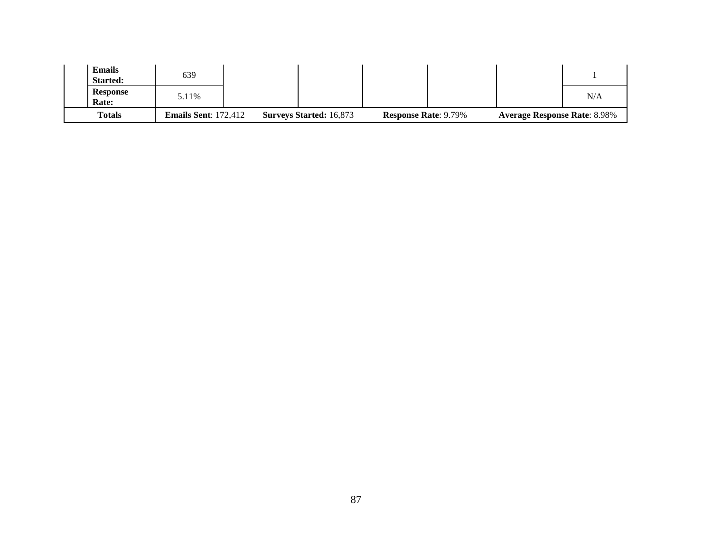| <b>Emails</b><br><b>Started:</b> | 639                         |                                |                             |                                     |     |
|----------------------------------|-----------------------------|--------------------------------|-----------------------------|-------------------------------------|-----|
| <b>Response</b><br>Rate:         | 5.11%                       |                                |                             |                                     | N/A |
| <b>Totals</b>                    | <b>Emails Sent: 172,412</b> | <b>Surveys Started: 16,873</b> | <b>Response Rate: 9.79%</b> | <b>Average Response Rate: 8.98%</b> |     |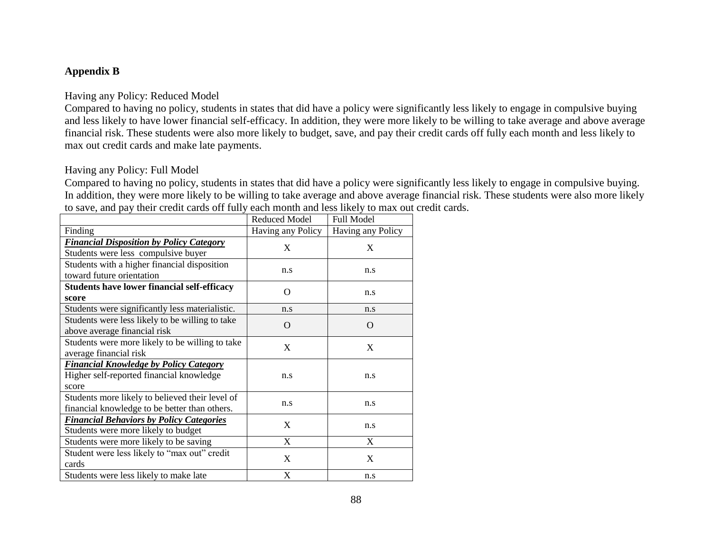### **Appendix B**

#### Having any Policy: Reduced Model

Compared to having no policy, students in states that did have a policy were significantly less likely to engage in compulsive buying and less likely to have lower financial self-efficacy. In addition, they were more likely to be willing to take average and above average financial risk. These students were also more likely to budget, save, and pay their credit cards off fully each month and less likely to max out credit cards and make late payments.

#### Having any Policy: Full Model

Compared to having no policy, students in states that did have a policy were significantly less likely to engage in compulsive buying. In addition, they were more likely to be willing to take average and above average financial risk. These students were also more likely to save, and pay their credit cards off fully each month and less likely to max out credit cards.

|                                                 | <b>Reduced Model</b> | Full Model        |  |
|-------------------------------------------------|----------------------|-------------------|--|
| Finding                                         | Having any Policy    | Having any Policy |  |
| <b>Financial Disposition by Policy Category</b> | X                    | X                 |  |
| Students were less compulsive buyer             |                      |                   |  |
| Students with a higher financial disposition    |                      |                   |  |
| toward future orientation                       | n.s                  | n.s               |  |
| Students have lower financial self-efficacy     | O                    |                   |  |
| score                                           |                      | n.s               |  |
| Students were significantly less materialistic. | n.s                  | n.s               |  |
| Students were less likely to be willing to take | $\Omega$             | $\Omega$          |  |
| above average financial risk                    |                      |                   |  |
| Students were more likely to be willing to take | X                    | X                 |  |
| average financial risk                          |                      |                   |  |
| <b>Financial Knowledge by Policy Category</b>   |                      |                   |  |
| Higher self-reported financial knowledge        | n.s                  | n.s               |  |
| score                                           |                      |                   |  |
| Students more likely to believed their level of |                      |                   |  |
| financial knowledge to be better than others.   | n.s                  | n.s               |  |
| <b>Financial Behaviors by Policy Categories</b> | X                    |                   |  |
| Students were more likely to budget             |                      | n.s               |  |
| Students were more likely to be saving          | X                    | X                 |  |
| Student were less likely to "max out" credit    | X                    | X                 |  |
| cards                                           |                      |                   |  |
| Students were less likely to make late          | X                    | n.s               |  |